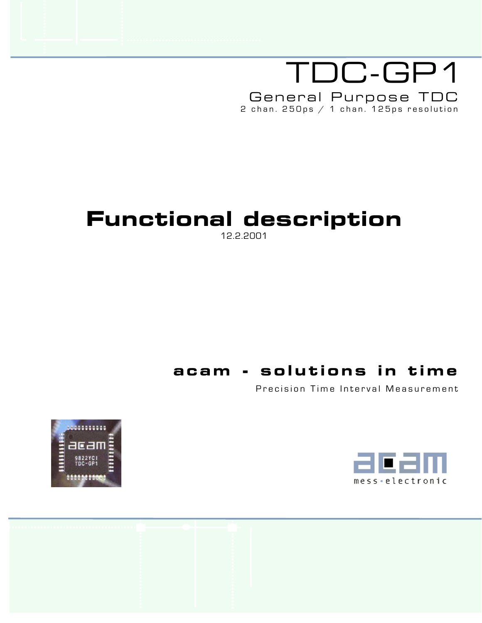# TDC-GP1 General Purpose TDC 2 chan. 250ps / 1 chan. 125ps resolution

# Functional description

12.2.2001

# acam - solutions in time

Precision Time Interval Measurement



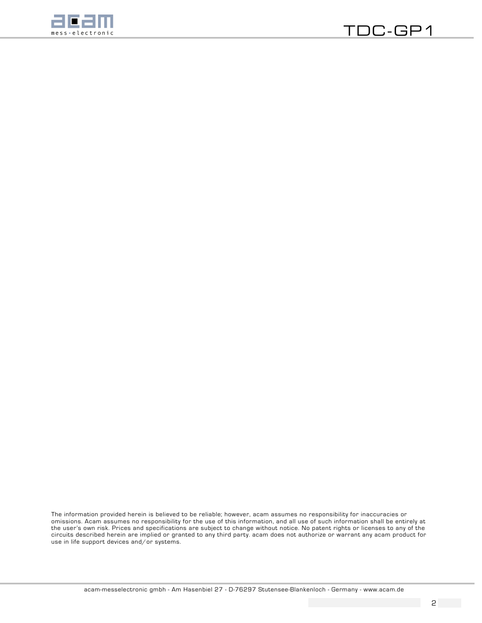

The information provided herein is believed to be reliable; however, acam assumes no responsibility for inaccuracies or omissions. Acam assumes no responsibility for the use of this information, and all use of such information shall be entirely at the userís own risk. Prices and specifications are subject to change without notice. No patent rights or licenses to any of the circuits described herein are implied or granted to any third party. acam does not authorize or warrant any acam product for use in life support devices and/or systems.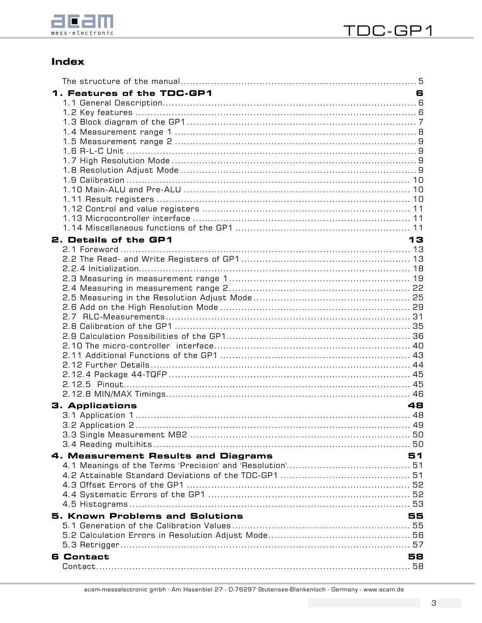

# **Index**

| 1. Features of the TDC-GP1<br>2. Details of the GP1 | 6<br>13 |
|-----------------------------------------------------|---------|
|                                                     |         |
| <b>3. Applications</b>                              | 48      |
|                                                     |         |
| 4. Measurement Results and Diagrams                 | 51      |
| <b>5. Known Problems and Solutions</b>              | 55      |
| <b>6 Contact</b>                                    | 58      |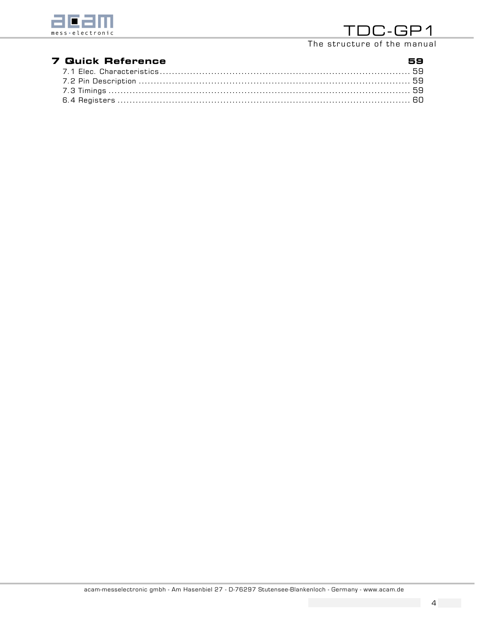

The structure of the manual

| <b>7 Quick Reference</b>                                  | 59 |
|-----------------------------------------------------------|----|
| 7.1 Elec. Characteristics………………………………………………………………………………59 |    |
|                                                           |    |
|                                                           |    |
|                                                           |    |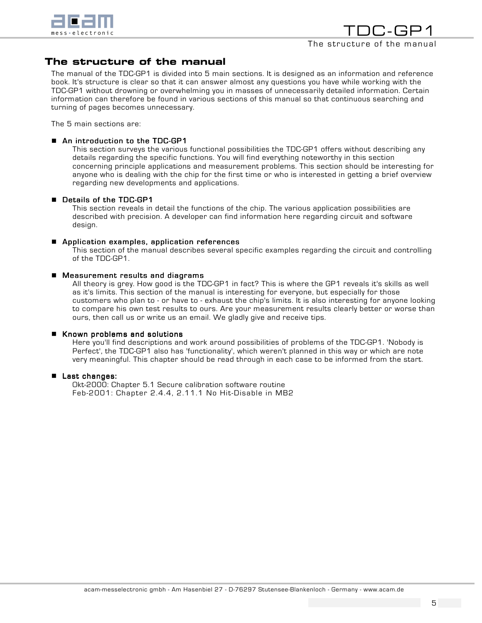

# The structure of the manual

The manual of the TDC-GP1 is divided into 5 main sections. It is designed as an information and reference book. It's structure is clear so that it can answer almost any questions you have while working with the TDC-GP1 without drowning or overwhelming you in masses of unnecessarily detailed information. Certain information can therefore be found in various sections of this manual so that continuous searching and turning of pages becomes unnecessary.

The 5 main sections are:

#### ■ An introduction to the TDC-GP1

This section surveys the various functional possibilities the TDC-GP1 offers without describing any details regarding the specific functions. You will find everything noteworthy in this section concerning principle applications and measurement problems. This section should be interesting for anyone who is dealing with the chip for the first time or who is interested in getting a brief overview regarding new developments and applications.

#### **Details of the TDC-GP1**

This section reveals in detail the functions of the chip. The various application possibilities are described with precision. A developer can find information here regarding circuit and software design.

#### **E** Application examples, application references

This section of the manual describes several specific examples regarding the circuit and controlling of the TDC-GP1.

#### $\blacksquare$  Measurement results and diagrams

All theory is grey. How good is the TDC-GP1 in fact? This is where the GP1 reveals it's skills as well as it's limits. This section of the manual is interesting for everyone, but especially for those customers who plan to - or have to - exhaust the chip's limits. It is also interesting for anyone looking to compare his own test results to ours. Are your measurement results clearly better or worse than ours, then call us or write us an email. We gladly give and receive tips.

#### $\blacksquare$  Known problems and solutions

Here you'll find descriptions and work around possibilities of problems of the TDC-GP1. 'Nobody is Perfect', the TDC-GP1 also has 'functionality', which weren't planned in this way or which are note very meaningful. This chapter should be read through in each case to be informed from the start.

#### ■ Last changes:

Okt-2000: Chapter 5.1 Secure calibration software routine Feb-2001: Chapter 2.4.4, 2.11.1 No Hit-Disable in MB2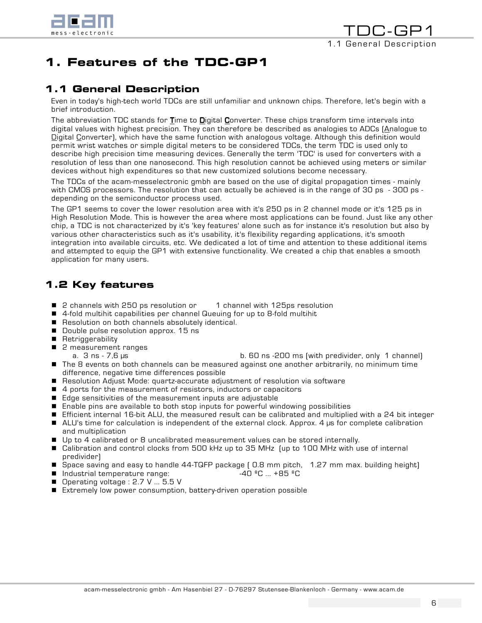

# 1. Features of the TDC-GP1

# 1.1 General Description

Even in today's high-tech world TDCs are still unfamiliar and unknown chips. Therefore, let's begin with a brief introduction.

The abbreviation TDC stands for  $\underline{\mathbf{\Gamma}}$ ime to  $\underline{\mathbf{\Omega}}$ igital  $\underline{\mathbf{\Omega}}$ onverter. These chips transform time intervals into digital values with highest precision. They can therefore be described as analogies to ADCs (Analogue to Digital Converter), which have the same function with analogous voltage. Although this definition would permit wrist watches or simple digital meters to be considered TDCs, the term TDC is used only to describe high precision time measuring devices. Generally the term 'TDC' is used for converters with a resolution of less than one nanosecond. This high resolution cannot be achieved using meters or similar devices without high expenditures so that new customized solutions become necessary.

The TDCs of the acam-messelectronic gmbh are based on the use of digital propagation times - mainly with CMOS processors. The resolution that can actually be achieved is in the range of 30 ps - 300 ps depending on the semiconductor process used.

The GP1 seems to cover the lower resolution area with it's 250 ps in 2 channel mode or it's 125 ps in High Resolution Mode. This is however the area where most applications can be found. Just like any other chip, a TDC is not characterized by it's 'key features' alone such as for instance it's resolution but also by various other characteristics such as it's usability, it's flexibility regarding applications, it's smooth integration into available circuits, etc. We dedicated a lot of time and attention to these additional items and attempted to equip the GP1 with extensive functionality. We created a chip that enables a smooth application for many users.

# 1.2 Key features

- 2 channels with 250 ps resolution or 1 channel with 125ps resolution
- ! 4-fold multihit capabilities per channel Queuing for up to 8-fold multihit
- **E** Resolution on both channels absolutely identical.
- **Double pulse resolution approx. 15 ns**
- **Retriggerability**
- 2 measurement ranges
- a. 3 ns 7,6 µs b. 60 ns 200 ms (with predivider, only 1 channel) **If** The 8 events on both channels can be measured against one another arbitrarily, no minimum time difference, negative time differences possible
- Resolution Adjust Mode: quartz-accurate adjustment of resolution via software
- 4 ports for the measurement of resistors, inductors or capacitors
- Edge sensitivities of the measurement inputs are adjustable
- **E** Enable pins are available to both stop inputs for powerful windowing possibilities
- ! Efficient internal 16-bit ALU, the measured result can be calibrated and multiplied with a 24 bit integer
- ALU's time for calculation is independent of the external clock. Approx. 4 µs for complete calibration and multiplication
- **If** Up to 4 calibrated or 8 uncalibrated measurement values can be stored internally.
- Calibration and control clocks from 500 kHz up to 35 MHz (up to 100 MHz with use of internal predivider)
- ! Space saving and easy to handle 44-TQFP package ( 0.8 mm pitch, 1.27 mm max. building height)
- $\blacksquare$  Industrial temperature range:  $\blacksquare$   $\blacksquare$   $\blacksquare$   $\blacksquare$   $\blacksquare$   $\blacksquare$   $\blacksquare$   $\blacksquare$   $\blacksquare$   $\blacksquare$   $\blacksquare$   $\blacksquare$
- **Dearating voltage : 2.7 V ... 5.5 V**
- Extremely low power consumption, battery-driven operation possible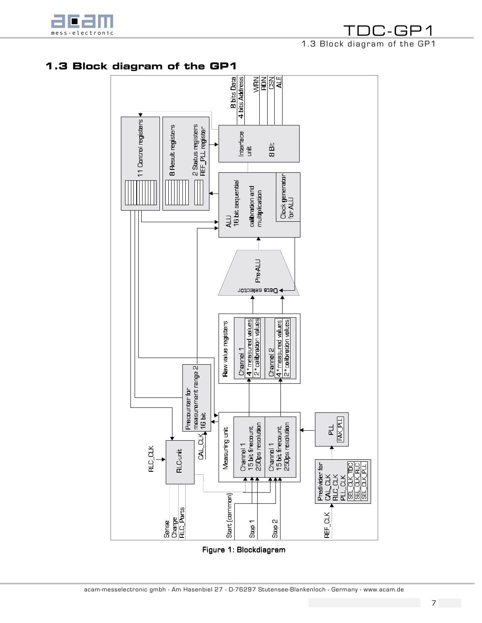

TDC-GP1 1.3 Block diagram of the GP1

# 1.3 Block diagram of the GP1

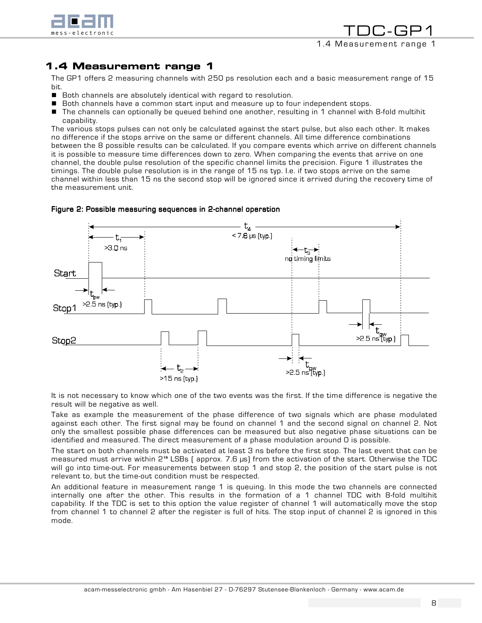

TDC-GP1 1.4 Measurement range 1

# 1.4 Measurement range 1

The GP1 offers 2 measuring channels with 250 ps resolution each and a basic measurement range of 15 bit.

- **E** Both channels are absolutely identical with regard to resolution.
- **E** Both channels have a common start input and measure up to four independent stops.
- The channels can optionally be queued behind one another, resulting in 1 channel with 8-fold multihit capability.

The various stops pulses can not only be calculated against the start pulse, but also each other. It makes no difference if the stops arrive on the same or different channels. All time difference combinations between the 8 possible results can be calculated. If you compare events which arrive on different channels it is possible to measure time differences down to zero. When comparing the events that arrive on one channel, the double pulse resolution of the specific channel limits the precision. Figure 1 illustrates the timings. The double pulse resolution is in the range of 15 ns typ. I.e. if two stops arrive on the same channel within less than 15 ns the second stop will be ignored since it arrived during the recovery time of the measurement unit.



#### Figure 2: Possible measuring sequences in 2-channel operation

It is not necessary to know which one of the two events was the first. If the time difference is negative the result will be negative as well.

Take as example the measurement of the phase difference of two signals which are phase modulated against each other. The first signal may be found on channel 1 and the second signal on channel 2. Not only the smallest possible phase differences can be measured but also negative phase situations can be identified and measured. The direct measurement of a phase modulation around 0 is possible.

The start on both channels must be activated at least 3 ns before the first stop. The last event that can be measured must arrive within 2<sup>15</sup> LSBs (approx. 7.6 µs) from the activation of the start. Otherwise the TDC will go into time-out. For measurements between stop 1 and stop 2, the position of the start pulse is not relevant to, but the time-out condition must be respected.

An additional feature in measurement range 1 is queuing. In this mode the two channels are connected internally one after the other. This results in the formation of a 1 channel TDC with 8-fold multihit capability. If the TDC is set to this option the value register of channel 1 will automatically move the stop from channel 1 to channel 2 after the register is full of hits. The stop input of channel 2 is ignored in this mode.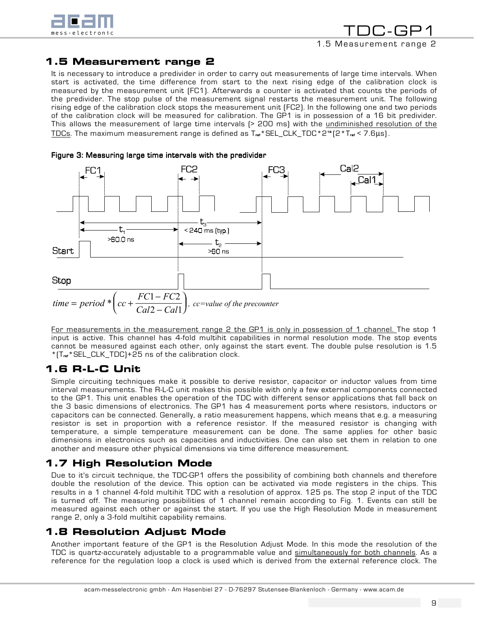

TDC-GP1 1.5 Measurement range 2

# 1.5 Measurement range 2

It is necessary to introduce a predivider in order to carry out measurements of large time intervals. When start is activated, the time difference from start to the next rising edge of the calibration clock is measured by the measurement unit (FC1). Afterwards a counter is activated that counts the periods of the predivider. The stop pulse of the measurement signal restarts the measurement unit. The following rising edge of the calibration clock stops the measurement unit (FC2). In the following one and two periods of the calibration clock will be measured for calibration. The GP1 is in possession of a 16 bit predivider. This allows the measurement of large time intervals (> 200 ms) with the undiminished resolution of the  $\overline{\rm TDCs}$ . The maximum measurement range is defined as T.  $^*$ SEL\_CLK\_TDC\*2" (2\*T.  $\epsilon$  < 7.6 $\mu$ s).





For measurements in the measurement range 2 the GP1 is only in possession of 1 channel. The stop 1 input is active. This channel has 4-fold multihit capabilities in normal resolution mode. The stop events cannot be measured against each other, only against the start event. The double pulse resolution is 1.5 \*(Tref\*SEL\_CLK\_TDC)+25 ns of the calibration clock.

# 1.6 R-L-C Unit

Simple circuiting techniques make it possible to derive resistor, capacitor or inductor values from time interval measurements. The R-L-C unit makes this possible with only a few external components connected to the GP1. This unit enables the operation of the TDC with different sensor applications that fall back on the 3 basic dimensions of electronics. The GP1 has 4 measurement ports where resistors, inductors or capacitors can be connected. Generally, a ratio measurement happens, which means that e.g. a measuring resistor is set in proportion with a reference resistor. If the measured resistor is changing with temperature, a simple temperature measurement can be done. The same applies for other basic dimensions in electronics such as capacities and inductivities. One can also set them in relation to one another and measure other physical dimensions via time difference measurement.

# 1.7 High Resolution Mode

Due to it's circuit technique, the TDC-GP1 offers the possibility of combining both channels and therefore double the resolution of the device. This option can be activated via mode registers in the chips. This results in a 1 channel 4-fold multihit TDC with a resolution of approx. 125 ps. The stop 2 input of the TDC is turned off. The measuring possibilities of 1 channel remain according to Fig. 1. Events can still be measured against each other or against the start. If you use the High Resolution Mode in measurement range 2, only a 3-fold multihit capability remains.

# 1.8 Resolution Adjust Mode

Another important feature of the GP1 is the Resolution Adjust Mode. In this mode the resolution of the TDC is quartz-accurately adjustable to a programmable value and simultaneously for both channels. As a reference for the regulation loop a clock is used which is derived from the external reference clock. The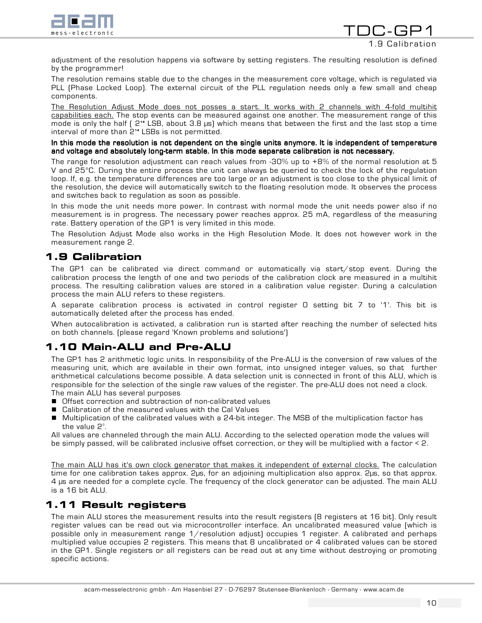

1.9 Calibration

TDC-GF

adjustment of the resolution happens via software by setting registers. The resulting resolution is defined by the programmer!

The resolution remains stable due to the changes in the measurement core voltage, which is regulated via PLL (Phase Locked Loop). The external circuit of the PLL regulation needs only a few small and cheap components.

The Resolution Adjust Mode does not posses a start. It works with 2 channels with 4-fold multihit capabilities each. The stop events can be measured against one another. The measurement range of this mode is only the half ( 2 14 LSB, about 3.8 µs) which means that between the first and the last stop a time interval of more than 2<sup>14</sup> LSBs is not permitted.

#### In this mode the resolution is not dependent on the single units anymore. It is independent of temperature and voltage and absolutely long-term stable. In this mode separate calibration is not necessary.

The range for resolution adjustment can reach values from -30% up to +8% of the normal resolution at 5 V and 25°C. During the entire process the unit can always be queried to check the lock of the regulation loop. If, e.g. the temperature differences are too large or an adjustment is too close to the physical limit of the resolution, the device will automatically switch to the floating resolution mode. It observes the process and switches back to regulation as soon as possible.

In this mode the unit needs more power. In contrast with normal mode the unit needs power also if no measurement is in progress. The necessary power reaches approx. 25 mA, regardless of the measuring rate. Battery operation of the GP1 is very limited in this mode.

The Resolution Adjust Mode also works in the High Resolution Mode. It does not however work in the measurement range 2.

# 1.9 Calibration

The GP1 can be calibrated via direct command or automatically via start/stop event. During the calibration process the length of one and two periods of the calibration clock are measured in a multihit process. The resulting calibration values are stored in a calibration value register. During a calculation process the main ALU refers to these registers.

A separate calibration process is activated in control register 0 setting bit 7 to '1'. This bit is automatically deleted after the process has ended.

When autocalibration is activated, a calibration run is started after reaching the number of selected hits on both channels. (please regard 'Known problems and solutions')

# 1.10 Main-ALU and Pre-ALU

The GP1 has 2 arithmetic logic units. In responsibility of the Pre-ALU is the conversion of raw values of the measuring unit, which are available in their own format, into unsigned integer values, so that further arithmetical calculations become possible. A data selection unit is connected in front of this ALU, which is responsible for the selection of the single raw values of the register. The pre-ALU does not need a clock. The main ALU has several purposes

- Offset correction and subtraction of non-calibrated values
- Calibration of the measured values with the Cal Values
- ! Multiplication of the calibrated values with a 24-bit integer. The MSB of the multiplication factor has the value  $2^{\circ}$ .

All values are channeled through the main ALU. According to the selected operation mode the values will be simply passed, will be calibrated inclusive offset correction, or they will be multiplied with a factor < 2.

The main ALU has it's own clock generator that makes it independent of external clocks. The calculation time for one calibration takes approx. 2µs, for an adjoining multiplication also approx. 2µs, so that approx. 4 µs are needed for a complete cycle. The frequency of the clock generator can be adjusted. The main ALU is a 16 bit ALU.

# 1.11 Result registers

The main ALU stores the measurement results into the result registers (8 registers at 16 bit). Only result register values can be read out via microcontroller interface. An uncalibrated measured value (which is possible only in measurement range 1/resolution adjust) occupies 1 register. A calibrated and perhaps multiplied value occupies 2 registers. This means that 8 uncalibrated or 4 calibrated values can be stored in the GP1. Single registers or all registers can be read out at any time without destroying or promoting specific actions.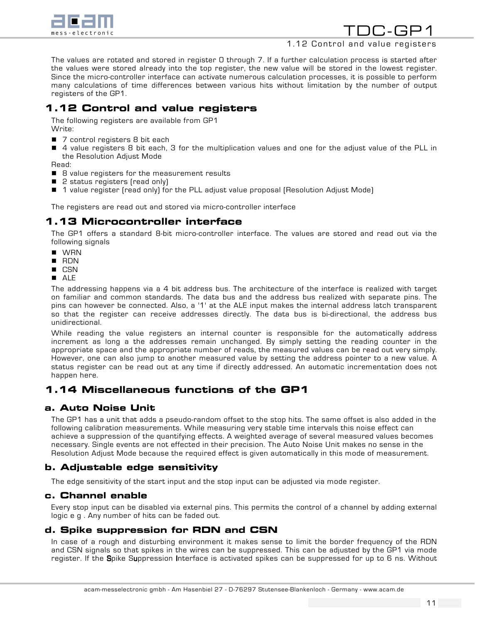

## 1.12 Control and value registers

The values are rotated and stored in register 0 through 7. If a further calculation process is started after the values were stored already into the top register, the new value will be stored in the lowest register. Since the micro-controller interface can activate numerous calculation processes, it is possible to perform many calculations of time differences between various hits without limitation by the number of output registers of the GP1.

# 1.12 Control and value registers

The following registers are available from GP1 Write:

- 7 control registers 8 bit each
- 4 value registers 8 bit each, 3 for the multiplication values and one for the adjust value of the PLL in the Resolution Adjust Mode

Read:

- 8 value registers for the measurement results
- 2 status registers (read only)
- 1 value register (read only) for the PLL adjust value proposal (Resolution Adjust Mode)

The registers are read out and stored via micro-controller interface

# 1.13 Microcontroller interface

The GP1 offers a standard 8-bit micro-controller interface. The values are stored and read out via the following signals

- **I** WRN
- ! RDN
- **CSN**
- ! ALE

The addressing happens via a 4 bit address bus. The architecture of the interface is realized with target on familiar and common standards. The data bus and the address bus realized with separate pins. The pins can however be connected. Also, a '1' at the ALE input makes the internal address latch transparent so that the register can receive addresses directly. The data bus is bi-directional, the address bus unidirectional.

While reading the value registers an internal counter is responsible for the automatically address increment as long a the addresses remain unchanged. By simply setting the reading counter in the appropriate space and the appropriate number of reads, the measured values can be read out very simply. However, one can also jump to another measured value by setting the address pointer to a new value. A status register can be read out at any time if directly addressed. An automatic incrementation does not happen here.

# 1.14 Miscellaneous functions of the GP1

# a. Auto Noise Unit

The GP1 has a unit that adds a pseudo-random offset to the stop hits. The same offset is also added in the following calibration measurements. While measuring very stable time intervals this noise effect can achieve a suppression of the quantifying effects. A weighted average of several measured values becomes necessary. Single events are not effected in their precision. The Auto Noise Unit makes no sense in the Resolution Adjust Mode because the required effect is given automatically in this mode of measurement.

# b. Adjustable edge sensitivity

The edge sensitivity of the start input and the stop input can be adjusted via mode register.

## c. Channel enable

Every stop input can be disabled via external pins. This permits the control of a channel by adding external logic e g . Any number of hits can be faded out.

## d. Spike suppression for RDN and CSN

In case of a rough and disturbing environment it makes sense to limit the border frequency of the RDN and CSN signals so that spikes in the wires can be suppressed. This can be adjusted by the GP1 via mode register. If the Spike Suppression Interface is activated spikes can be suppressed for up to 6 ns. Without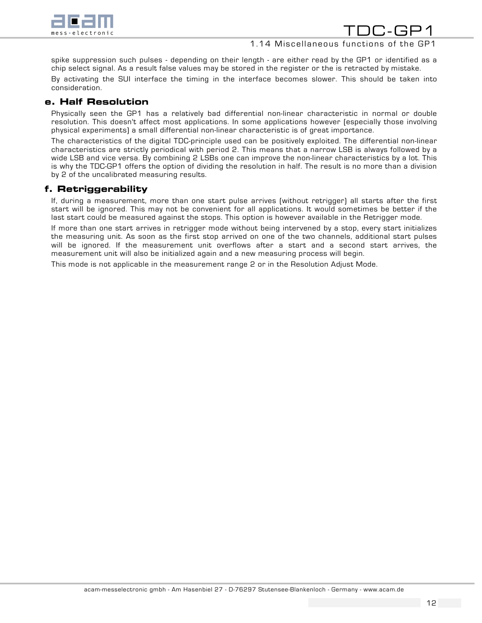

# 1.14 Miscellaneous functions of the GP1

10.-GF

spike suppression such pulses - depending on their length - are either read by the GP1 or identified as a chip select signal. As a result false values may be stored in the register or the is retracted by mistake.

By activating the SUI interface the timing in the interface becomes slower. This should be taken into consideration.

## e. Half Resolution

Physically seen the GP1 has a relatively bad differential non-linear characteristic in normal or double resolution. This doesn't affect most applications. In some applications however (especially those involving physical experiments) a small differential non-linear characteristic is of great importance.

The characteristics of the digital TDC-principle used can be positively exploited. The differential non-linear characteristics are strictly periodical with period 2. This means that a narrow LSB is always followed by a wide LSB and vice versa. By combining 2 LSBs one can improve the non-linear characteristics by a lot. This is why the TDC-GP1 offers the option of dividing the resolution in half. The result is no more than a division by 2 of the uncalibrated measuring results.

# f. Retriggerability

If, during a measurement, more than one start pulse arrives (without retrigger) all starts after the first start will be ignored. This may not be convenient for all applications. It would sometimes be better if the last start could be measured against the stops. This option is however available in the Retrigger mode.

If more than one start arrives in retrigger mode without being intervened by a stop, every start initializes the measuring unit. As soon as the first stop arrived on one of the two channels, additional start pulses will be ignored. If the measurement unit overflows after a start and a second start arrives, the measurement unit will also be initialized again and a new measuring process will begin.

This mode is not applicable in the measurement range 2 or in the Resolution Adjust Mode.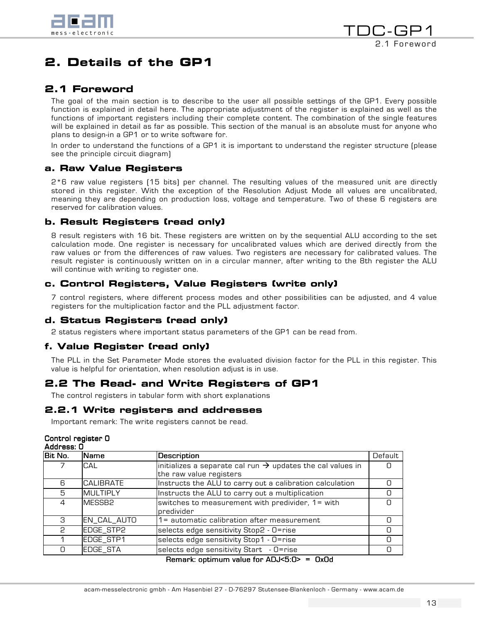

# 2. Details of the GP1

# 2.1 Foreword

The goal of the main section is to describe to the user all possible settings of the GP1. Every possible function is explained in detail here. The appropriate adjustment of the register is explained as well as the functions of important registers including their complete content. The combination of the single features will be explained in detail as far as possible. This section of the manual is an absolute must for anyone who plans to design-in a GP1 or to write software for.

In order to understand the functions of a GP1 it is important to understand the register structure (please see the principle circuit diagram)

# a. Raw Value Registers

2\*6 raw value registers (15 bits) per channel. The resulting values of the measured unit are directly stored in this register. With the exception of the Resolution Adjust Mode all values are uncalibrated, meaning they are depending on production loss, voltage and temperature. Two of these 6 registers are reserved for calibration values.

# b. Result Registers (read only)

8 result registers with 16 bit. These registers are written on by the sequential ALU according to the set calculation mode. One register is necessary for uncalibrated values which are derived directly from the raw values or from the differences of raw values. Two registers are necessary for calibrated values. The result register is continuously written on in a circular manner, after writing to the 8th register the ALU will continue with writing to register one.

# c. Control Registers, Value Registers (write only)

7 control registers, where different process modes and other possibilities can be adjusted, and 4 value registers for the multiplication factor and the PLL adjustment factor.

## d. Status Registers (read only)

2 status registers where important status parameters of the GP1 can be read from.

# f. Value Register (read only)

The PLL in the Set Parameter Mode stores the evaluated division factor for the PLL in this register. This value is helpful for orientation, when resolution adjust is in use.

# 2.2 The Read- and Write Registers of GP1

The control registers in tabular form with short explanations

## 2.2.1 Write registers and addresses

Important remark: The write registers cannot be read.

#### Control register 0

| Address: 0    |                    |                                                                                                   |         |  |
|---------------|--------------------|---------------------------------------------------------------------------------------------------|---------|--|
| lBit No.      | Name               | Description                                                                                       | Default |  |
|               | <b>CAL</b>         | initializes a separate cal run $\rightarrow$ updates the cal values in<br>the raw value registers |         |  |
| 6             | <b>CALIBRATE</b>   | Instructs the ALU to carry out a calibration calculation                                          |         |  |
| 5             | <b>MULTIPLY</b>    | Instructs the ALU to carry out a multiplication                                                   | Ω       |  |
| 4             | MESSB <sub>2</sub> | switches to measurement with predivider, 1= with<br>predivider                                    | Ω       |  |
| $\mathcal{B}$ | EN_CAL_AUTO        | 1= automatic calibration after measurement                                                        | n       |  |
| 2             | EDGE_STP2          | selects edge sensitivity Stop2 - O=rise                                                           | 0       |  |
|               | EDGE_STP1          | selects edge sensitivity Stop1 - O=rise                                                           | Ω       |  |
|               | EDGE_STA           | selects edge sensitivity Start - O=rise                                                           |         |  |

#### Remark: optimum value for  $ADJ < 5:0$  = 0x0d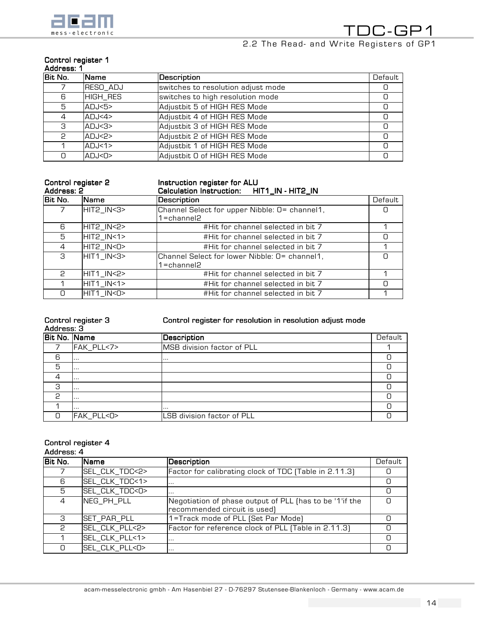

# Control register 1

| ddre-<br>$-$ |  |
|--------------|--|
|              |  |

| Bit No. | <b>Name</b>      | Description                        | Default |
|---------|------------------|------------------------------------|---------|
|         | RESO_ADJ         | switches to resolution adjust mode |         |
| 6       | HIGH_RES         | switches to high resolution mode   |         |
| 5       | ADJ<5>           | Adjustbit 5 of HIGH RES Mode       | Ω       |
| 4       | ADJ < 4          | Adjustbit 4 of HIGH RES Mode       |         |
| З       | ADJ < 3          | Adjustbit 3 of HIGH RES Mode       |         |
| P       | ADJ <sub>2</sub> | Adjustbit 2 of HIGH RES Mode       | Ω       |
|         | ADJ<1>           | Adjustbit 1 of HIGH RES Mode       | Ω       |
| O.      | ADJ < D          | Adjustbit O of HIGH RES Mode       |         |

#### Control register 2

## Instruction register for ALU

| Address: 2 |             | Calculation Instruction: HIT1_IN - HIT2_IN                         |         |
|------------|-------------|--------------------------------------------------------------------|---------|
| Bit No.    | <b>Name</b> | Description                                                        | Default |
|            | HIT2_IN<3>  | Channel Select for upper Nibble: 0= channel1,<br>$1 =$ channel $2$ |         |
| 6          | HIT2_IN<2>  | #Hit for channel selected in bit 7                                 |         |
| 5          | HIT2_IN<1>  | #Hit for channel selected in bit 7                                 |         |
| 4          | HIT2_IN<0>  | #Hit for channel selected in bit 7                                 |         |
| 3          | HIT1_IN<3>  | Channel Select for lower Nibble: 0= channel1,<br>1=channel2        |         |
| P          | HIT1_IN<2>  | #Hit for channel selected in bit 7                                 |         |
|            | HIT1_IN<1>  | #Hit for channel selected in bit 7                                 |         |
| n          | HIT1_IN<0>  | #Hit for channel selected in bit 7                                 |         |

| Control register 3<br>Address: 3 |            | Control register for resolution in resolution adjust mode |         |  |
|----------------------------------|------------|-----------------------------------------------------------|---------|--|
| Bit No. Name                     |            | Description                                               | Default |  |
|                                  | FAK_PLL<7> | <b>MSB</b> division factor of PLL                         |         |  |
| 6                                |            |                                                           |         |  |
| 5                                | $\cdots$   |                                                           |         |  |
| 4                                | $\cdots$   |                                                           |         |  |
| З                                | $\cdots$   |                                                           |         |  |
| P                                | $\cdots$   |                                                           |         |  |
|                                  | $\cdots$   | $\cdots$                                                  |         |  |
|                                  | FAK_PLL<0> | LSB division factor of PLL                                |         |  |

#### Control register 4 Address: 4

| Bit No. | Name           | <b>Description</b>                                                                      | Default |
|---------|----------------|-----------------------------------------------------------------------------------------|---------|
|         | SEL_CLK_TDC<2> | Factor for calibrating clock of TDC (Table in 2.11.3)                                   |         |
| 6       | SEL_CLK_TDC<1> | .                                                                                       |         |
| 5       | SEL_CLK_TDC<0> | $\cdots$                                                                                |         |
|         | NEG_PH_PLL     | Negotiation of phase output of PLL (has to be '1'if the<br>recommended circuit is used) |         |
| З       | SET_PAR_PLL    | 1=Track mode of PLL (Set Par Mode)                                                      |         |
| ς       | SEL_CLK_PLL<2> | Factor for reference clock of PLL (Table in 2.11.3)                                     |         |
|         | SEL_CLK_PLL<1> | $\cdots$                                                                                | n       |
|         | SEL_CLK_PLL<0> |                                                                                         |         |
|         |                |                                                                                         |         |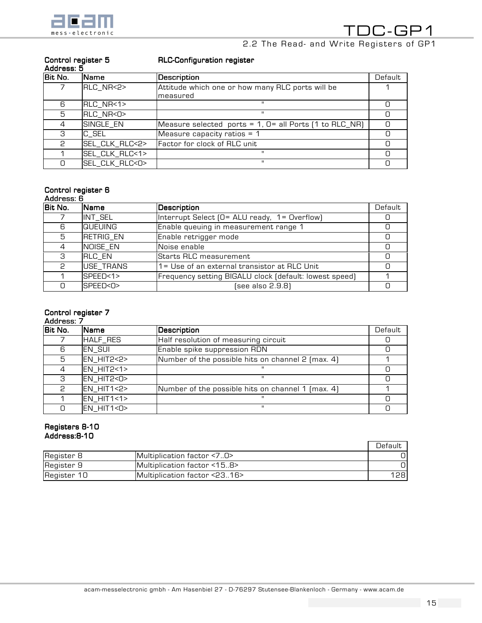

# 2.2 The Read- and Write Registers of GP1

| Address: 5 |                |                                                                      |         |  |
|------------|----------------|----------------------------------------------------------------------|---------|--|
| Bit No.    | <b>Name</b>    | Description                                                          | Default |  |
|            | RLC_NR<2>      | Attitude which one or how many RLC ports will be                     |         |  |
|            |                | Imeasured                                                            |         |  |
| 6          | RLC_NR<1>      |                                                                      |         |  |
| 5          | RLC NR<0>      | ш                                                                    |         |  |
|            | SINGLE_EN      | Measure selected ports = $1, 0 =$ all Ports $[1 \text{ to RLC\_NR}]$ |         |  |
| З          | C_SEL          | Measure capacity ratios $= 1$                                        |         |  |
| P          | SEL_CLK_RLC<2> | Factor for clock of RLC unit                                         |         |  |
|            | SEL_CLK_RLC<1> | н                                                                    |         |  |
|            | SEL_CLK_RLC<0> | $\mathbf{H}$                                                         |         |  |

RLC-Configuration register

# Control register 5

## Control register 6

| Address: |  |
|----------|--|
|          |  |

| Bit No. | <b>Name</b>      | Description                                            | Default |
|---------|------------------|--------------------------------------------------------|---------|
|         | INT_SEL          | Interrupt Select (O= ALU ready, 1= Overflow)           |         |
| 6       | <b>QUEUING</b>   | Enable queuing in measurement range 1                  |         |
| 5       | <b>RETRIG_EN</b> | Enable retrigger mode                                  |         |
|         | NOISE_EN         | Noise enable                                           |         |
| З       | <b>RLC EN</b>    | Starts RLC measurement                                 |         |
| 2       | USE TRANS        | 1= Use of an external transistor at RLC Unit           |         |
|         | SPEED<1>         | Frequency setting BIGALU clock (default: lowest speed) |         |
| Ω       | SPEED<0>         | (see also 2.9.8)                                       |         |

## Control register 7

## <u>Address: 7</u><br>Bit No. **Name** Description **Description** 7 HALF\_RES Half resolution of measuring circuit 1 0 6 **EN\_SUI Enable spike suppression RDN 1** 0 5 EN\_HIT2<2> Number of the possible hits on channel 2 (max. 4) 1 4 EN\_HIT2<1> " 0 3 EN\_HIT2<0> " 0 2 EN\_HIT1<2> Number of the possible hits on channel 1 (max. 4) 1 1 EN\_HIT1<1> " 0 0 EN\_HIT1<0> " 0

### Registers 8-10 Address:8-10

|             |                              | Default |
|-------------|------------------------------|---------|
| Register 8  | Multiolication factor < 7.0  |         |
| Register 9  | Multiplication factor <158>  |         |
| Register 10 | Multiplication factor <2316> | 1281    |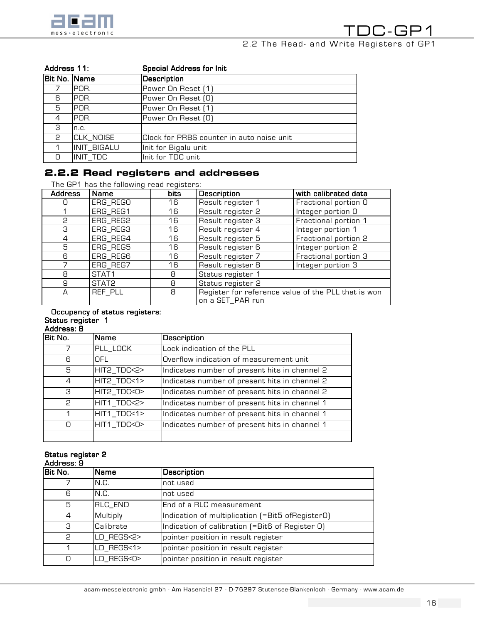

| Address 11:  |             | <b>Special Address for Init</b>           |
|--------------|-------------|-------------------------------------------|
| Bit No. Name |             | Description                               |
|              | POR.        | Power On Reset [1]                        |
| 6            | IPOR.       | Power On Reset (O)                        |
| 5            | POR.        | Power On Reset [1]                        |
| 4            | IPOR.       | Power On Reset (O)                        |
| З            | n.c.        |                                           |
| P            | CLK_NOISE   | Clock for PRBS counter in auto noise unit |
|              | INIT_BIGALU | Init for Bigalu unit                      |
|              | INIT TDC    | Init for TDC unit                         |

# 2.2.2 Read registers and addresses

The GP1 has the following read registers:

| <b>Address</b> | Name              | bits | <b>Description</b>                                                      | with calibrated data |
|----------------|-------------------|------|-------------------------------------------------------------------------|----------------------|
|                | ERG_REGO          | 16   | Result register 1                                                       | Fractional portion O |
|                | ERG_REG1          | 16   | Result register 2                                                       | Integer portion O    |
| P              | ERG_REG2          | 16   | Result register 3                                                       | Fractional portion 1 |
| 3              | ERG_REG3          | 16   | Result register 4                                                       | Integer portion 1    |
| 4              | ERG_REG4          | 16   | Result register 5                                                       | Fractional portion 2 |
| 5              | ERG_REG5          | 16   | Result register 6                                                       | Integer portion 2    |
| 6              | ERG_REG6          | 16   | Result register 7                                                       | Fractional portion 3 |
|                | ERG_REG7          | 16   | Result register 8                                                       | Integer portion 3    |
| 8              | STAT <sub>1</sub> | 8    | Status register 1                                                       |                      |
| 9              | STAT2             | 8    | Status register 2                                                       |                      |
| A              | REF_PLL           | 8    | Register for reference value of the PLL that is won<br>on a SET_PAR run |                      |

#### Occupancy of status registers: Status register 1

Address: 8

| Bit No. | <b>Name</b> | Description                                   |
|---------|-------------|-----------------------------------------------|
| 7       | PLL_LOCK    | Lock indication of the PLL                    |
| 6       | OFL         | Overflow indication of measurement unit       |
| 5       | HIT2_TDC<2> | Indicates number of present hits in channel 2 |
| 4       | HIT2_TDC<1> | Indicates number of present hits in channel 2 |
| З       | HIT2_TDC<0> | Indicates number of present hits in channel 2 |
| P       | HIT1_TDC<2> | Indicates number of present hits in channel 1 |
| 1       | HIT1_TDC<1> | Indicates number of present hits in channel 1 |
| n       | HIT1_TDC<0> | Indicates number of present hits in channel 1 |
|         |             |                                               |

# Status register 2

| Address: 9 |                  |                                                  |  |  |
|------------|------------------|--------------------------------------------------|--|--|
| Bit No.    | Name             | Description                                      |  |  |
|            | N.C.             | not used                                         |  |  |
| 6          | N.C.             | not used                                         |  |  |
| 5          | RLC_END          | lEnd of a RLC measurement                        |  |  |
| 4          | Multiply         | Indication of multiplication (=Bit5 ofRegister0) |  |  |
| З          | <b>Calibrate</b> | Indication of calibration [=Bit6 of Register 0]  |  |  |
| P          | LD_REGS<2>       | pointer position in result register              |  |  |
| 1          | LD_REGS<1>       | pointer position in result register              |  |  |
| n          | LD_REGS<0>       | pointer position in result register              |  |  |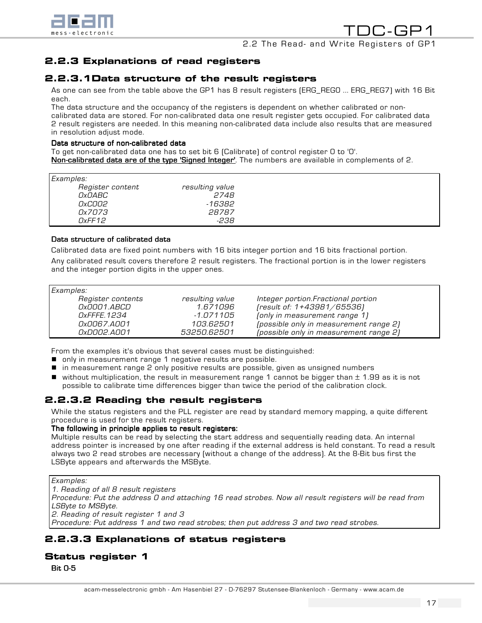

2.2 The Read- and Write Registers of GP1

# 2.2.3 Explanations of read registers

## 2.2.3.1Data structure of the result registers

As one can see from the table above the GP1 has 8 result registers (ERG\_REG0 ... ERG\_REG7)with 16 Bit each.

The data structure and the occupancy of the registers is dependent on whether calibrated or noncalibrated data are stored. For non-calibrated data one result register gets occupied. For calibrated data 2 result registers are needed. In this meaning non-calibrated data include also results that are measured in resolution adjust mode.

#### Data structure of non-calibrated data

To get non-calibrated data one has to set bit 6 (Calibrate) of control register 0 to '0'. Non-calibrated data are of the type 'Signed Integer'. The numbers are available in complements of 2.

| Examples:        |                 |  |  |  |
|------------------|-----------------|--|--|--|
| Register content | resulting value |  |  |  |
| <i>OxOABC</i>    | 2748            |  |  |  |
| <i>OxCOO2</i>    | -16382          |  |  |  |
| 0x7073           | 28787           |  |  |  |
| DxFF12           | -238            |  |  |  |

#### Data structure of calibrated data

Calibrated data are fixed point numbers with 16 bits integer portion and 16 bits fractional portion.

Any calibrated result covers therefore 2 result registers. The fractional portion is in the lower registers and the integer portion digits in the upper ones.

| Examples:          |                 |                                        |  |  |  |
|--------------------|-----------------|----------------------------------------|--|--|--|
| Register contents  | resulting value | Integer portion. Fractional portion    |  |  |  |
| 0x0001.ABCD        | 1.671096        | [result of: 1+43981/65536]             |  |  |  |
| <i>OxFFFE.1234</i> | -1.071105       | (only in measurement range 1)          |  |  |  |
| 0x0067.A001        | 103.62501       | (possible only in measurement range 2) |  |  |  |
| 0xD002.A001        | 53250.62501     | (possible only in measurement range 2) |  |  |  |

From the examples it's obvious that several cases must be distinguished:

- **n** only in measurement range 1 negative results are possible.
- in measurement range 2 only positive results are possible, given as unsigned numbers
- $\blacksquare$  without multiplication, the result in measurement range 1 cannot be bigger than  $\pm$  1.99 as it is not possible to calibrate time differences bigger than twice the period of the calibration clock.

# 2.2.3.2 Reading the result registers

While the status registers and the PLL register are read by standard memory mapping, a quite different procedure is used for the result registers.

#### The following in principle applies to result registers:

Multiple results can be read by selecting the start address and sequentially reading data. An internal address pointer is increased by one after reading if the external address is held constant. To read a result always two 2 read strobes are necessary (without a change of the address). At the 8-Bit bus first the LSByte appears and afterwards the MSByte.

Examples:

1. Reading of all 8 result registers

Procedure: Put the address 0 and attaching 16 read strobes. Now all result registers will be read from LSByte to MSByte.

2. Reading of result register 1 and 3

Procedure: Put address 1 and two read strobes; then put address 3 and two read strobes.

# 2.2.3.3 Explanations of status registers

# Status register 1

Bit 0-5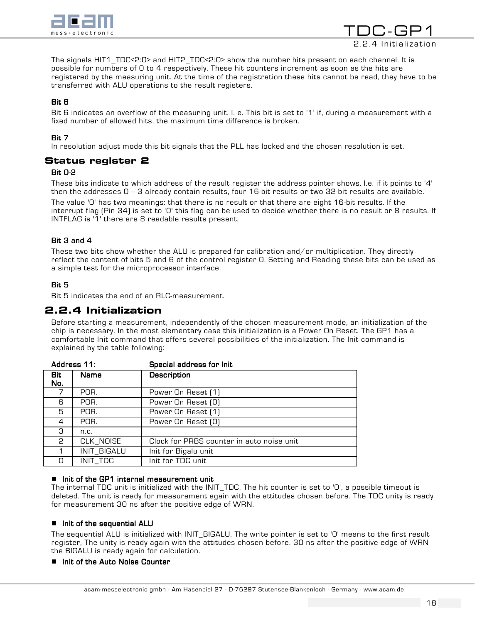

TNC-GF 2.2.4 Initialization

The signals HIT1\_TDC<2:0> and HIT2\_TDC<2:0> show the number hits present on each channel. It is possible for numbers of 0 to 4 respectively. These hit counters increment as soon as the hits are registered by the measuring unit. At the time of the registration these hits cannot be read, they have to be transferred with ALU operations to the result registers.

## Bit 6

Bit 6 indicates an overflow of the measuring unit. I. e. This bit is set to '1' if, during a measurement with a fixed number of allowed hits, the maximum time difference is broken.

## Bit 7

In resolution adjust mode this bit signals that the PLL has locked and the chosen resolution is set.

## Status register 2

#### Bit 0-2

These bits indicate to which address of the result register the address pointer shows. I.e. if it points to '4' then the addresses  $0 - 3$  already contain results, four 16-bit results or two 32-bit results are available.

The value '0' has two meanings: that there is no result or that there are eight 16-bit results. If the interrupt flag (Pin 34) is set to '0' this flag can be used to decide whether there is no result or 8 results. If INTFLAG is '1' there are 8 readable results present.

#### Bit  $3$  and  $4$

These two bits show whether the ALU is prepared for calibration and/or multiplication. They directly reflect the content of bits 5 and 6 of the control register 0. Setting and Reading these bits can be used as a simple test for the microprocessor interface.

#### Bit 5

Bit 5 indicates the end of an RLC-measurement.

## 2.2.4 Initialization

Before starting a measurement, independently of the chosen measurement mode, an initialization of the chip is necessary. In the most elementary case this initialization is a Power On Reset. The GP1 has a comfortable Init command that offers several possibilities of the initialization. The Init command is explained by the table following:

| Address 11: | Special address for Init                  |
|-------------|-------------------------------------------|
| Name        | <b>Description</b>                        |
|             |                                           |
| POR.        | Power On Reset [1]                        |
| POR.        | Power On Reset (O)                        |
| POR.        | Power On Reset [1]                        |
| POR.        | Power On Reset (0)                        |
| n.c.        |                                           |
| CLK_NOISE   | Clock for PRBS counter in auto noise unit |
| INIT_BIGALU | Init for Bigalu unit                      |
| INIT_TDC    | Init for TDC unit                         |
|             |                                           |

#### $\blacksquare$  Init of the GP1 internal measurement unit

The internal TDC unit is initialized with the INIT\_TDC. The hit counter is set to '0', a possible timeout is deleted. The unit is ready for measurement again with the attitudes chosen before. The TDC unity is ready for measurement 30 ns after the positive edge of WRN.

#### $\blacksquare$  Init of the sequential ALU

The sequential ALU is initialized with INIT\_BIGALU. The write pointer is set to '0' means to the first result register, The unity is ready again with the attitudes chosen before. 30 ns after the positive edge of WRN the BIGALU is ready again for calculation.

#### **II** Init of the Auto Noise Counter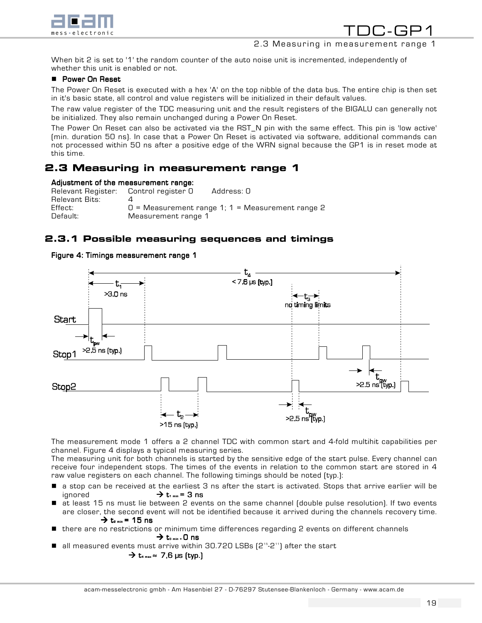

## 2.3 Measuring in measurement range 1

When bit 2 is set to '1' the random counter of the auto noise unit is incremented, independently of whether this unit is enabled or not.

#### **E** Power On Reset

The Power On Reset is executed with a hex 'A' on the top nibble of the data bus. The entire chip is then set in it's basic state, all control and value registers will be initialized in their default values.

The raw value register of the TDC measuring unit and the result registers of the BIGALU can generally not be initialized. They also remain unchanged during a Power On Reset.

The Power On Reset can also be activated via the RST\_N pin with the same effect. This pin is 'low active' (min. duration 50 ns). In case that a Power On Reset is activated via software, additional commands can not processed within 50 ns after a positive edge of the WRN signal because the GP1 is in reset mode at this time.

# 2.3 Measuring in measurement range 1

#### Adjustment of the measurement range:

| Relevant Register: Control register O |                     | Address: O                                         |
|---------------------------------------|---------------------|----------------------------------------------------|
| Relevant Bits:                        |                     |                                                    |
| Effect:                               |                     | $0$ = Measurement range 1; 1 = Measurement range 2 |
| Default:                              | Measurement range 1 |                                                    |

# 2.3.1 Possible measuring sequences and timings

#### Figure 4: Timings measurement range 1



The measurement mode 1 offers a 2 channel TDC with common start and 4-fold multihit capabilities per channel. Figure 4 displays a typical measuring series.

The measuring unit for both channels is started by the sensitive edge of the start pulse. Every channel can receive four independent stops. The times of the events in relation to the common start are stored in 4 raw value registers on each channel. The following timings should be noted (typ.):

- $\blacksquare$  a stop can be received at the earliest 3 ns after the start is activated. Stops that arrive earlier will be ignored  $\rightarrow t_{1 \text{ min}} = 3 \text{ ns}$
- $\blacksquare$  at least 15 ns must lie between 2 events on the same channel (double pulse resolution). If two events are closer, the second event will not be identified because it arrived during the channels recovery time.  $\rightarrow$  t<sub>2 min</sub> = 15 ns
- there are no restrictions or minimum time differences regarding 2 events on different channels

 $\rightarrow$  t<sub>3 min</sub> = 0 ns

 $\blacksquare$  all measured events must arrive within 30.720 LSBs  $[2^{15}\text{-}2^{11}]$  after the start

$$
\rightarrow t_{4\max} \approx 7.6 \text{ }\mu\text{s (typ.)}
$$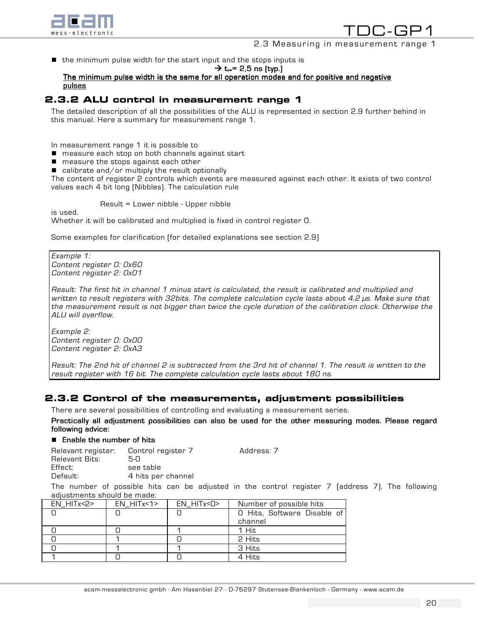

2.3 Measuring in measurement range 1

 $\blacksquare$  the minimum pulse width for the start input and the stops inputs is

 $\rightarrow$  t<sub>r</sub> = 2,5 ns (typ.)

## The minimum pulse width is the same for all operation modes and for positive and negative **pulses**

# 2.3.2 ALU control in measurement range 1

The detailed description of all the possibilities of the ALU is represented in section 2.9 further behind in this manual. Here a summary for measurement range 1.

In measurement range 1 it is possible to

- measure each stop on both channels against start
- measure the stops against each other
- $\Box$  calibrate and/or multiply the result optionally

The content of register 2 controls which events are measured against each other. It exists of two control values each 4 bit long (Nibbles). The calculation rule

Result = Lower nibble - Upper nibble

Whether it will be calibrated and multiplied is fixed in control register 0.

Some examples for clarification (for detailed explanations see section 2.9)

Example 1: Content register 0: 0x60 Content register 2: 0x01

is used.

Result: The first hit in channel 1 minus start is calculated, the result is calibrated and multiplied and written to result registers with 32bits. The complete calculation cycle lasts about 4.2 µs. Make sure that the measurement result is not bigger than twice the cycle duration of the calibration clock. Otherwise the ALU will overflow.

Example 2: Content register 0: 0x00 Content register 2: 0xA3

Result: The 2nd hit of channel 2 is subtracted from the 3rd hit of channel 1. The result is written to the result register with 16 bit. The complete calculation cycle lasts about 180 ns.

# 2.3.2 Control of the measurements, adjustment possibilities

There are several possibilities of controlling and evaluating a measurement series.

Practically all adjustment possibilities can also be used for the other measuring modes. Please regard following advice:

#### $\blacksquare$  Enable the number of hits

Relevant register: Control register 7 Address: 7 Relevant Bits: 5-0 see table Default: 4 hits per channel The number of possible hits can be adjusted in the control register 7 (address 7). The following

adjustments should be made: EN\_HITx<2> EN\_HITx<1> EN\_HITx<0> Number of possible hits

| _ _ _ _ _ _ _ _ _ _ _ | _ _ _ _ _ _ _ _ _ _ _ _ _ _ _ _ _ _ | _ _ _ _ _ _ _ _ _ _ |                                        |
|-----------------------|-------------------------------------|---------------------|----------------------------------------|
|                       |                                     |                     | O Hits, Software Disable of<br>channel |
|                       |                                     |                     | 1 Hit                                  |
|                       |                                     |                     | 2 Hits                                 |
|                       |                                     |                     | 3 Hits                                 |
|                       |                                     |                     | 4 Hits                                 |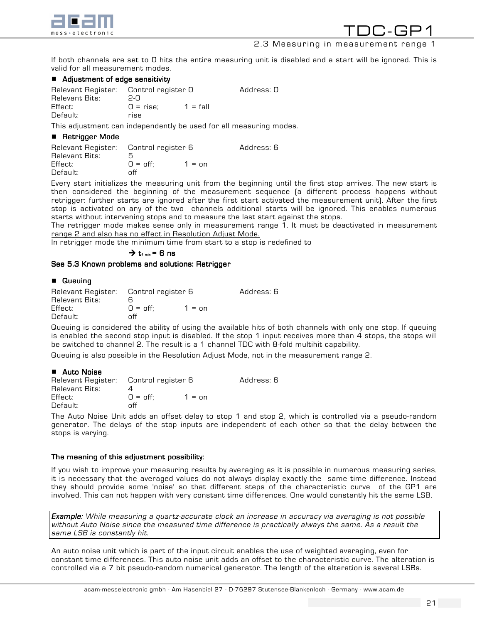

TDC-GP1 2.3 Measuring in measurement range 1

If both channels are set to 0 hits the entire measuring unit is disabled and a start will be ignored. This is valid for all measurement modes.

#### $\blacksquare$  Adjustment of edge sensitivity

| Relevant Register: | Control register O |            | Address: O |
|--------------------|--------------------|------------|------------|
| Relevant Bits:     | 2-N                |            |            |
| Effect:            | $0 = rise$         | $1 = fall$ |            |
| Default:           | rise               |            |            |

This adjustment can independently be used for all measuring modes.

#### ■ Retrigger Mode

| Relevant Register: Control register 6 |                  |                 | Address: 6 |
|---------------------------------------|------------------|-----------------|------------|
| Relevant Bits:                        |                  |                 |            |
| Effect:                               | $Q = \text{off}$ | $1 = \text{nn}$ |            |
| Default:                              | nff              |                 |            |

Every start initializes the measuring unit from the beginning until the first stop arrives. The new start is then considered the beginning of the measurement sequence (a different process happens without retrigger: further starts are ignored after the first start activated the measurement unit). After the first stop is activated on any of the two channels additional starts will be ignored. This enables numerous starts without intervening stops and to measure the last start against the stops.

The retrigger mode makes sense only in measurement range 1. It must be deactivated in measurement range 2 and also has no effect in Resolution Adjust Mode.

In retrigger mode the minimum time from start to a stop is redefined to

 $\rightarrow t$ <sub>1 min</sub> = 6 ns

#### See 5.3 Known problems and solutions: Retrigger

#### **B** Queuing

| Relevant Register: Control register 6 |                  |                 | Address: 6 |
|---------------------------------------|------------------|-----------------|------------|
| Relevant Bits:                        |                  |                 |            |
| Effect:                               | $Q = \text{off}$ | $1 = \text{nn}$ |            |
| Default:                              | ∩ff              |                 |            |

Queuing is considered the ability of using the available hits of both channels with only one stop. If queuing is enabled the second stop input is disabled. If the stop 1 input receives more than 4 stops, the stops will be switched to channel 2. The result is a 1 channel TDC with 8-fold multihit capability.

Queuing is also possible in the Resolution Adjust Mode, not in the measurement range 2.

#### **E** Auto Noise

| Relevant Register: Control register 6 |                  |                 | Address: 6 |
|---------------------------------------|------------------|-----------------|------------|
| Relevant Bits:                        |                  |                 |            |
| Effect:                               | $Q = \text{off}$ | $1 = \text{nn}$ |            |
| Default:                              | ∩ff              |                 |            |

The Auto Noise Unit adds an offset delay to stop 1 and stop 2, which is controlled via a pseudo-random generator. The delays of the stop inputs are independent of each other so that the delay between the stops is varying.

#### The meaning of this adjustment possibility:

If you wish to improve your measuring results by averaging as it is possible in numerous measuring series, it is necessary that the averaged values do not always display exactly the same time difference. Instead they should provide some 'noise' so that different steps of the characteristic curve of the GP1 are involved. This can not happen with very constant time differences. One would constantly hit the same LSB.

Example: While measuring a quartz-accurate clock an increase in accuracy via averaging is not possible without Auto Noise since the measured time difference is practically always the same. As a result the same LSB is constantly hit.

An auto noise unit which is part of the input circuit enables the use of weighted averaging, even for constant time differences. This auto noise unit adds an offset to the characteristic curve. The alteration is controlled via a 7 bit pseudo-random numerical generator. The length of the alteration is several LSBs.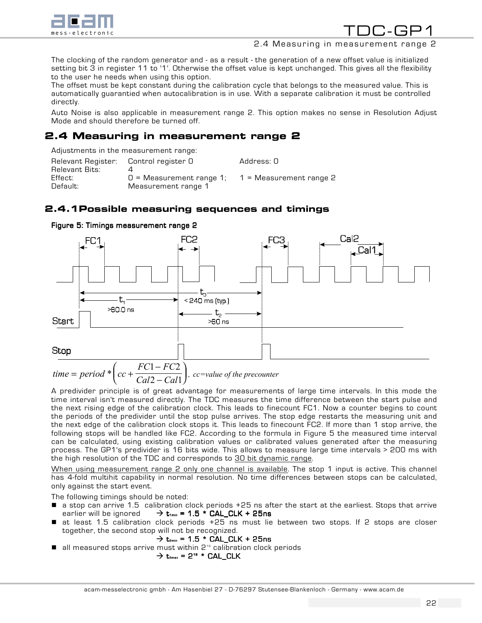

## 2.4 Measuring in measurement range 2

The clocking of the random generator and - as a result - the generation of a new offset value is initialized setting bit 3 in register 11 to '1'. Otherwise the offset value is kept unchanged. This gives all the flexibility to the user he needs when using this option.

The offset must be kept constant during the calibration cycle that belongs to the measured value. This is automatically guarantied when autocalibration is in use. With a separate calibration it must be controlled directly.

Auto Noise is also applicable in measurement range 2. This option makes no sense in Resolution Adjust Mode and should therefore be turned off.

# 2.4 Measuring in measurement range 2

Adjustments in the measurement range:

| Relevant Register:     Control register O |                            | Address: O                |
|-------------------------------------------|----------------------------|---------------------------|
| Relevant Bits:                            |                            |                           |
| Effect:                                   | $0$ = Measurement range 1; | $1$ = Measurement range 2 |
| Default:                                  | Measurement range 1        |                           |

# 2.4.1Possible measuring sequences and timings





A predivider principle is of great advantage for measurements of large time intervals. In this mode the time interval isn't measured directly. The TDC measures the time difference between the start pulse and the next rising edge of the calibration clock. This leads to finecount FC1. Now a counter begins to count the periods of the predivider until the stop pulse arrives. The stop edge restarts the measuring unit and the next edge of the calibration clock stops it. This leads to finecount FC2. If more than 1 stop arrive, the following stops will be handled like FC2. According to the formula in Figure 5 the measured time interval can be calculated, using existing calibration values or calibrated values generated after the measuring process. The GP1's predivider is 16 bits wide. This allows to measure large time intervals > 200 ms with the high resolution of the TDC and corresponds to 30 bit dynamic range.

When using measurement range 2 only one channel is available. The stop 1 input is active. This channel has 4-fold multihit capability in normal resolution. No time differences between stops can be calculated, only against the start event.

The following timings should be noted:

- a stop can arrive 1.5 calibration clock periods +25 ns after the start at the earliest. Stops that arrive earlier will be ignored  $\rightarrow t_{1min} = 1.5$  \* CAL\_CLK + 25ns
- at least 1.5 calibration clock periods +25 ns must lie between two stops. If 2 stops are closer together, the second stop will not be recognized.

 $\rightarrow$  t<sub>2min</sub> = 1.5 \* CAL\_CLK + 25ns

 $\blacksquare$  all measured stops arrive must within  $2^{16}$  calibration clock periods

$$
\Rightarrow t_{\text{3max}} = 2^{16} \times \text{CAL\_CLK}
$$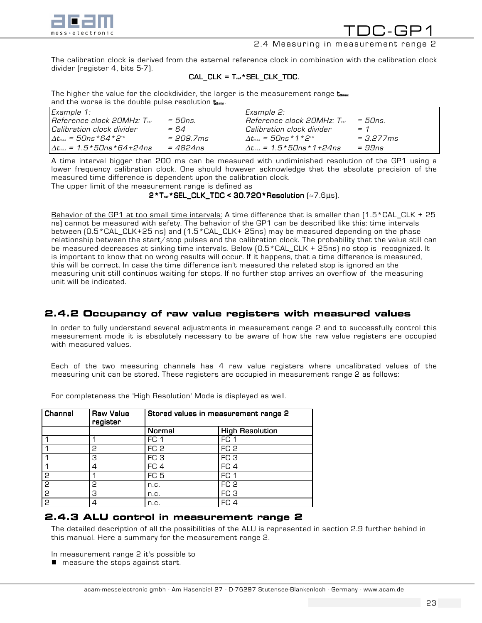

## 2.4 Measuring in measurement range 2

The calibration clock is derived from the external reference clock in combination with the calibration clock divider (register 4, bits 5-7).

## $CAL_CLK = T_{ref} * SEL_CLK_TDC$ .

The higher the value for the clockdivider, the larger is the measurement range  $t_{\sf s\tiny max}$ and the worse is the double pulse resolution  $t_{2min}$ .

| Example 1:                                    |                        | Example 2:                                          |             |
|-----------------------------------------------|------------------------|-----------------------------------------------------|-------------|
| Reference clock 20MHz: Tref                   | $=50ns$                | Reference clock 20MHz: T                            | $=50ns$     |
| l Calibration clock divider                   | = 64                   | Calibration clock divider                           | $= 1$       |
| $\Delta t_{\rm max}$ = 50ns *64 *216          | $= 209.7 \, \text{ms}$ | $\Lambda t_{\rm max} = 50$ ns * 1 * 2 <sup>16</sup> | $= 3.277ms$ |
| $\Delta t_{\rm max}$ = 1.5 * 50ns * 64 + 24ns | $= 4824$ ns            | $\Lambda t_{\rm max} = 1.5 * 50$ ns * 1 + 24 ns     | $=$ 9.9ns   |

A time interval bigger than 200 ms can be measured with undiminished resolution of the GP1 using a lower frequency calibration clock. One should however acknowledge that the absolute precision of the measured time difference is dependent upon the calibration clock.

The upper limit of the measurement range is defined as

 $2*T_{ref}*SEL_CLK_TDC < 30.720*Resolution$  [ $\approx$ 7.6µs).

Behavior of the GP1 at too small time intervals: A time difference that is smaller than [1.5\*CAL\_CLK + 25 ns) cannot be measured with safety. The behavior of the GP1 can be described like this: time intervals between (0.5\*CAL\_CLK+25 ns) and (1.5\*CAL\_CLK+ 25ns) may be measured depending on the phase relationship between the start/stop pulses and the calibration clock. The probability that the value still can be measured decreases at sinking time intervals. Below (0.5\*CAL\_CLK + 25ns) no stop is recognized. It is important to know that no wrong results will occur. If it happens, that a time difference is measured, this will be correct. In case the time difference isn't measured the related stop is ignored an the measuring unit still continuos waiting for stops. If no further stop arrives an overflow of the measuring unit will be indicated.

## 2.4.2 Occupancy of raw value registers with measured values

In order to fully understand several adjustments in measurement range 2 and to successfully control this measurement mode it is absolutely necessary to be aware of how the raw value registers are occupied with measured values.

Each of the two measuring channels has 4 raw value registers where uncalibrated values of the measuring unit can be stored. These registers are occupied in measurement range 2 as follows:

Channel Raw Value register Stored values in measurement range 2 Normal High Resolution 1 | 1 | FC 1 | FC 1 1 2 FC 2 FC 2 1 3 FC 3 FC 3 1 | 4 | FC 4 | FC 4 2 | 1 | FC 5 | FC 1 2 2 | n.c. | FC 2 2 |3 | n.c. | FC 3 2 | 4 | n.c. | FC 4

For completeness the 'High Resolution' Mode is displayed as well.

# 2.4.3 ALU control in measurement range 2

The detailed description of all the possibilities of the ALU is represented in section 2.9 further behind in this manual. Here a summary for the measurement range 2.

In measurement range 2 it's possible to

 $\blacksquare$  measure the stops against start.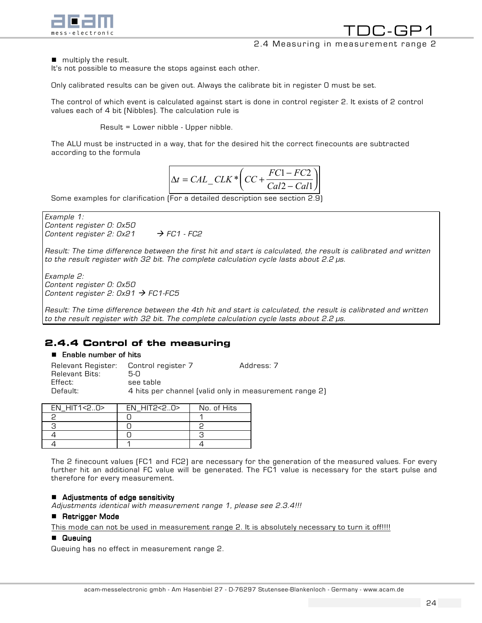

TDC-GP1 2.4 Measuring in measurement range 2

 $\blacksquare$  multiply the result.

It's not possible to measure the stops against each other.

Only calibrated results can be given out. Always the calibrate bit in register 0 must be set.

The control of which event is calculated against start is done in control register 2. It exists of 2 control values each of 4 bit (Nibbles). The calculation rule is

Result = Lower nibble - Upper nibble.

The ALU must be instructed in a way, that for the desired hit the correct finecounts are subtracted according to the formula

$$
\Delta t = CAL \_CLK * \left( CC + \frac{FC1 - FC2}{Cal2 - Cal1} \right)
$$

Some examples for clarification (For a detailed description see section 2.9)



Result: The time difference between the first hit and start is calculated, the result is calibrated and written to the result register with 32 bit. The complete calculation cycle lasts about 2.2 µs.

Example 2: Content register 0: 0x50 Content register 2:  $0x91 \rightarrow FC1$ -FC5

Result: The time difference between the 4th hit and start is calculated, the result is calibrated and written to the result register with 32 bit. The complete calculation cycle lasts about 2.2 µs.

# 2.4.4 Control of the measuring

#### $\blacksquare$  Enable number of hits

| Relevant Register: | Control register 7                                     | Address: 7 |
|--------------------|--------------------------------------------------------|------------|
| Relevant Bits:     | 5-N                                                    |            |
| Effect:            | see table                                              |            |
| Default:           | 4 hits per channel (valid only in measurement range 2) |            |

| $EN$ HIT1<20> | EN HIT2<20> | No. of Hits |
|---------------|-------------|-------------|
|               |             |             |
|               |             |             |
|               |             |             |
|               |             |             |

The 2 finecount values (FC1 and FC2) are necessary for the generation of the measured values. For every further hit an additional FC value will be generated. The FC1 value is necessary for the start pulse and therefore for every measurement.

#### ! Adjustments of edge sensitivity Adjustments sensitivity

Adjustments identical with measurement range 1, please see 2.3.4!!!

#### ■ Retrigger Mode

This mode can not be used in measurement range 2. It is absolutely necessary to turn it off!!!!

## **B** Queuing

Queuing has no effect in measurement range 2.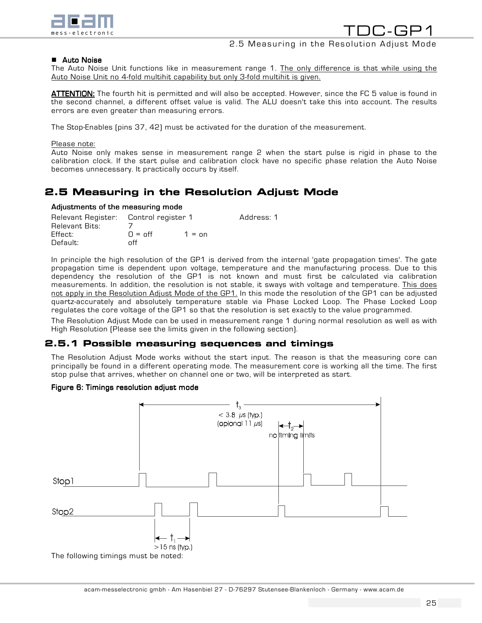

2.5 Measuring in the Resolution Adjust Mode

#### **E** Auto Noise

The Auto Noise Unit functions like in measurement range 1. The only difference is that while using the Auto Noise Unit no 4-fold multihit capability but only 3-fold multihit is given.

ATTENTION: The fourth hit is permitted and will also be accepted. However, since the FC 5 value is found in the second channel, a different offset value is valid. The ALU doesn't take this into account. The results errors are even greater than measuring errors.

The Stop-Enables (pins 37, 42) must be activated for the duration of the measurement.

#### Please note:

Auto Noise only makes sense in measurement range 2 when the start pulse is rigid in phase to the calibration clock. If the start pulse and calibration clock have no specific phase relation the Auto Noise becomes unnecessary. It practically occurs by itself.

# 2.5 Measuring in the Resolution Adjust Mode

#### Adjustments of the measuring mode

| Relevant Register: Control register 1 |                       |                 | Address: 1 |
|---------------------------------------|-----------------------|-----------------|------------|
| Relevant Bits:                        |                       |                 |            |
| Effect:                               | $\Omega = \text{off}$ | $1 = \text{nn}$ |            |
| Default:                              | ∩ff                   |                 |            |

In principle the high resolution of the GP1 is derived from the internal 'gate propagation times'. The gate propagation time is dependent upon voltage, temperature and the manufacturing process. Due to this dependency the resolution of the GP1 is not known and must first be calculated via calibration measurements. In addition, the resolution is not stable, it sways with voltage and temperature. This does not apply in the Resolution Adjust Mode of the GP1. In this mode the resolution of the GP1 can be adjusted quartz-accurately and absolutely temperature stable via Phase Locked Loop. The Phase Locked Loop regulates the core voltage of the GP1 so that the resolution is set exactly to the value programmed.

The Resolution Adjust Mode can be used in measurement range 1 during normal resolution as well as with High Resolution (Please see the limits given in the following section).

#### 2.5.1 Possible measuring sequences and timings

The Resolution Adjust Mode works without the start input. The reason is that the measuring core can principally be found in a different operating mode. The measurement core is working all the time. The first stop pulse that arrives, whether on channel one or two, will be interpreted as start.

#### Figure 6: Timings resolution adjust mode

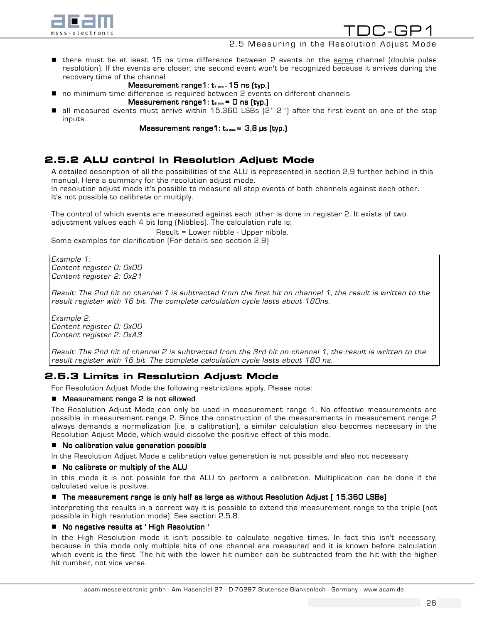

## 2.5 Measuring in the Resolution Adjust Mode

- there must be at least 15 ns time difference between 2 events on the same channel (double pulse resolution). If the events are closer, the second event won't be recognized because it arrives during the recovery time of the channel
	- Measurement range1:  $t_1$  min = 15 ns (typ.)
- no minimum time difference is required between 2 events on different channels
	- Measurement range1:  $t_{2 min} = 0$  ns (typ.)
- $\blacksquare$  all measured events must arrive within 15.360 LSBs (214-211) after the first event on one of the stop inputs

Measurement range1:  $t_{3 max} \approx 3.8$  µs (typ.)

# 2.5.2 ALU control in Resolution Adjust Mode

A detailed description of all the possibilities of the ALU is represented in section 2.9 further behind in this manual. Here a summary for the resolution adjust mode.

In resolution adjust mode it's possible to measure all stop events of both channels against each other. It's not possible to calibrate or multiply.

The control of which events are measured against each other is done in register 2. It exists of two adjustment values each 4 bit long (Nibbles). The calculation rule is:

Result = Lower nibble - Upper nibble. Some examples for clarification (For details see section 2.9)

Example 1: Content register 0: 0x00 Content register 2: 0x21

Result: The 2nd hit on channel 1 is subtracted from the first hit on channel 1, the result is written to the result register with 16 bit. The complete calculation cycle lasts about 180ns.

Example 2: Content register 0: 0x00 Content register 2: 0xA3

Result: The 2nd hit of channel 2 is subtracted from the 3rd hit on channel 1, the result is written to the result register with 16 bit. The complete calculation cycle lasts about 180 ns.

## 2.5.3 Limits in Resolution Adjust Mode

For Resolution Adjust Mode the following restrictions apply. Please note:

#### $\blacksquare$  Measurement range 2 is not allowed

The Resolution Adjust Mode can only be used in measurement range 1. No effective measurements are possible in measurement range 2. Since the construction of the measurements in measurement range 2 always demands a normalization (i.e. a calibration), a similar calculation also becomes necessary in the Resolution Adjust Mode, which would dissolve the positive effect of this mode.

#### ! No calibration value generation possible No calibration possible

In the Resolution Adjust Mode a calibration value generation is not possible and also not necessary.

#### ■ No calibrate or multiply of the ALU

In this mode it is not possible for the ALU to perform a calibration. Multiplication can be done if the calculated value is positive.

#### $\blacksquare$  The measurement range is only half as large as without Resolution Adjust ( 15.360 LSBs)

Interpreting the results in a correct way it is possible to extend the measurement range to the triple (not possible in high resolution mode). See section 2.5.8.

#### ■ No negative results at 'High Resolution '

In the High Resolution mode it isn't possible to calculate negative times. In fact this isn't necessary, because in this mode only multiple hits of one channel are measured and it is known before calculation which event is the first. The hit with the lower hit number can be subtracted from the hit with the higher hit number, not vice versa.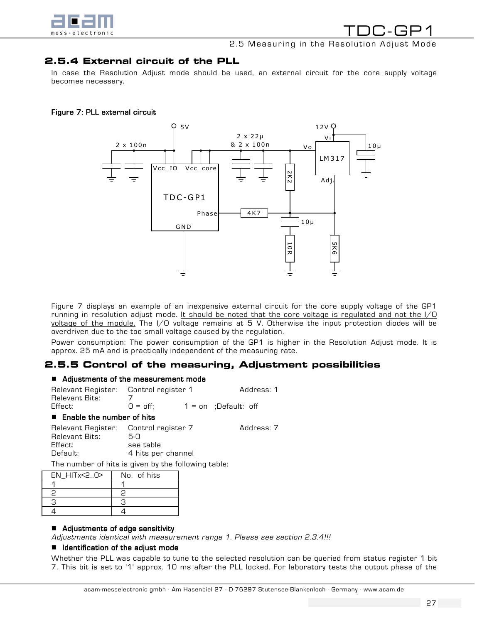

# 2.5 Measuring in the Resolution Adjust Mode

# 2.5.4 External circuit of the PLL

In case the Resolution Adjust mode should be used, an external circuit for the core supply voltage becomes necessary.

#### Figure 7: PLL external circuit



Figure 7 displays an example of an inexpensive external circuit for the core supply voltage of the GP1 running in resolution adjust mode. It should be noted that the core voltage is regulated and not the  $I/O$ voltage of the module. The I/O voltage remains at 5 V. Otherwise the input protection diodes will be overdriven due to the too small voltage caused by the regulation.

Power consumption: The power consumption of the GP1 is higher in the Resolution Adjust mode. It is approx. 25 mA and is practically independent of the measuring rate.

## 2.5.5 Control of the measuring, Adjustment possibilities

#### $\blacksquare$  Adjustments of the measurement mode

| Relevant Register: Control register 1 |                   |                        | Address: 1 |
|---------------------------------------|-------------------|------------------------|------------|
| Relevant Bits:                        |                   |                        |            |
| Effect:                               | $Q = \text{off}:$ | $1 =$ on :Default: off |            |

#### $\blacksquare$  Enable the number of hits

| Relevant Register:<br>Relevant Bits: | Control register 7<br>5-0       | Address: 7 |
|--------------------------------------|---------------------------------|------------|
| Effect:<br>Default:                  | see table<br>4 hits per channel |            |

The number of hits is given by the following table:

| $EN$ HIT $x < 2.0$ | No. of hits |
|--------------------|-------------|
|                    |             |
|                    |             |
|                    |             |
|                    |             |

#### **E** Adjustments of edge sensitivity

Adjustments identical with measurement range 1. Please see section 2.3.4!!!

#### **I** Identification of the adjust mode

Whether the PLL was capable to tune to the selected resolution can be queried from status register 1 bit 7. This bit is set to '1' approx. 10 ms after the PLL locked. For laboratory tests the output phase of the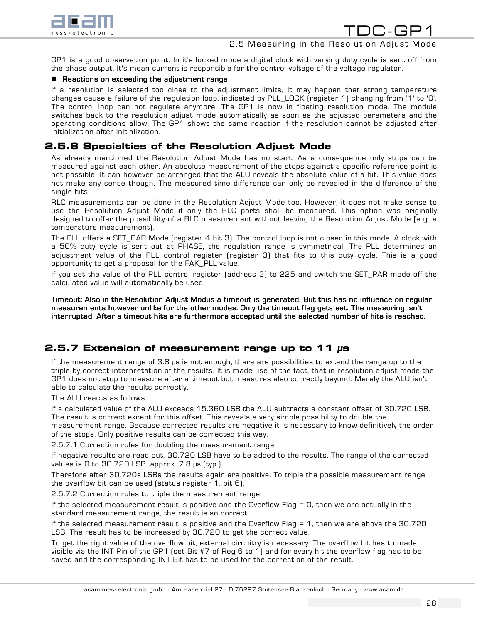

GP1 is a good observation point. In it's locked mode a digital clock with varying duty cycle is sent off from the phase output. It's mean current is responsible for the control voltage of the voltage regulator.

#### $\blacksquare$  Reactions on exceeding the adjustment range

If a resolution is selected too close to the adjustment limits, it may happen that strong temperature changes cause a failure of the regulation loop, indicated by PLL\_LOCK (register 1) changing from '1' to '0'. The control loop can not regulate anymore. The GP1 is now in floating resolution mode. The module switches back to the resolution adjust mode automatically as soon as the adjusted parameters and the operating conditions allow. The GP1 shows the same reaction if the resolution cannot be adjusted after initialization after initialization.

## 2.5.6 Specialties of the Resolution Adjust Mode

As already mentioned the Resolution Adjust Mode has no start. As a consequence only stops can be measured against each other. An absolute measurement of the stops against a specific reference point is not possible. It can however be arranged that the ALU reveals the absolute value of a hit. This value does not make any sense though. The measured time difference can only be revealed in the difference of the single hits.

RLC measurements can be done in the Resolution Adjust Mode too. However, it does not make sense to use the Resolution Adjust Mode if only the RLC ports shall be measured. This option was originally designed to offer the possibility of a RLC measurement without leaving the Resolution Adjust Mode (e g a temperature measurement).

The PLL offers a SET\_PAR Mode (register 4 bit 3). The control loop is not closed in this mode. A clock with a 50% duty cycle is sent out at PHASE, the regulation range is symmetrical. The PLL determines an adjustment value of the PLL control register (register 3) that fits to this duty cycle. This is a good opportunity to get a proposal for the FAK\_PLL value.

If you set the value of the PLL control register (address 3) to 225 and switch the SET\_PAR mode off the calculated value will automatically be used.

Timeout: Also in the Resolution Adjust Modus a timeout is generated. But this has no influence on regular measurements however unlike for the other modes. Only the timeout flag gets set. The measuring isn't interrupted. After a timeout hits are furthermore accepted until the selected number of hits is reached.

## 2.5.7 Extension of measurement range up to 11 µs

If the measurement range of 3.8 µs is not enough, there are possibilities to extend the range up to the triple by correct interpretation of the results. It is made use of the fact, that in resolution adjust mode the GP1 does not stop to measure after a timeout but measures also correctly beyond. Merely the ALU isn't able to calculate the results correctly.

The ALU reacts as follows:

If a calculated value of the ALU exceeds 15.360 LSB the ALU subtracts a constant offset of 30.720 LSB. The result is correct except for this offset. This reveals a very simple possibility to double the measurement range. Because corrected results are negative it is necessary to know definitively the order of the stops. Only positive results can be corrected this way.

2.5.7.1 Correction rules for doubling the measurement range:

If negative results are read out, 30.720 LSB have to be added to the results. The range of the corrected values is 0 to 30.720 LSB, approx. 7.8  $\mu$ s (typ.).

Therefore after 30.720s LSBs the results again are positive. To triple the possible measurement range the overflow bit can be used (status register 1, bit 6).

2.5.7.2 Correction rules to triple the measurement range:

If the selected measurement result is positive and the Overflow Flag = 0, then we are actually in the standard measurement range, the result is so correct.

If the selected measurement result is positive and the Overflow Flag = 1, then we are above the 30.720 LSB. The result has to be increased by 30.720 to get the correct value.

To get the right value of the overflow bit, external circuitry is necessary. The overflow bit has to made visible via the INT Pin of the GP1 (set Bit #7 of Reg 6 to 1) and for every hit the overflow flag has to be saved and the corresponding INT Bit has to be used for the correction of the result.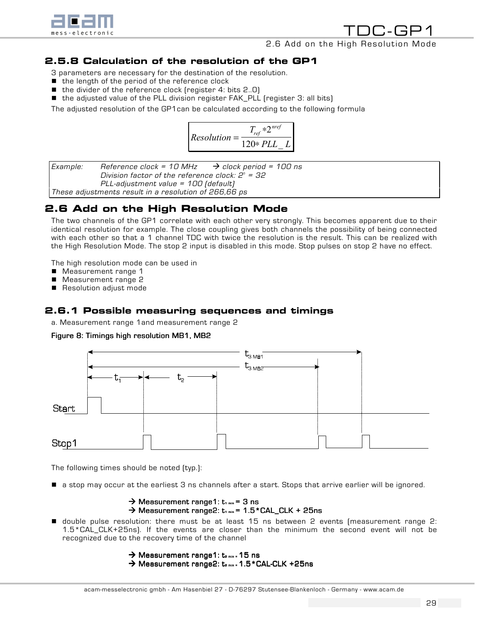

TDC-GP1 2.6 Add on the High Resolution Mode

# 2.5.8 Calculation of the resolution of the GP1

- 3 parameters are necessary for the destination of the resolution.
- $\blacksquare$  the length of the period of the reference clock
- $\blacksquare$  the divider of the reference clock (register 4: bits 2..0)
- the adjusted value of the PLL division register FAK\_PLL (register 3: all bits)

The adjusted resolution of the GP1can be calculated according to the following formula

$$
Resolution = \frac{T_{ref} * 2^{ref}}{120 * PLL_L}
$$

Example: Reference clock = 10 MHz  $\rightarrow$  clock period = 100 ns Division factor of the reference clock:  $2^{\mathfrak s}$  = 32 PLL-adjustment value = 100 (default) These adjustments result in a resolution of 266,66 ps

# 2.6 Add on the High Resolution Mode

The two channels of the GP1 correlate with each other very strongly. This becomes apparent due to their identical resolution for example. The close coupling gives both channels the possibility of being connected with each other so that a 1 channel TDC with twice the resolution is the result. This can be realized with the High Resolution Mode. The stop 2 input is disabled in this mode. Stop pulses on stop 2 have no effect.

The high resolution mode can be used in

- Measurement range 1
- Measurement range 2
- Resolution adjust mode

# 2.6.1 Possible measuring sequences and timings

a. Measurement range 1and measurement range 2

#### Figure 8: Timings high resolution MB1, MB2



The following times should be noted (typ.):

! a stop may occur at the earliest 3 ns channels after a start. Stops that arrive earlier will be ignored.

```
\rightarrow Measurement range1: t<sub>1 min</sub> = 3 ns
\rightarrow Measurement range2: t<sub>1 min</sub> = 1.5 * CAL_CLK + 25ns
```
! double pulse resolution: there must be at least 15 ns between 2 events (measurement range 2: 1.5\*CAL\_CLK+25ns). If the events are closer than the minimum the second event will not be recognized due to the recovery time of the channel

```
\rightarrow Measurement range1: t<sub>2 min</sub> = 15 ns
\rightarrow Measurement range2: t<sub>2 min</sub> -1.5 * CAL-CLK +25ns
```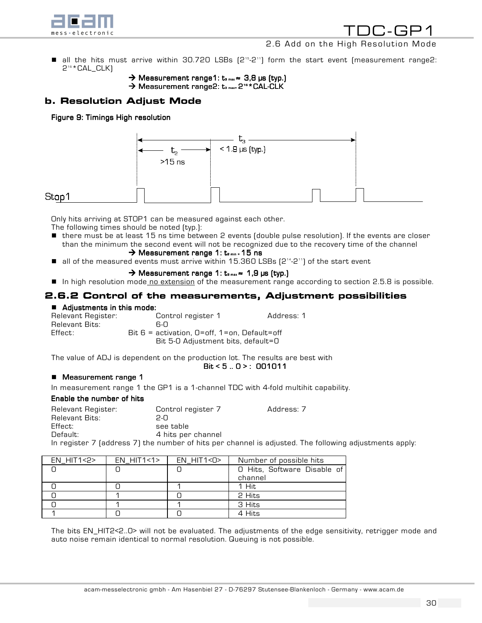

## 2.6 Add on the High Resolution Mode

- all the hits must arrive within 30.720 LSBs (2<sup>15</sup>-2<sup>11</sup>) form the start event (measurement range2: 2<sup>16</sup> \* CAL CLK)
	- $\rightarrow$  Measurement range1: t<sub>3 max</sub>  $\approx$  3,8 µs (typ.)
	- $\rightarrow$  Measurement range2: t<sub>3 max=</sub> 2<sup>16</sup> \* CAL-CLK

# b. Resolution Adjust Mode

Figure 9: Timings High resolution



## Stop1

Only hits arriving at STOP1 can be measured against each other.

The following times should be noted (typ.):

- there must be at least 15 ns time between 2 events (double pulse resolution). If the events are closer than the minimum the second event will not be recognized due to the recovery time of the channel
	- $\rightarrow$  Measurement range 1: t<sub>2 min</sub> = 15 ns
- $\blacksquare$  all of the measured events must arrive within 15.360 LSBs  $[2^{14}\text{-}2^{11}]$  of the start event

#### $\rightarrow$  Measurement range 1: t<sub>3 max</sub>  $\approx$  1,9 µs (typ.)

**I** In high resolution mode no extension of the measurement range according to section 2.5.8 is possible.

## 2.6.2 Control of the measurements, Adjustment possibilities

**E Adjustments in this mode:**<br>Relevant Register: ( Control register 1 Address: 1 Relevant Bits: 6-0<br>Effect: Bit 6 = acti Bit  $6$  = activation,  $0=$ off, 1=on, Default=off Bit 5-0 Adjustment bits, default=0

The value of ADJ is dependent on the production lot. The results are best with

#### $Bit < 5.0$  : 001011

#### ■ Measurement range 1

In measurement range 1 the GP1 is a 1-channel TDC with 4-fold multihit capability.

#### Enable the number of hits

| Relevant Register: | Control register 7 | Address: 7                                                                                             |
|--------------------|--------------------|--------------------------------------------------------------------------------------------------------|
| Relevant Bits:     | 2-0                |                                                                                                        |
| Effect:            | see table          |                                                                                                        |
| Default:           | 4 hits per channel |                                                                                                        |
|                    |                    | In register 7 (address 7) the number of hits per channel is adjusted. The following adjustments apply: |

| $EN$ HIT1<2> | $EN$ HIT1<1> | $EN$ HIT1<0> | Number of possible hits     |
|--------------|--------------|--------------|-----------------------------|
|              |              |              | O Hits, Software Disable of |
|              |              |              | channel                     |
|              |              |              | 1 Hit                       |
|              |              |              | 2 Hits                      |
|              |              |              | 3 Hits                      |
|              |              |              | 4 Hits                      |

The bits EN\_HIT2<2..0> will not be evaluated. The adjustments of the edge sensitivity, retrigger mode and auto noise remain identical to normal resolution. Queuing is not possible.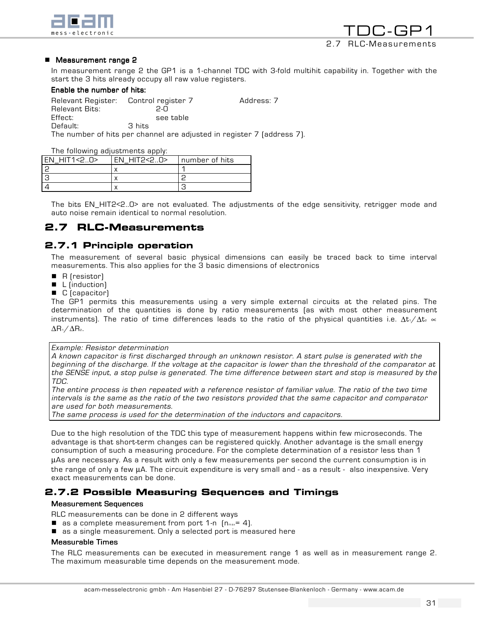

#### **E** Measurement range 2

In measurement range 2 the GP1 is a 1-channel TDC with 3-fold multihit capability in. Together with the start the 3 hits already occupy all raw value registers.

#### Enable the number of hits:

Relevant Register: Control register 7 Address: 7 Relevant Bits: 2-0 Effect: see table Default: 3 hits

The number of hits per channel are adjusted in register 7 (address 7).

The following adjustments apply:

| EN HIT1<2.0> | $FN$ HITP $\leq$ $\cap$ | I number of hits |
|--------------|-------------------------|------------------|
|              |                         |                  |
|              |                         |                  |
|              |                         |                  |

The bits EN\_HIT2<2..0> are not evaluated. The adjustments of the edge sensitivity, retrigger mode and auto noise remain identical to normal resolution.

# 2.7 RLC-Measurements

## 2.7.1 Principle operation

The measurement of several basic physical dimensions can easily be traced back to time interval measurements. This also applies for the 3 basic dimensions of electronics

- $\blacksquare$  R (resistor)
- $\blacksquare$  L (induction)
- C (capacitor)

The GP1 permits this measurements using a very simple external circuits at the related pins. The determination of the quantities is done by ratio measurements (as with most other measurement instruments). The ratio of time differences leads to the ratio of the physical quantities i.e.  $\Delta t_1/\Delta t_2 \propto$ ∆R1/∆R2.

#### Example: Resistor determination

A known capacitor is first discharged through an unknown resistor. A start pulse is generated with the beginning of the discharge. If the voltage at the capacitor is lower than the threshold of the comparator at the SENSE input, a stop pulse is generated. The time difference between start and stop is measured by the TDC.

The entire process is then repeated with a reference resistor of familiar value. The ratio of the two time intervals is the same as the ratio of the two resistors provided that the same capacitor and comparator are used for both measurements.

The same process is used for the determination of the inductors and capacitors.

Due to the high resolution of the TDC this type of measurement happens within few microseconds. The advantage is that short-term changes can be registered quickly. Another advantage is the small energy consumption of such a measuring procedure. For the complete determination of a resistor less than 1 µAs are necessary. As a result with only a few measurements per second the current consumption is in the range of only a few µA. The circuit expenditure is very small and - as a result - also inexpensive. Very exact measurements can be done.

## 2.7.2 Possible Measuring Sequences and Timings

#### **Measurement Sequences**

RLC measurements can be done in 2 different ways

- $\blacksquare$  as a complete measurement from port 1-n  $[n_{max} = 4]$ .
- as a single measurement. Only a selected port is measured here

#### **Measurable Times**

The RLC measurements can be executed in measurement range 1 as well as in measurement range 2. The maximum measurable time depends on the measurement mode.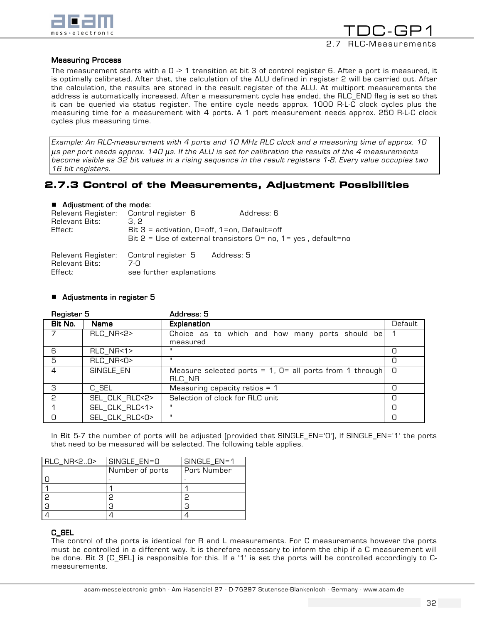



#### **Measuring Process**

The measurement starts with a 0  $\geq$  1 transition at bit 3 of control register 6. After a port is measured, it is optimally calibrated. After that, the calculation of the ALU defined in register 2 will be carried out. After the calculation, the results are stored in the result register of the ALU. At multiport measurements the address is automatically increased. After a measurement cycle has ended, the RLC\_END flag is set so that it can be queried via status register. The entire cycle needs approx. 1000 R-L-C clock cycles plus the measuring time for a measurement with 4 ports. A 1 port measurement needs approx. 250 R-L-C clock cycles plus measuring time.

Example: An RLC-measurement with 4 ports and 10 MHz RLC clock and a measuring time of approx. 10 µs per port needs approx. 140 µs. If the ALU is set for calibration the results of the 4 measurements become visible as 32 bit values in a rising sequence in the result registers 1-8. Every value occupies two 16 bit registers.

## 2.7.3 Control of the Measurements, Adjustment Possibilities

#### $\blacksquare$  Adjustment of the mode:

| Relevant Register: Control register 6<br>Relevant Bits:<br>Effect: | 3. 2<br>Bit $3$ = activation, $0=$ off, $1=$ on, Default=off                        | Address: 6<br>Bit $2 =$ Use of external transistors $0 =$ no, $1 =$ yes, default=no |
|--------------------------------------------------------------------|-------------------------------------------------------------------------------------|-------------------------------------------------------------------------------------|
| Relevant Bits:<br>Effect:                                          | Relevant Register: Control register 5 Address: 5<br>ר-7<br>see further explanations |                                                                                     |

#### ■ Adjustments in register 5

| Register 5     |                      | Address: 5                                                          |         |
|----------------|----------------------|---------------------------------------------------------------------|---------|
| Bit No.        | Name                 | Explanation                                                         | Default |
|                | RLC_NR<2>            | Choice as to which and how many ports should be<br>measured         |         |
| 6              | RLC_NR<1>            | н.                                                                  | 0       |
| 5              | RLC_NR<0>            | $\mathbf{H}$                                                        | Ο       |
| $\overline{4}$ | SINGLE_EN            | Measure selected ports = $1, 0=$ all ports from 1 through<br>RLC NR | n       |
| 3              | $C$ <sub>_</sub> SEL | Measuring capacity ratios $= 1$                                     |         |
| 2              | SEL_CLK_RLC<2>       | Selection of clock for RLC unit                                     | О       |
|                | SEL_CLK_RLC<1>       | н.                                                                  | Ο       |
| 0              | SEL_CLK_RLC<0>       | ш                                                                   | C       |

In Bit 5-7 the number of ports will be adjusted (provided that SINGLE\_EN='0'), If SINGLE\_EN='1' the ports that need to be measured will be selected. The following table applies.

| RLC_NR<20> | SINGLE_EN=0     | SINGLE_EN=1 |
|------------|-----------------|-------------|
|            | Number of ports | Port Number |
|            |                 |             |
|            |                 |             |
| 2          |                 | っ           |
| 3          |                 | З           |
|            |                 |             |

#### C\_SEL

The control of the ports is identical for R and L measurements. For C measurements however the ports must be controlled in a different way. It is therefore necessary to inform the chip if a C measurement will be done. Bit 3 (C\_SEL) is responsible for this. If a '1' is set the ports will be controlled accordingly to Cmeasurements.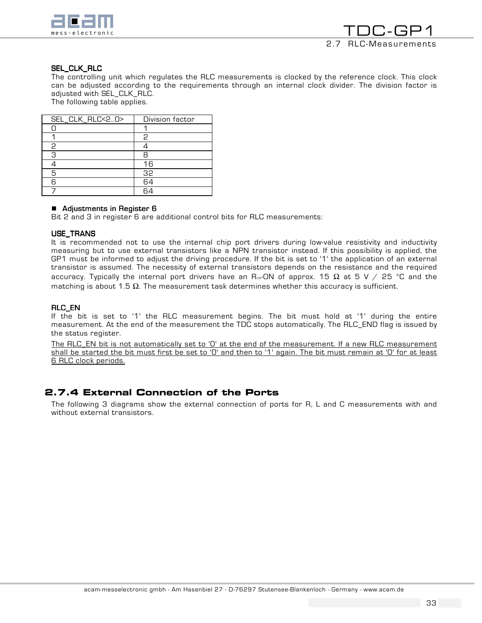

#### SEL\_CLK\_RLC

The controlling unit which regulates the RLC measurements is clocked by the reference clock. This clock can be adjusted according to the requirements through an internal clock divider. The division factor is adjusted with SEL\_CLK\_RLC.

The following table applies.

| SEL_CLK_RLC<20> | Division factor |
|-----------------|-----------------|
|                 |                 |
|                 | 2               |
| 2               |                 |
| З               |                 |
|                 | 16              |
| 5               | 32              |
| ൳               | 64              |
|                 | Ξ,              |

**E** Adjustments in Register 6 **Bit 2 and 3 in Register 6** Bit 2 and 3 in register 6 are additional control bits for RLC measurements:

#### USE\_TRANS

It is recommended not to use the internal chip port drivers during low-value resistivity and inductivity measuring but to use external transistors like a NPN transistor instead. If this possibility is applied, the GP1 must be informed to adjust the driving procedure. If the bit is set to '1' the application of an external transistor is assumed. The necessity of external transistors depends on the resistance and the required accuracy. Typically the internal port drivers have an R<sub>ps</sub>-ON of approx. 15  $\Omega$  at 5 V / 25 °C and the matching is about 1.5  $\Omega$ . The measurement task determines whether this accuracy is sufficient.

#### RLC\_EN

If the bit is set to '1' the RLC measurement begins. The bit must hold at '1' during the entire measurement. At the end of the measurement the TDC stops automatically. The RLC\_END flag is issued by the status register.

The RLC\_EN bit is not automatically set to 'O' at the end of the measurement. If a new RLC measurement shall be started the bit must first be set to '0' and then to '1' again. The bit must remain at '0' for at least 6 RLC clock periods.

## 2.7.4 External Connection of the Ports

The following 3 diagrams show the external connection of ports for R, L and C measurements with and without external transistors.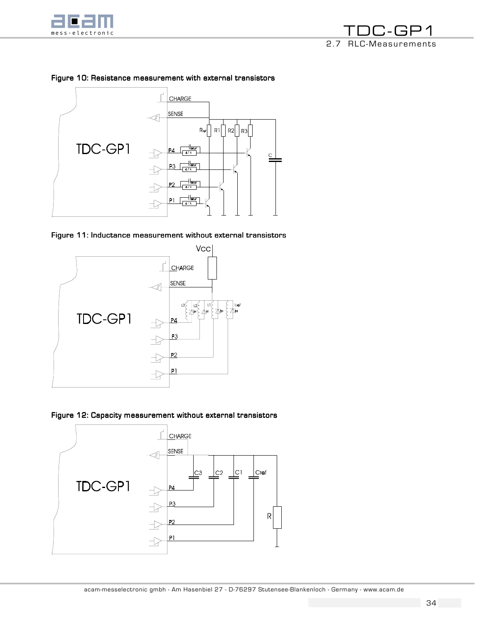

TDC-GP1 2.7 RLC-Measurements



## Figure 10: Resistance measurement with external transistors





Figure 12: Capacity measurement without external transistors

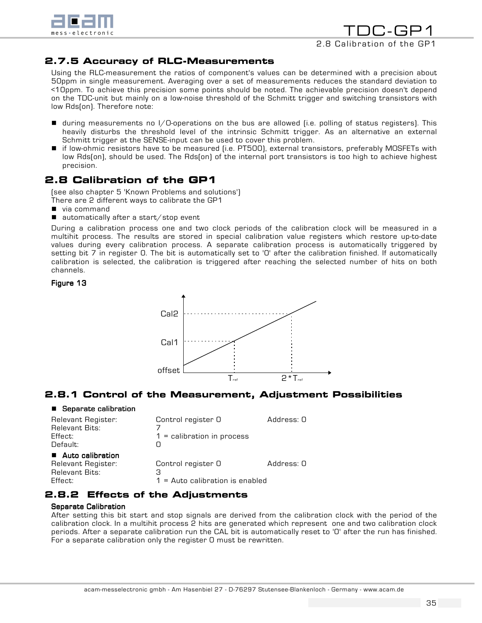

TDC-GP1 2.8 Calibration of the GP1

## 2.7.5 Accuracy of RLC-Measurements

Using the RLC-measurement the ratios of component's values can be determined with a precision about 50ppm in single measurement. Averaging over a set of measurements reduces the standard deviation to <10ppm. To achieve this precision some points should be noted. The achievable precision doesn't depend on the TDC-unit but mainly on a low-noise threshold of the Schmitt trigger and switching transistors with low Rds(on). Therefore note:

- ! during measurements no I/O-operations on the bus are allowed (i.e. polling of status registers). This heavily disturbs the threshold level of the intrinsic Schmitt trigger. As an alternative an external Schmitt trigger at the SENSE-input can be used to cover this problem.
- if low-ohmic resistors have to be measured (i.e. PT500), external transistors, preferably MOSFETs with low Rds(on), should be used. The Rds(on) of the internal port transistors is too high to achieve highest precision.

# 2.8 Calibration of the GP1

(see also chapter 5 'Known Problems and solutions')

- There are 2 different ways to calibrate the GP1
- via command
- $\blacksquare$  automatically after a start/stop event

During a calibration process one and two clock periods of the calibration clock will be measured in a multihit process. The results are stored in special calibration value registers which restore up-to-date values during every calibration process. A separate calibration process is automatically triggered by setting bit 7 in register 0. The bit is automatically set to '0' after the calibration finished. If automatically calibration is selected, the calibration is triggered after reaching the selected number of hits on both channels.

Figure 13



# 2.8.1 Control of the Measurement, Adjustment Possibilities

#### **E** Separate calibration

| Relevant Register:<br><b>Relevant Bits:</b><br>Effect:<br>Default:           | Control register O<br>$1 =$ calibration in process           | Address: 0 |
|------------------------------------------------------------------------------|--------------------------------------------------------------|------------|
| ■ Auto calibration<br>Relevant Register:<br><b>Relevant Bits:</b><br>Effect: | Control register O<br>З<br>$1 =$ Auto calibration is enabled | Address: 0 |

# 2.8.2 Effects of the Adjustments

#### **Separate Calibration**

After setting this bit start and stop signals are derived from the calibration clock with the period of the calibration clock. In a multihit process 2 hits are generated which represent one and two calibration clock periods. After a separate calibration run the CAL bit is automatically reset to '0' after the run has finished. For a separate calibration only the register 0 must be rewritten.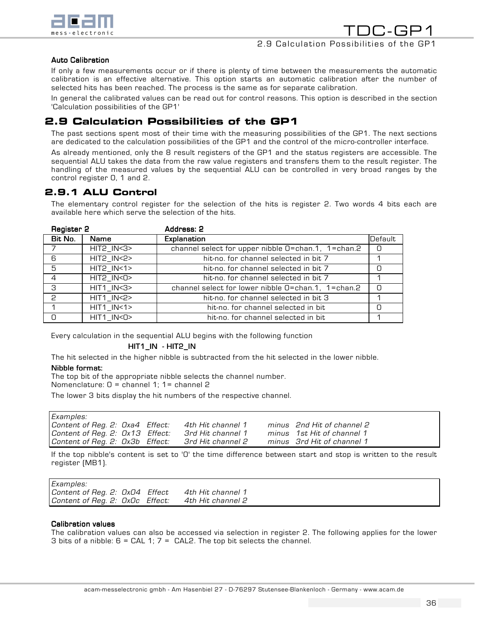

TDC-GP1 2.9 Calculation Possibilities of the GP1

#### **Auto Calibration**

If only a few measurements occur or if there is plenty of time between the measurements the automatic calibration is an effective alternative. This option starts an automatic calibration after the number of selected hits has been reached. The process is the same as for separate calibration.

In general the calibrated values can be read out for control reasons. This option is described in the section 'Calculation possibilities of the GP1'

# 2.9 Calculation Possibilities of the GP1

The past sections spent most of their time with the measuring possibilities of the GP1. The next sections are dedicated to the calculation possibilities of the GP1 and the control of the micro-controller interface.

As already mentioned, only the 8 result registers of the GP1 and the status registers are accessible. The sequential ALU takes the data from the raw value registers and transfers them to the result register. The handling of the measured values by the sequential ALU can be controlled in very broad ranges by the control register 0, 1 and 2.

## 2.9.1 ALU Control

The elementary control register for the selection of the hits is register 2. Two words 4 bits each are available here which serve the selection of the hits.

| Register 2  |                 | Address: 2                                         |         |
|-------------|-----------------|----------------------------------------------------|---------|
| Bit No.     | Name            | <b>Explanation</b>                                 | Default |
|             | HIT2_IN<3>      | channel select for upper nibble O=chan.1, 1=chan.2 | 0       |
| 6           | HIT2_IN<2>      | hit-no. for channel selected in bit 7              |         |
| $5^{\circ}$ | $HIT2$ $IN < 1$ | hit-no. for channel selected in bit 7              |         |
| 4           | HIT2_IN<0>      | hit-no, for channel selected in bit 7              |         |
| 3           | $HIT1$ $IN < 3$ | channel select for lower nibble 0=chan.1, 1=chan.2 | n       |
| 2           | $HIT1$ $IN < 2$ | hit-no, for channel selected in bit 3              |         |
|             | $HIT1$ $IN < 1$ | hit-no, for channel selected in bit                |         |
| n           | HIT1_IN<0>      | hit-no, for channel selected in bit                |         |

Every calculation in the sequential ALU begins with the following function

#### $HIT1$ \_IN  $-$  HIT2\_IN

The hit selected in the higher nibble is subtracted from the hit selected in the lower nibble.

#### Nibble format:

The top bit of the appropriate nibble selects the channel number. Nomenclature: 0 = channel 1; 1= channel 2

The lower 3 bits display the hit numbers of the respective channel.

| Examples:                       |  |                   |                            |
|---------------------------------|--|-------------------|----------------------------|
| Content of Reg. 2: Oxa4 Effect: |  | 4th Hit channel 1 | minus 2nd Hit of channel 2 |
| Content of Reg. 2: 0x13 Effect: |  | 3rd Hit channel 1 | minus 1st Hit of channel 1 |
| Content of Reg. 2: Ox3b Effect: |  | 3rd Hit channel 2 | minus 3rd Hit of channel 1 |

If the top nibble's content is set to '0' the time difference between start and stop is written to the result register (MB1).

| Examples:                       |                   |
|---------------------------------|-------------------|
| Content of Reg. 2: 0x04 Effect  | 4th Hit channel 1 |
| Content of Reg. 2: OxOc Effect: | 4th Hit channel 2 |

#### **Calibration values**

The calibration values can also be accessed via selection in register 2. The following applies for the lower 3 bits of a nibble:  $6 = \text{CAL } 1$ ;  $7 = \text{ CAL } 2$ . The top bit selects the channel.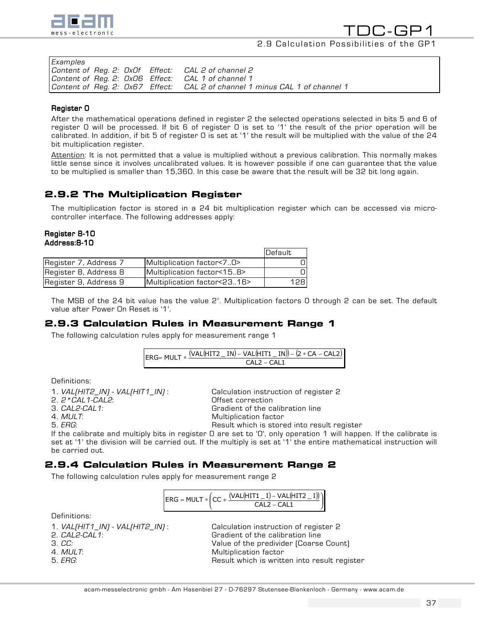

### 2.9 Calculation Possibilities of the GP1

| Examples |  |                                                                             |
|----------|--|-----------------------------------------------------------------------------|
|          |  | Content of Reg. 2: OxOf Effect: CAL 2 of channel 2                          |
|          |  | Content of Reg. 2: 0x06 Effect: CAL 1 of channel 1                          |
|          |  | Content of Req. 2: 0x67 Effect: CAL 2 of channel 1 minus CAL 1 of channel 1 |

#### Register O

After the mathematical operations defined in register 2 the selected operations selected in bits 5 and 6 of register 0 will be processed. If bit 6 of register 0 is set to '1' the result of the prior operation will be calibrated. In addition, if bit 5 of register 0 is set at '1' the result will be multiplied with the value of the 24 bit multiplication register.

Attention: It is not permitted that a value is multiplied without a previous calibration. This normally makes little sense since it involves uncalibrated values. It is however possible if one can guarantee that the value to be multiplied is smaller than 15,360. In this case be aware that the result will be 32 bit long again.

# 2.9.2 The Multiplication Register

The multiplication factor is stored in a 24 bit multiplication register which can be accessed via microcontroller interface. The following addresses apply:

#### Register 8-10 Address:8-10

|                       |                             | <b>IDefault</b> |
|-----------------------|-----------------------------|-----------------|
| Register 7, Address 7 | Multiplication factor<70>   |                 |
| Register 8, Address 8 | Multiplication factor<158>  |                 |
| Register 9, Address 9 | Multiplication factor<2316> | 128             |

The MSB of the 24 bit value has the value 2°. Multiplication factors 0 through 2 can be set. The default value after Power On Reset is '1'.

## 2.9.3 Calculation Rules in Measurement Range 1

The following calculation rules apply for measurement range 1

| $\Gamma$ AI 2 – $\Gamma$ AI 1 |
|-------------------------------|

Definitions:

| 1. VAL[HIT2_IN] - VAL[HIT1_IN] : | Calculation instruction of register 2                                                                                                                                                                                                                                                                                                                                                                                                                        |
|----------------------------------|--------------------------------------------------------------------------------------------------------------------------------------------------------------------------------------------------------------------------------------------------------------------------------------------------------------------------------------------------------------------------------------------------------------------------------------------------------------|
| 2. $2 * \text{CAL1-CAL2:}$       | Offset correction                                                                                                                                                                                                                                                                                                                                                                                                                                            |
| 3. <i>CAL2-CAL1</i> :            | Gradient of the calibration line                                                                                                                                                                                                                                                                                                                                                                                                                             |
| $4. \; MULT.$                    | Multiplication factor                                                                                                                                                                                                                                                                                                                                                                                                                                        |
| 5. <i>ERG</i> :                  | Result which is stored into result register                                                                                                                                                                                                                                                                                                                                                                                                                  |
|                                  | $\mathbf{R} \cdot \mathbf{I} = \mathbf{R} \cdot \mathbf{R} \cdot \mathbf{I} = \mathbf{R} \cdot \mathbf{R} \cdot \mathbf{I} + \mathbf{R} \cdot \mathbf{I} + \mathbf{R} \cdot \mathbf{I} + \mathbf{R} \cdot \mathbf{I} + \mathbf{R} \cdot \mathbf{I} + \mathbf{R} \cdot \mathbf{I} + \mathbf{R} \cdot \mathbf{I} + \mathbf{R} \cdot \mathbf{I} + \mathbf{R} \cdot \mathbf{I} + \mathbf{R} \cdot \mathbf{I} + \mathbf{R} \cdot \mathbf{I} + \mathbf{R} \cdot \$ |

If the calibrate and multiply bits in register 0 are set to '0', only operation 1 will happen. If the calibrate is set at '1' the division will be carried out. If the multiply is set at '1' the entire mathematical instruction will be carried out.

## 2.9.4 Calculation Rules in Measurement Range 2

The following calculation rules apply for measurement range 2

| $\textsf{H}_{ERG} = \textsf{MULT} * \left( \textsf{CC} + \frac{(\textsf{VAL}( \textsf{HTT1} \_ \textsf{I}) - \textsf{VAL}( \textsf{HT72} \_ \textsf{I}) \right)}{\textsf{H}_{ERG}}$ |  |               |  |
|-------------------------------------------------------------------------------------------------------------------------------------------------------------------------------------|--|---------------|--|
|                                                                                                                                                                                     |  | $CA12 - CA11$ |  |

Definitions:

- 
- 

1. VAL(HIT1\_IN) - VAL(HIT2\_IN) : Calculation instruction of register 2 2. CAL2-CAL1: Gradient of the calibration line 3. CC: Value of the predivider (Coarse Count) 4. MULT: A CONSERVENT Multiplication factor<br>The FIG MULT: Multiplication factor of the Multiplication factor of the Multiplication factor of the Multiplica Result which is written into result register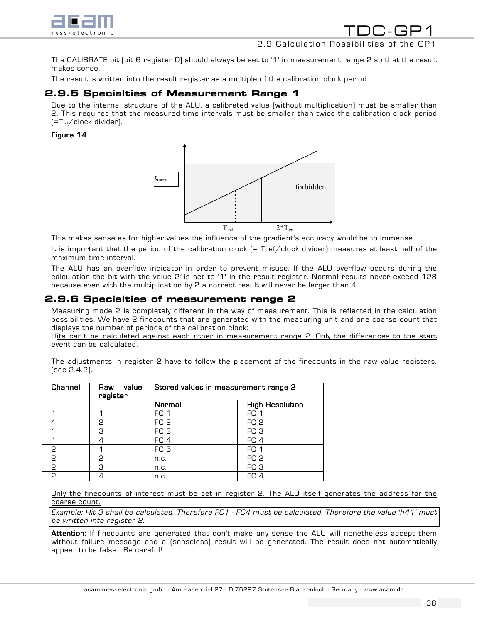

# 2.9 Calculation Possibilities

The CALIBRATE bit (bit 6 register 0) should always be set to '1' in measurement range 2 so that the result makes sense.

The result is written into the result register as a multiple of the calibration clock period.

## 2.9.5 Specialties of Measurement Range 1

Due to the internal structure of the ALU, a calibrated value (without multiplication) must be smaller than 2. This requires that the measured time intervals must be smaller than twice the calibration clock period  $[=T_{ref}/$ clock divider).

#### Figure 14



This makes sense as for higher values the influence of the gradient's accuracy would be to immense.

It is important that the period of the calibration clock (= Tref/clock divider) measures at least half of the maximum time interval.

The ALU has an overflow indicator in order to prevent misuse. If the ALU overflow occurs during the calculation the bit with the value  $2^7$  is set to '1' in the result register. Normal results never exceed 128 because even with the multiplication by 2 a correct result will never be larger than 4.

## 2.9.6 Specialties of measurement range 2

Measuring mode 2 is completely different in the way of measurement. This is reflected in the calculation possibilities. We have 2 finecounts that are generated with the measuring unit and one coarse count that displays the number of periods of the calibration clock:

Hits can't be calculated against each other in measurement range 2. Only the differences to the start event can be calculated.

The adjustments in register 2 have to follow the placement of the finecounts in the raw value registers. (see 2.4.2).

| <b>Channel</b> | value<br>Raw<br>register | Stored values in measurement range 2 |                        |
|----------------|--------------------------|--------------------------------------|------------------------|
|                |                          | Normal                               | <b>High Resolution</b> |
|                |                          | FC 1                                 | FC 1                   |
|                | 2                        | FC <sub>2</sub>                      | FC <sub>2</sub>        |
|                | З                        | FC <sub>3</sub>                      | FC <sub>3</sub>        |
|                |                          | FC <sub>4</sub>                      | FC <sub>4</sub>        |
| C              |                          | FC <sub>5</sub>                      | FC <sub>1</sub>        |
| 2              | P                        | n.c.                                 | FC <sub>2</sub>        |
| 2              | З                        | n.c.                                 | FC <sub>3</sub>        |
| P              |                          | n.c.                                 | FC <sub>4</sub>        |

Only the finecounts of interest must be set in register 2. The ALU itself generates the address for the coarse count.

Example:Hit 3 shall be calculated. Therefore FC1 - FC4 must be calculated. Therefore the value 'h41' must be written into register 2.

Attention: If finecounts are generated that don't make any sense the ALU will nonetheless accept them without failure message and a (senseless) result will be generated. The result does not automatically appear to be false. Be careful!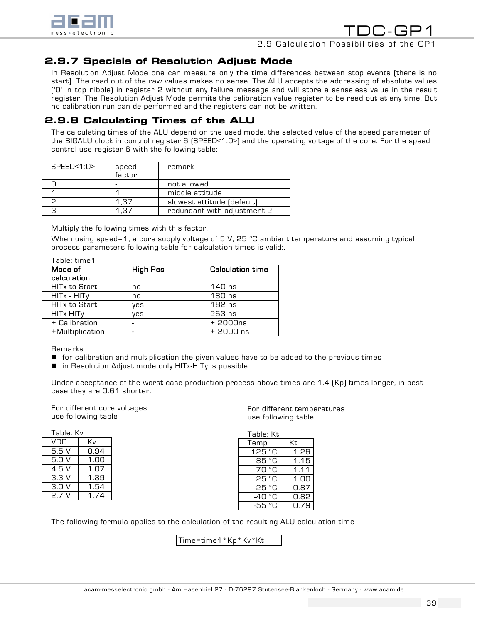

## 2.9 Calculation Possibilities of the GP1

## 2.9.7 Specials of Resolution Adjust Mode

In Resolution Adjust Mode one can measure only the time differences between stop events (there is no start). The read out of the raw values makes no sense. The ALU accepts the addressing of absolute values ('0' in top nibble) in register 2 without any failure message and will store a senseless value in the result register. The Resolution Adjust Mode permits the calibration value register to be read out at any time. But no calibration run can de performed and the registers can not be written.

# 2.9.8 Calculating Times of the ALU

The calculating times of the ALU depend on the used mode, the selected value of the speed parameter of the BIGALU clock in control register 6 (SPEED<1:0>) and the operating voltage of the core. For the speed control use register 6 with the following table:

| SPEED < 1:0 | speed<br>factor | remark                      |
|-------------|-----------------|-----------------------------|
|             |                 | not allowed                 |
|             |                 | middle attitude             |
|             | 1.37            | slowest attitude (default)  |
|             | - 7             | redundant with adjustment 2 |

Multiply the following times with this factor.

When using speed=1, a core supply voltage of 5 V, 25 °C ambient temperature and assuming typical process parameters following table for calculation times is valid:.

| Table: time1                    |                 |                         |
|---------------------------------|-----------------|-------------------------|
| Mode of                         | <b>High Res</b> | <b>Calculation time</b> |
| calculation                     |                 |                         |
| <b>HITx to Start</b>            | no              | 140 ns                  |
| HITx - HITy                     | no              | 180 ns                  |
| <b>HIT<sub>x</sub></b> to Start | ves             | $182$ ns                |
| HITx-HITy                       | ves             | 263 ns                  |
| + Calibration                   |                 | $+2000ns$               |
| +Multiplication                 |                 | $+2000$ ns              |
|                                 |                 |                         |

Remarks:

- ! for calibration and multiplication the given values have to be added to the previous times
- in Resolution Adjust mode only HITx-HITy is possible

Under acceptance of the worst case production process above times are 1.4 (Kp) times longer, in best case they are 0.61 shorter.

For different core voltages use following table

| Table: Kv |      |
|-----------|------|
| VDD       | Κv   |
| 5.5 V     | 0.94 |
| 5.N V     | 1.NO |
| 4.5 V     | 1.07 |
| 3.3V      | 1.39 |
| 3.0 V     | 1.54 |
| 27'       | 1 74 |

For different temperatures use following table

| Table: Kt |      |  |  |
|-----------|------|--|--|
| Temp      | Кt   |  |  |
| 125 °C    | 1.26 |  |  |
| 85 °C     | 1.15 |  |  |
| ்ட<br>70  | 1.11 |  |  |
| 25 °C     | 1.00 |  |  |
| -25 °C    | 0.87 |  |  |
| -40 °C    | 0.82 |  |  |
| -55 °C    | በ.79 |  |  |

The following formula applies to the calculation of the resulting ALU calculation time

Time=time1\*Kp\*Kv\*Kt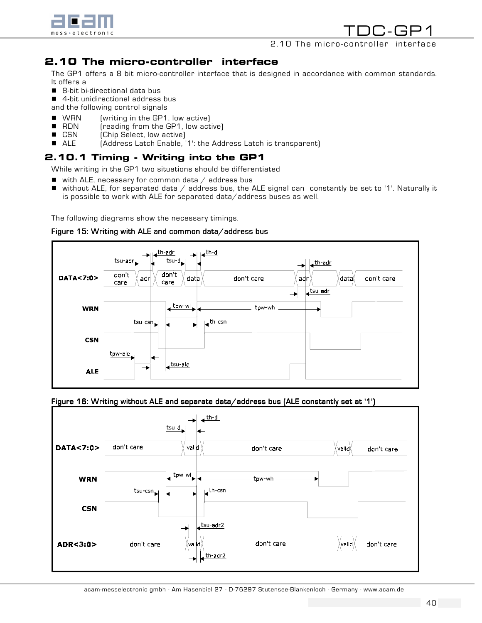

## 2.10 The micro-controller

# 2.10 The micro-controller interface

The GP1 offers a 8 bit micro-controller interface that is designed in accordance with common standards. It offers a

- 8-bit bi-directional data bus
- 4-bit unidirectional address bus

and the following control signals

- **U** WRN (writing in the GP1, low active)
- RDN (reading from the GP1, low active)
- CSN (Chip Select, low active)
- ALE (Address Latch Enable, '1': the Address Latch is transparent)

## 2.10.1 Timing - Writing into the GP1

While writing in the GP1 two situations should be differentiated

- $\blacksquare$  with ALE, necessary for common data / address bus
- $\blacksquare$  without ALE, for separated data / address bus, the ALE signal can constantly be set to '1'. Naturally it is possible to work with ALE for separated data/address buses as well.

The following diagrams show the necessary timings.





Figure 16: Writing without ALE and separate data/address bus (ALE constantly set at '1')

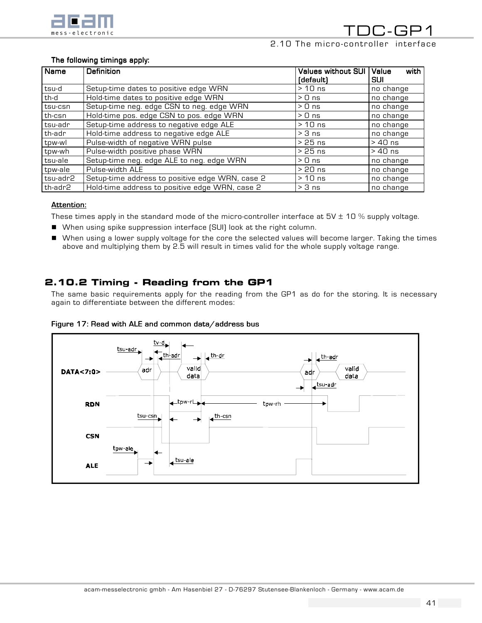

TDC-GP1 2.10 The micro-controller interface

#### The following timings apply:

| <b>Name</b> | Definition                                        | Values without SUI<br>(default) | with<br><b>Value</b><br>SUI |
|-------------|---------------------------------------------------|---------------------------------|-----------------------------|
| tsu-d       | Setup-time dates to positive edge WRN<br>$>10$ ns |                                 | no change                   |
| th-d        | Hold-time dates to positive edge WRN              | $> 0$ ns                        | no change                   |
| tsu-csn     | Setup-time neg. edge CSN to neg. edge WRN         | $> 0$ ns                        | no change                   |
| th-csn      | Hold-time pos. edge CSN to pos. edge WRN          | $> 0$ ns                        | no change                   |
| tsu-adr     | Setup-time address to negative edge ALE           | $>10$ ns                        | no change                   |
| th-adr      | Hold-time address to negative edge ALE            | $> 3$ ns                        | no change                   |
| tpw-wl      | Pulse-width of negative WRN pulse                 | $>25$ ns                        | $>40$ ns                    |
| tpw-wh      | Pulse-width positive phase WRN                    | $>25$ ns                        | $>40$ ns                    |
| tsu-ale     | Setup-time neg. edge ALE to neg. edge WRN         | $> 0$ ns                        | no change                   |
| tpw-ale     | Pulse-width ALE                                   | $>20$ ns                        | no change                   |
| tsu-adr2    | Setup-time address to positive edge WRN, case 2   | $>10$ ns                        | no change                   |
| th-adr2     | Hold-time address to positive edge WRN, case 2    | $> 3$ ns                        | no change                   |

#### Attention:

These times apply in the standard mode of the micro-controller interface at  $5V \pm 10\%$  supply voltage.

- ! When using spike suppression interface (SUI) look at the right column.
- ! When using a lower supply voltage for the core the selected values will become larger. Taking the times above and multiplying them by 2.5 will result in times valid for the whole supply voltage range.

# 2.10.2 Timing - Reading from the GP1

The same basic requirements apply for the reading from the GP1 as do for the storing. It is necessary again to differentiate between the different modes:



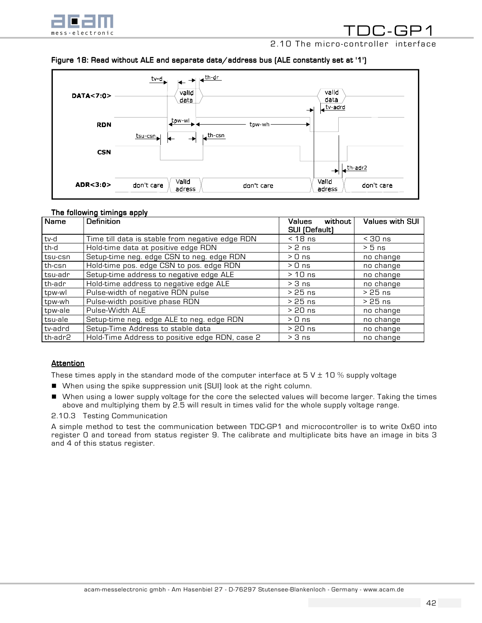

2.10 The micro-controller interface

#### Figure 18: Read without ALE and separate data/address bus (ALE constantly set at '1')



#### The following timings apply

| Name    | Definition                                      | without<br><b>Values</b><br><b>SUI (Default)</b> | <b>Values with SUI</b> |
|---------|-------------------------------------------------|--------------------------------------------------|------------------------|
| tv-d    | Time till data is stable from negative edge RDN | $<$ 18 ns                                        | $<$ 30 ns              |
| th-d    | Hold-time data at positive edge RDN             | $> 2$ ns                                         | $> 5$ ns               |
| tsu-csn | Setup-time neg. edge CSN to neg. edge RDN       | $> 0$ ns                                         | no change              |
| th-csn  | Hold-time pos. edge CSN to pos. edge RDN        | $> 0$ ns                                         | no change              |
| tsu-adr | Setup-time address to negative edge ALE         | $>10$ ns                                         | no change              |
| th-adr  | Hold-time address to negative edge ALE          | $> 3$ ns                                         | no change              |
| tpw-wl  | Pulse-width of negative RDN pulse               | $>25$ ns                                         | $>25$ ns               |
| tpw-wh  | Pulse-width positive phase RDN                  | $>25$ ns                                         | $>25$ ns               |
| tpw-ale | Pulse-Width ALE                                 | $>20$ ns                                         | no change              |
| tsu-ale | Setup-time neg. edge ALE to neg. edge RDN       | $> 0$ ns                                         | no change              |
| tv-adrd | Setup-Time Address to stable data               | $>20$ ns                                         | no change              |
| th-adr2 | Hold-Time Address to positive edge RDN, case 2  | $> 3$ ns                                         | no change              |

#### Attention

These times apply in the standard mode of the computer interface at  $5 \text{ V} \pm 10 \text{ %}$  supply voltage

- When using the spike suppression unit (SUI) look at the right column.
- ! When using a lower supply voltage for the core the selected values will become larger. Taking the times above and multiplying them by 2.5 will result in times valid for the whole supply voltage range.
- 2.10.3 Testing Communication

A simple method to test the communication between TDC-GP1 and microcontroller is to write 0x60 into register 0 and toread from status register 9. The calibrate and multiplicate bits have an image in bits 3 and 4 of this status register.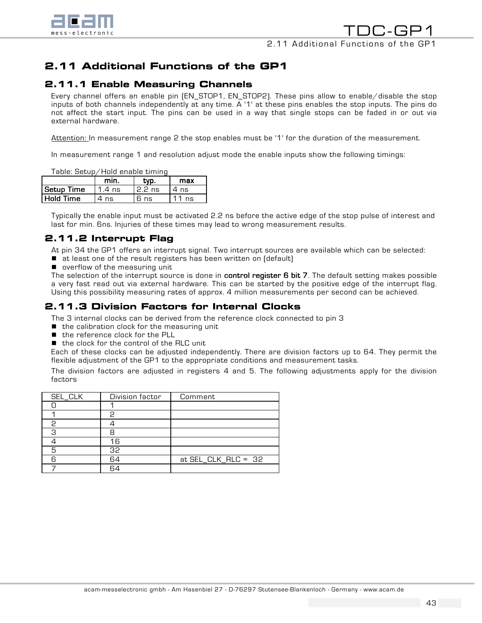

# 2.11 Additional Functions of the GP1

# 2.11.1 Enable Measuring Channels

Every channel offers an enable pin (EN\_STOP1, EN\_STOP2). These pins allow to enable/disable the stop inputs of both channels independently at any time. A '1' at these pins enables the stop inputs. The pins do not affect the start input. The pins can be used in a way that single stops can be faded in or out via external hardware.

Attention: In measurement range 2 the stop enables must be '1' for the duration of the measurement.

In measurement range 1 and resolution adjust mode the enable inputs show the following timings:

Table: Setup/Hold enable timing

|            | min.     |          | max  |
|------------|----------|----------|------|
| Setup Time | $1.4$ ns | $2.2$ ns | 4ns  |
| Hold Time  | 4 ns     | 6 ns     | 11ns |

Typically the enable input must be activated 2.2 ns before the active edge of the stop pulse of interest and last for min. 6ns. Injuries of these times may lead to wrong measurement results.

# 2.11.2 Interrupt Flag

At pin 34 the GP1 offers an interrupt signal. Two interrupt sources are available which can be selected:

- $\blacksquare$  at least one of the result registers has been written on (default)
- **D** overflow of the measuring unit

The selection of the interrupt source is done in control register 6 bit 7. The default setting makes possible a very fast read out via external hardware. This can be started by the positive edge of the interrupt flag. Using this possibility measuring rates of approx. 4 million measurements per second can be achieved.

# 2.11.3 Division Factors for Internal Clocks

The 3 internal clocks can be derived from the reference clock connected to pin 3

- $\blacksquare$  the calibration clock for the measuring unit
- the reference clock for the PLL
- $\blacksquare$  the clock for the control of the RLC unit

Each of these clocks can be adjusted independently. There are division factors up to 64. They permit the flexible adjustment of the GP1 to the appropriate conditions and measurement tasks.

The division factors are adjusted in registers 4 and 5. The following adjustments apply for the division factors

| SEL_CLK | Division factor | Comment               |
|---------|-----------------|-----------------------|
|         |                 |                       |
|         | っ               |                       |
| 2       |                 |                       |
| З       |                 |                       |
|         | 16              |                       |
| 5       | 32              |                       |
| ട       | 64              | at $SEL_CLK_RLC = 32$ |
|         |                 |                       |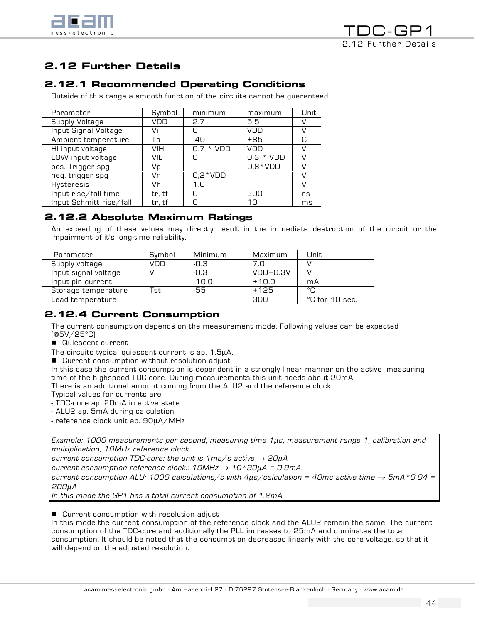

# 2.12 Further Details

# 2.12.1 Recommended Operating Conditions

Outside of this range a smooth function of the circuits cannot be guaranteed.

| Parameter               | Symbol | minimum      | maximum     | Unit |
|-------------------------|--------|--------------|-------------|------|
| Supply Voltage          | VDD    | 2.7          | 5.5         |      |
| Input Signal Voltage    | Vi     | Π            | VDD         |      |
| Ambient temperature     | Тa     | -40          | $+85$       | C    |
| HI input voltage        | VIH    | * VDD<br>0.7 | VDD         |      |
| LOW input voltage       | VIL    |              | $0.3 * VDD$ |      |
| pos. Trigger spg        | Vp     |              | $0,8*VDD$   |      |
| neg. trigger spg        | Vn     | $0,2*VDD$    |             |      |
| <b>Hysteresis</b>       | Vh     | 1.0          |             | V    |
| Input rise/fall time    | tr, tf | Π            | 200         | ns   |
| Input Schmitt rise/fall | tr, tf | Π            | 10          | ms   |
|                         |        |              |             |      |

# 2.12.2 Absolute Maximum Ratings

An exceeding of these values may directly result in the immediate destruction of the circuit or the impairment of it's long-time reliability.

| Parameter            | Symbol | Minimum | Maximum    | Unit                     |
|----------------------|--------|---------|------------|--------------------------|
| Supply voltage       | vnn    | -0.3    | 7.N        |                          |
| Input signal voltage |        | -0.3    | $VDD+0.3V$ |                          |
| Input pin current    |        | $-10.0$ | $+10.0$    | mA                       |
| Storage temperature  | `st    | -55     | $+125$     | ்C                       |
| Lead temperature     |        |         | 300        | $^{\circ}$ C for 10 sec. |

# 2.12.4 Current Consumption

The current consumption depends on the measurement mode. Following values can be expected (@5V/25°C)

■ Quiescent current

The circuits typical quiescent current is ap. 1.5µA.

■ Current consumption without resolution adjust

In this case the current consumption is dependent in a strongly linear manner on the active measuring time of the highspeed TDC-core. During measurements this unit needs about 20mA.

There is an additional amount coming from the ALU2 and the reference clock.

Typical values for currents are

- TDC-core ap. 20mA in active state

- ALU2 ap. 5mA during calculation

- reference clock unit ap. 90µA/MHz

 $Example: 1000 measurements per second, measuring time 1  $\mu$ s, measurement range 1, calibration and$ multiplication, 10MHz reference clock

current consumption TDC-core: the unit is  $1 \text{ms/s}$  active  $\rightarrow 20 \mu A$ 

current consumption reference clock::  $10MHz \rightarrow 10*90\mu A = 0,9mA$ 

current consumption ALU: 1000 calculations/s with  $4\mu s$ /calculation = 40ms active time  $\rightarrow$  5mA\*0,04 = 200µA

In this mode the GP1 has a total current consumption of 1.2mA

■ Current consumption with resolution adjust

In this mode the current consumption of the reference clock and the ALU2 remain the same. The current consumption of the TDC-core and additionally the PLL increases to 25mA and dominates the total consumption. It should be noted that the consumption decreases linearly with the core voltage, so that it will depend on the adjusted resolution.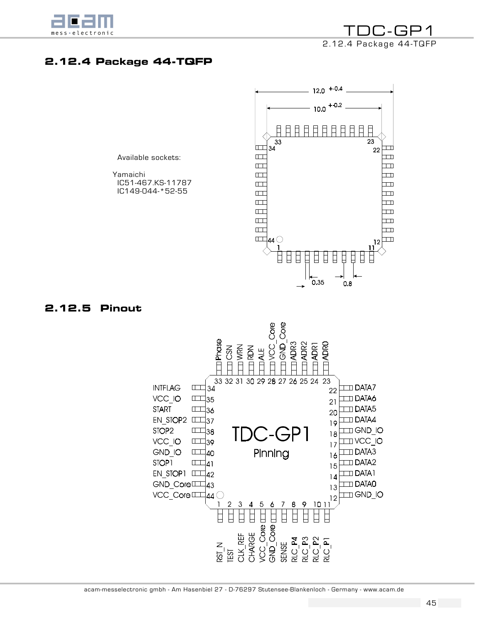

TDC-GP1 2.12.4 Package 44-TQFP

# 2.12.4 Package 44-TQFP

Available sockets:

 Yamaichi IC51-467.KS-11787 IC149-044-\*52-55



## 2.12.5 Pinout

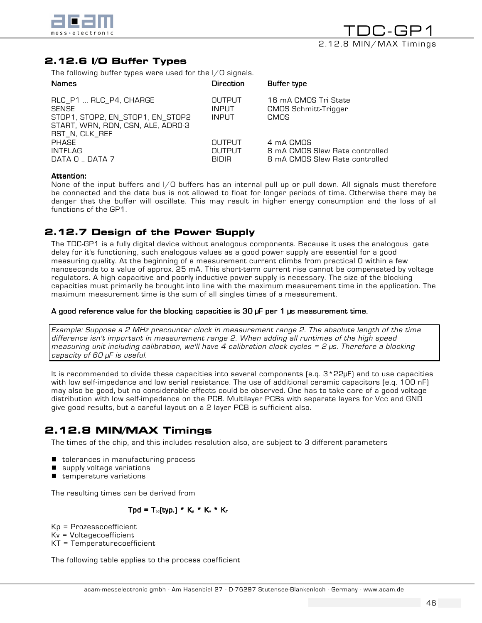

# 2.12.6 I/O Buffer Types

The following buffer types were used for the I/O signals.

| <b>Names</b>                                                                                                                      | Direction                                     | Buffer type                                                                   |
|-----------------------------------------------------------------------------------------------------------------------------------|-----------------------------------------------|-------------------------------------------------------------------------------|
| RLC_P1  RLC_P4, CHARGE<br><b>SENSE</b><br>STOP1, STOP2, EN_STOP1, EN_STOP2<br>START, WRN, RDN, CSN, ALE, ADRO-3<br>RST_N, CLK_REF | <b>OUTPUT</b><br><b>INPUT</b><br><b>INPUT</b> | 16 mA CMOS Tri State<br><b>CMOS Schmitt-Trigger</b><br>CMOS                   |
| <b>PHASE</b><br>INTFLAG<br>DATA 0  DATA 7                                                                                         | OUTPUT<br><b>OUTPUT</b><br><b>BIDIR</b>       | 4 mA CMOS<br>8 mA CMOS Slew Rate controlled<br>8 mA CMOS Slew Rate controlled |

#### Attention: Attention: Attention:

None of the input buffers and I/O buffers has an internal pull up or pull down. All signals must therefore be connected and the data bus is not allowed to float for longer periods of time. Otherwise there may be danger that the buffer will oscillate. This may result in higher energy consumption and the loss of all functions of the GP1.

# 2.12.7 Design of the Power Supply

The TDC-GP1 is a fully digital device without analogous components. Because it uses the analogous gate delay for it's functioning, such analogous values as a good power supply are essential for a good measuring quality. At the beginning of a measurement current climbs from practical 0 within a few nanoseconds to a value of approx. 25 mA. This short-term current rise cannot be compensated by voltage regulators. A high capacitive and poorly inductive power supply is necessary. The size of the blocking capacities must primarily be brought into line with the maximum measurement time in the application. The maximum measurement time is the sum of all singles times of a measurement.

#### A good reference value for the blocking capacities is  $30$  µF per 1 µs measurement time.

Example: Suppose a 2 MHz precounter clock in measurement range 2. The absolute length of the time difference isn't important in measurement range 2. When adding all runtimes of the high speed measuring unit including calibration, we'll have 4 calibration clock cycles = 2 µs. Therefore a blocking capacity of 60 µF is useful.

It is recommended to divide these capacities into several components (e.q. 3\*22µF) and to use capacities with low self-impedance and low serial resistance. The use of additional ceramic capacitors (e.q. 100 nF) may also be good, but no considerable effects could be observed. One has to take care of a good voltage distribution with low self-impedance on the PCB. Multilayer PCBs with separate layers for Vcc and GND give good results, but a careful layout on a 2 layer PCB is sufficient also.

# 2.12.8 MIN/MAX Timings

The times of the chip, and this includes resolution also, are subject to 3 different parameters

- **I** tolerances in manufacturing process
- supply voltage variations
- **E** temperature variations

The resulting times can be derived from

## $Tpd = T_{pd}[\text{typ.}] * K_{p} * K_{v} * K_{r}$

Kp = Prozesscoefficient Kv = Voltagecoefficient KT = Temperaturecoefficient

The following table applies to the process coefficient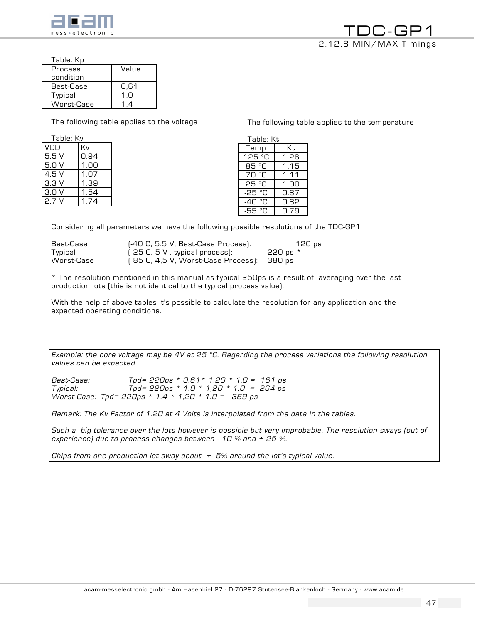

The following table applies to the temperature

Table: Kp

| Process<br>condition | Value |
|----------------------|-------|
| Best-Case            | 0.61  |
| Typical              | 1 ∩   |
| Worst-Case           | 14    |

The following table applies to the voltage

| Table: Kv |      |  |  |
|-----------|------|--|--|
| VDD       | Kv   |  |  |
| 5.5V      | 0.94 |  |  |
| 5.0V      | 1.00 |  |  |
| 4.5 V     | 1.07 |  |  |
| 3.3V      | 1.39 |  |  |
| 3.0V      | 1.54 |  |  |
| 2.7 V     | 174  |  |  |

| Table: Kt |      |  |  |  |
|-----------|------|--|--|--|
| Temp      | Кt   |  |  |  |
| 125 °C    | 1.26 |  |  |  |
| 85 °C     | 1.15 |  |  |  |
| 70 °C     | 1.11 |  |  |  |
| 25 °C     | 1.NO |  |  |  |
| -25 °C    | 0.87 |  |  |  |
| -40 °C    | 0.82 |  |  |  |
| -55 °C    | በ.79 |  |  |  |

Considering all parameters we have the following possible resolutions of the TDC-GP1

| Best-Case  | (-40 C, 5.5 V, Best-Case Process):        | 120 ps   |
|------------|-------------------------------------------|----------|
| Typical    | [ 25 C, 5 V , typical process):           | 220 ps * |
| Worst-Case | (85 C, 4,5 V, Worst-Case Process): 380 ps |          |

\* The resolution mentioned in this manual as typical 250ps is a result of averaging over the last production lots (this is not identical to the typical process value).

With the help of above tables it's possible to calculate the resolution for any application and the expected operating conditions.

Example: the core voltage may be 4V at 25  $^{\circ}$ C. Regarding the process variations the following resolution values can be expected

Best-Case: Tpd= 220ps \* 0,61\* 1.20 \* 1,0 = 161 ps Typical: Tpd= 220ps \* 1.0 \* 1,20 \* 1.0 = 264 ps Worst-Case: Tpd= 220ps \* 1.4 \* 1,20 \* 1.0 = 369 ps

Remark: The Kv Factor of 1.20 at 4 Volts is interpolated from the data in the tables.

Such a big tolerance over the lots however is possible but very improbable. The resolution sways (out of experience) due to process changes between - 10  $\%$  and + 25  $\%$ .

Chips from one production lot sway about  $+5\%$  around the lot's typical value.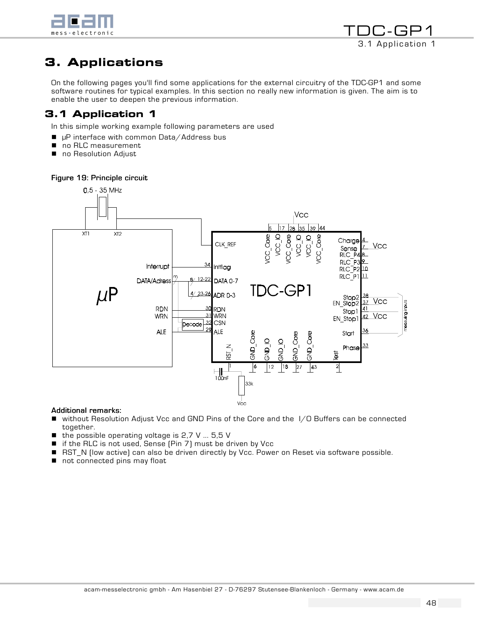

```
TDC-GP1
  3.1 Application 1
```
# 3. Applications

On the following pages you'll find some applications for the external circuitry of the TDC-GP1 and some software routines for typical examples. In this section no really new information is given. The aim is to enable the user to deepen the previous information.

# 3.1 Application 1

In this simple working example following parameters are used

- $\blacksquare$  µP interface with common Data/Address bus
- no RLC measurement
- no Resolution Adjust

## Figure 19: Principle circuit



#### Additional remarks:

- ! without Resolution Adjust Vcc and GND Pins of the Core and the I/O Buffers can be connected together.
- $\blacksquare$  the possible operating voltage is 2,7 V ... 5,5 V
- $\blacksquare$  if the RLC is not used, Sense (Pin 7) must be driven by Vcc
- RST\_N (low active) can also be driven directly by Vcc. Power on Reset via software possible.
- not connected pins may float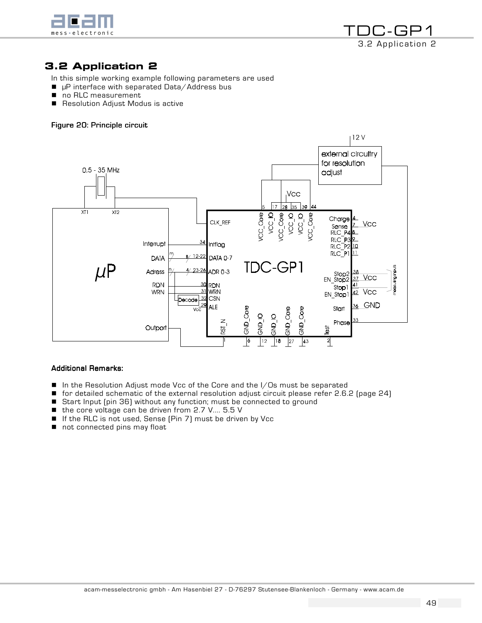



# 3.2 Application 2

In this simple working example following parameters are used

- $\blacksquare$  µP interface with separated Data/Address bus
- no RLC measurement
- Resolution Adjust Modus is active

## Figure 20: Principle circuit



#### **Additional Remarks:**

- $\blacksquare$  In the Resolution Adjust mode Vcc of the Core and the I/Os must be separated
- ! for detailed schematic of the external resolution adjust circuit please refer 2.6.2 (page 24)
- Start Input (pin 36) without any function; must be connected to ground
- the core voltage can be driven from 2.7 V.... 5.5 V
- If the RLC is not used, Sense (Pin 7) must be driven by Vcc
- not connected pins may float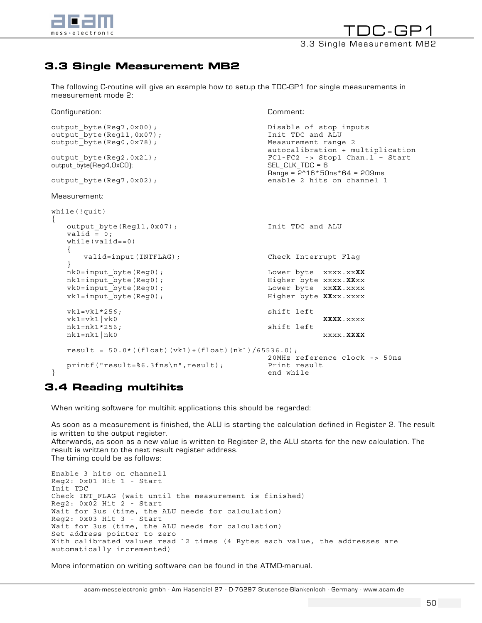

# 3.3 Single Measurement MB2

The following C-routine will give an example how to setup the TDC-GP1 for single measurements in measurement mode 2:

Configuration: Comment:

```
output_byte(Reg7,0x00); Disable of stop inputs 
output_byte(Reg11,0x07); Init TDC and ALU 
output byte(Reg0,0x78); example 2
                                     autocalibration + multiplication 
output_byte(Reg2,0x21);<br>
output byte(Req4.0xC0);<br>
SEL CLK TDC = 6
output_byte(Reg4,0xCO);
Range = 2^16*50ns*64 = 209ms<br>cutput byte(Req7,0x02);<br>enable 2 hits on channel 1
                                    enable 2 hits on channel 1
Measurement: 
while(!quit) 
{ 
  output byte(Reg11,0x07); Thit TDC and ALU
  valid = 0; while(valid==0) 
   { 
      valid=input(INTFLAG); Check Interrupt Flag 
   } 
   nk0=input_byte(Reg0); Lower byte xxxx.xxXX
   nk1=input_byte(Reg0); Higher byte xxxx.XXxx 
   vk0=input_byte(Reg0); Lower byte xxXX.xxxx 
  vk1=input_byte(Reg0); Higher byte XXxx.xxxx
  vk1=vk1*256; shift left
   vk1=vk1|vk0 XXXX.xxxx 
   nk1=nk1*256; shift left 
   nk1=nk1|nk0 xxxx.XXXX 
  result = 50.0 * ((float) (vk1) + (float) (nkl) / 65536.0); 20MHz reference clock -> 50ns 
printf("result=%6.3fns\n",result); Print result<br>} end while
                                    end while
```
# 3.4 Reading multihits

When writing software for multihit applications this should be regarded:

As soon as a measurement is finished, the ALU is starting the calculation defined in Register 2. The result is written to the output register.

Afterwards, as soon as a new value is written to Register 2, the ALU starts for the new calculation. The result is written to the next result register address. The timing could be as follows:

Enable 3 hits on channel1 Reg2: 0x01 Hit 1 - Start Init TDC Check INT FLAG (wait until the measurement is finished) Reg2: 0x02 Hit 2 - Start Wait for 3us (time, the ALU needs for calculation) Reg2: 0x03 Hit 3 - Start Wait for 3us (time, the ALU needs for calculation) Set address pointer to zero With calibrated values read 12 times (4 Bytes each value, the addresses are automatically incremented)

More information on writing software can be found in the ATMD-manual.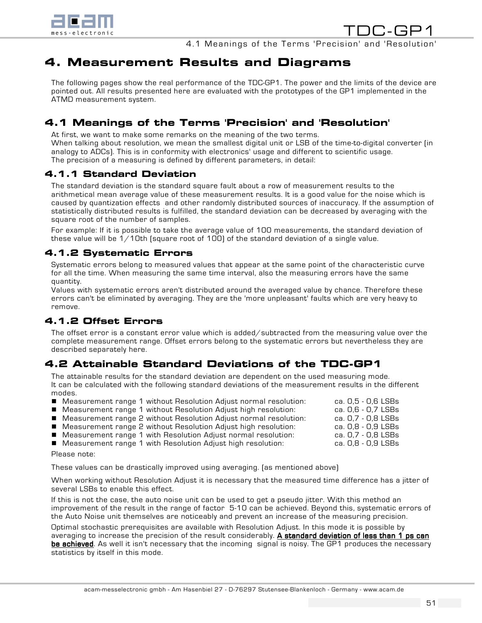

TDC-GP1 4.1 Meanings of the Terms 'Precision' and 'Resolution'

# 4. Measurement Results and Diagrams

The following pages show the real performance of the TDC-GP1. The power and the limits of the device are pointed out. All results presented here are evaluated with the prototypes of the GP1 implemented in the ATMD measurement system.

# 4.1 Meanings of the Terms 'Precision' and 'Resolution'

At first, we want to make some remarks on the meaning of the two terms. When talking about resolution, we mean the smallest digital unit or LSB of the time-to-digital converter (in analogy to ADCs). This is in conformity with electronics' usage and different to scientific usage. The precision of a measuring is defined by different parameters, in detail:

# 4.1.1 Standard Deviation

The standard deviation is the standard square fault about a row of measurement results to the arithmetical mean average value of these measurement results. It is a good value for the noise which is caused by quantization effects and other randomly distributed sources of inaccuracy. If the assumption of statistically distributed results is fulfilled, the standard deviation can be decreased by averaging with the square root of the number of samples.

For example: If it is possible to take the average value of 100 measurements, the standard deviation of these value will be  $1/10$ th (square root of 100) of the standard deviation of a single value.

# 4.1.2 Systematic Errors

Systematic errors belong to measured values that appear at the same point of the characteristic curve for all the time. When measuring the same time interval, also the measuring errors have the same quantity.

Values with systematic errors aren't distributed around the averaged value by chance. Therefore these errors can't be eliminated by averaging. They are the 'more unpleasant' faults which are very heavy to remove.

# 4.1.2 Offset Errors

The offset error is a constant error value which is added/subtracted from the measuring value over the complete measurement range. Offset errors belong to the systematic errors but nevertheless they are described separately here.

# 4.2 Attainable Standard Deviations of the TDC-GP1

The attainable results for the standard deviation are dependent on the used measuring mode. It can be calculated with the following standard deviations of the measurement results in the different modes.

- Measurement range 1 without Resolution Adjust normal resolution: ca. 0,5 0,6 LSBs
- Measurement range 1 without Resolution Adjust high resolution: ca. 0,6 0,7 LSBs
- Measurement range 2 without Resolution Adjust normal resolution: ca. 0,7 0,8 LSBs
- ! Measurement range 2 without Resolution Adjust high resolution: ca. 0,8 0,9 LSBs
- ! Measurement range 1 with Resolution Adjust normal resolution: ca. 0,7 0,8 LSBs

**E** Measurement range 1 with Resolution Adjust high resolution: Please note:

These values can be drastically improved using averaging. (as mentioned above)

When working without Resolution Adjust it is necessary that the measured time difference has a jitter of several LSBs to enable this effect.

If this is not the case, the auto noise unit can be used to get a pseudo jitter. With this method an improvement of the result in the range of factor 5-10 can be achieved. Beyond this, systematic errors of the Auto Noise unit themselves are noticeably and prevent an increase of the measuring precision.

Optimal stochastic prerequisites are available with Resolution Adjust. In this mode it is possible by averaging to increase the precision of the result considerably. A standard deviation of less than 1 ps can be achieved. As well it isn't necessary that the incoming signal is noisy. The GP1 produces the necessary statistics by itself in this mode.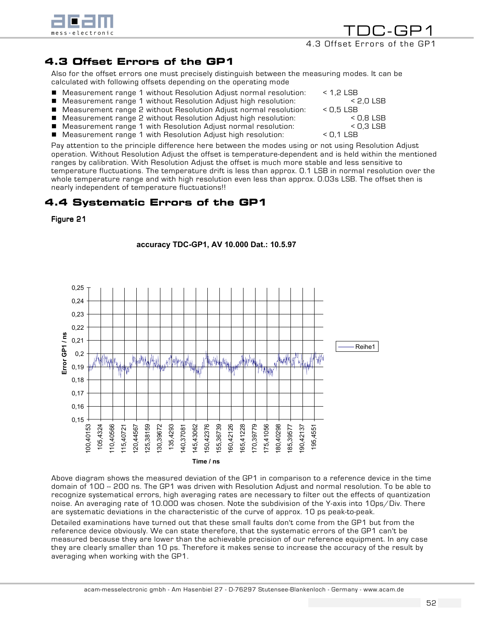

TDC-GP1 4.3 Offset Errors of the GP1

# 4.3 Offset Errors of the GP1

Also for the offset errors one must precisely distinguish between the measuring modes. It can be calculated with following offsets depending on the operating mode

- Measurement range 1 without Resolution Adjust normal resolution: < 1,2 LSB
- Measurement range 1 without Resolution Adjust high resolution: < 2,0 LSB
- Measurement range 2 without Resolution Adjust normal resolution: < 0,5 LSB
- Measurement range 2 without Resolution Adjust high resolution:  $\leq$  C,8 LSB
- Measurement range 1 with Resolution Adjust normal resolution:  $\leq$  C,3 LSB
- Measurement range 1 with Resolution Adjust high resolution: < 0,1 LSB

Pay attention to the principle difference here between the modes using or not using Resolution Adjust operation. Without Resolution Adjust the offset is temperature-dependent and is held within the mentioned ranges by calibration. With Resolution Adjust the offset is much more stable and less sensitive to temperature fluctuations. The temperature drift is less than approx. 0.1 LSB in normal resolution over the whole temperature range and with high resolution even less than approx. 0.03s LSB. The offset then is nearly independent of temperature fluctuations!!

# 4.4 Systematic Errors of the GP1

Figure 21



**accuracy TDC-GP1, AV 10.000 Dat.: 10.5.97**

Above diagram shows the measured deviation of the GP1 in comparison to a reference device in the time domain of 100 -- 200 ns. The GP1 was driven with Resolution Adjust and normal resolution. To be able to recognize systematical errors, high averaging rates are necessary to filter out the effects of quantization noise. An averaging rate of 10.000 was chosen. Note the subdivision of the Y-axis into 10ps/Div. There are systematic deviations in the characteristic of the curve of approx. 10 ps peak-to-peak.

Detailed examinations have turned out that these small faults don't come from the GP1 but from the reference device obviously. We can state therefore, that the systematic errors of the GP1 can't be measured because they are lower than the achievable precision of our reference equipment. In any case they are clearly smaller than 10 ps. Therefore it makes sense to increase the accuracy of the result by averaging when working with the GP1.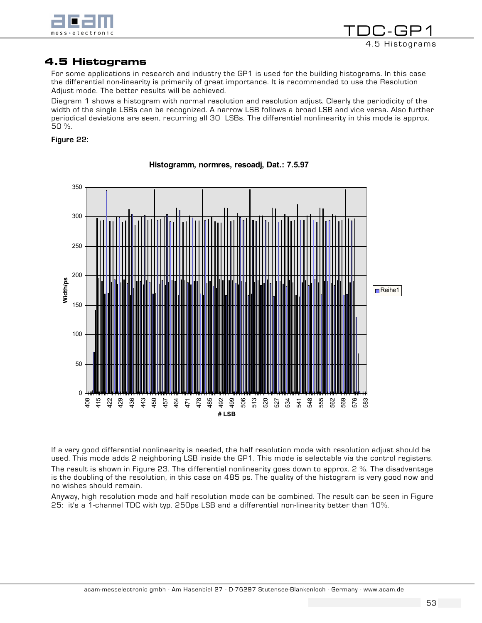

```
TDC-GP1
   4.5 Histograms
```
# 4.5 Histograms

For some applications in research and industry the GP1 is used for the building histograms. In this case the differential non-linearity is primarily of great importance. It is recommended to use the Resolution Adjust mode. The better results will be achieved.

Diagram 1 shows a histogram with normal resolution and resolution adjust. Clearly the periodicity of the width of the single LSBs can be recognized. A narrow LSB follows a broad LSB and vice versa. Also further periodical deviations are seen, recurring all 30 LSBs. The differential nonlinearity in this mode is approx. 50 %.

## Figure 22:



**Histogramm, normres, resoadj, Dat.: 7.5.97**

If a very good differential nonlinearity is needed, the half resolution mode with resolution adjust should be used. This mode adds 2 neighboring LSB inside the GP1. This mode is selectable via the control registers. The result is shown in Figure 23. The differential nonlinearity goes down to approx. 2 %. The disadvantage is the doubling of the resolution, in this case on 485 ps. The quality of the histogram is very good now and no wishes should remain.

Anyway, high resolution mode and half resolution mode can be combined. The result can be seen in Figure 25: it's a 1-channel TDC with typ. 250ps LSB and a differential non-linearity better than 10%.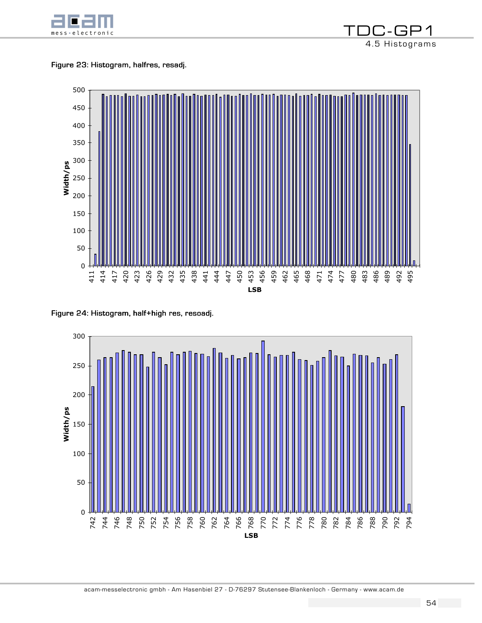

Figure 23: Histogram, halfres, resadj.



Figure 24: Histogram, half+high res, resoadj.



7-GP1 4.5 Histograms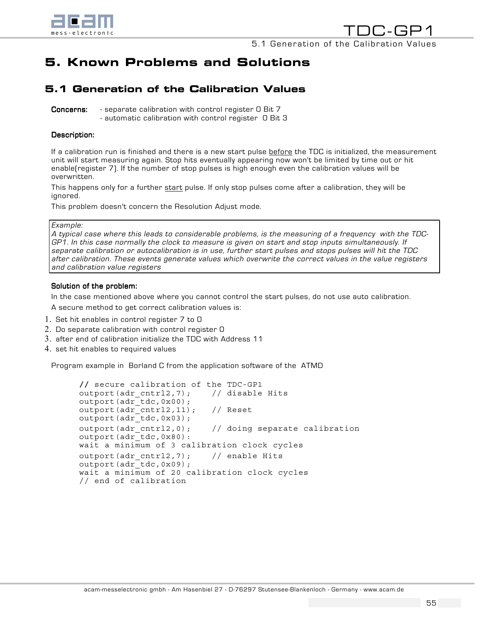

# 5. Known Problems and Solutions

# 5.1 Generation of the Calibration Values

**Concerns:** - separate calibration with control register O Bit 7 - automatic calibration with control register 0 Bit 3

#### Description:

If a calibration run is finished and there is a new start pulse before the TDC is initialized, the measurement unit will start measuring again. Stop hits eventually appearing now won't be limited by time out or hit enable(register 7). If the number of stop pulses is high enough even the calibration values will be overwritten.

This happens only for a further start pulse. If only stop pulses come after a calibration, they will be ignored.

This problem doesn't concern the Resolution Adjust mode.

#### Example:

A typical case where this leads to considerable problems, is the measuring of a frequency with the TDC-GP1. In this case normally the clock to measure is given on start and stop inputs simultaneously. If separate calibration or autocalibration is in use, further start pulses and stops pulses will hit the TDC after calibration. These events generate values which overwrite the correct values in the value registers and calibration value registers

#### Solution of the problem:

In the case mentioned above where you cannot control the start pulses, do not use auto calibration.

A secure method to get correct calibration values is:

- 1. Set hit enables in control register 7 to 0
- 2. Do separate calibration with control register 0
- 3. after end of calibration initialize the TDC with Address 11
- 4. set hit enables to required values

Program example in Borland C from the application software of the ATMD

```
// secure calibration of the TDC-GP1 
outport(adr_cntrl2,7); // disable Hits
outport(adr_tdc,0x00); 
outport(adr<sup>-</sup>cntrl2, 11); // Reset
output(adr\_tdc,0x03);outport(adr cntrl2,0); // doing separate calibration
outport(adr_tdc,0x80): 
wait a minimum of 3 calibration clock cycles 
outport(adr_cntrl2,7); // enable Hits
outport(adr_tdc,0x09); 
wait a minimum of 20 calibration clock cycles 
// end of calibration
```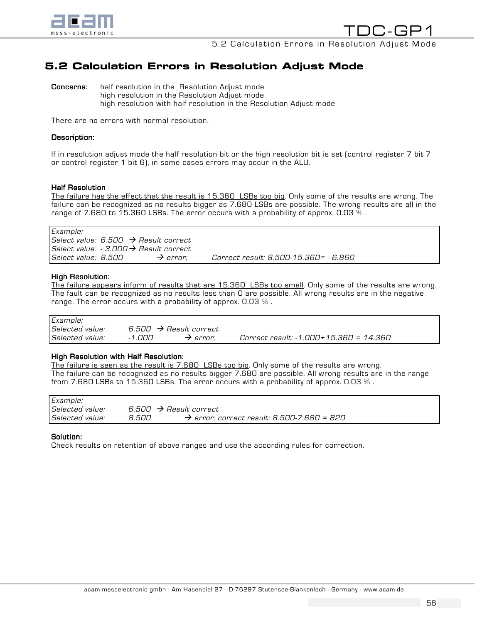

# 5.2 Calculation Errors in Resolution Adjust Mode

**Concerns:** half resolution in the Resolution Adjust mode high resolution in the Resolution Adjust mode high resolution with half resolution in the Resolution Adjust mode

There are no errors with normal resolution.

#### Description:

If in resolution adjust mode the half resolution bit or the high resolution bit is set (control register 7 bit 7 or control register 1 bit 6), in some cases errors may occur in the ALU.

#### **Half Resolution**

The failure has the effect that the result is 15.360 LSBs too big. Only some of the results are wrong. The failure can be recognized as no results bigger as 7.680 LSBs are possible. The wrong results are all in the range of 7.680 to 15.360 LSBs. The error occurs with a probability of approx. 0.03  $\%$ .

Example: Select value:  $6.500 \rightarrow$  Result correct Select value:  $-3.000 \rightarrow$  Result correct Select value:  $8.500 \rightarrow$  error; Correct result:  $8.500-15.360=$  -  $6.860$ 

#### High Resolution:

The failure appears inform of results that are 15.360 LSBs too small. Only some of the results are wrong. The fault can be recognized as no results less than 0 are possible. All wrong results are in the negative range. The error occurs with a probability of approx.  $0.03\%$ .

| Example:        |                                    |                      |                                        |
|-----------------|------------------------------------|----------------------|----------------------------------------|
| Selected value: | 6.500 $\rightarrow$ Result correct |                      |                                        |
| Selected value: | -1.000                             | $\rightarrow$ error: | Correct result: -1.000+15.360 = 14.360 |

#### High Resolution with Half Resolution:

The failure is seen as the result is 7.680 LSBs too big. Only some of the results are wrong. The failure can be recognized as no results bigger 7.680 are possible. All wrong results are in the range from 7.680 LSBs to 15.360 LSBs. The error occurs with a probability of approx. 0.03  $\%$  .

| Example:        |       |                                                        |
|-----------------|-------|--------------------------------------------------------|
| Selected value: |       | 6.500 $\rightarrow$ Result correct                     |
| Selected value: | 8.500 | $\rightarrow$ error; correct result: 8.500-7.680 = 820 |

#### Solution:

Check results on retention of above ranges and use the according rules for correction.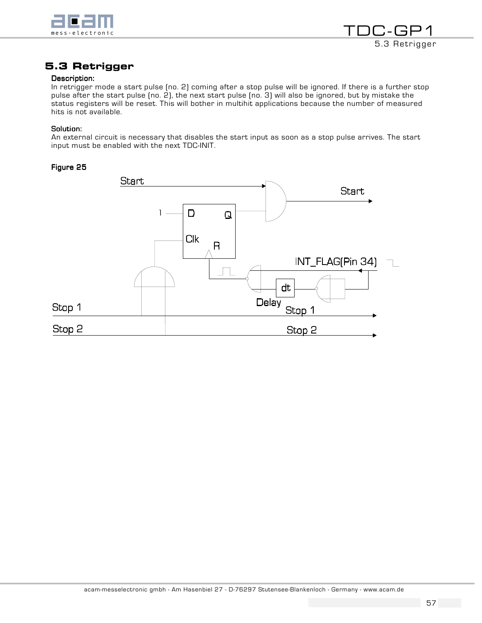



# 5.3 Retrigger

#### Description:

In retrigger mode a start pulse (no. 2) coming after a stop pulse will be ignored. If there is a further stop pulse after the start pulse (no. 2), the next start pulse (no. 3) will also be ignored, but by mistake the status registers will be reset. This will bother in multihit applications because the number of measured hits is not available.

#### Solution:

An external circuit is necessary that disables the start input as soon as a stop pulse arrives. The start input must be enabled with the next TDC-INIT.

#### Figure 25

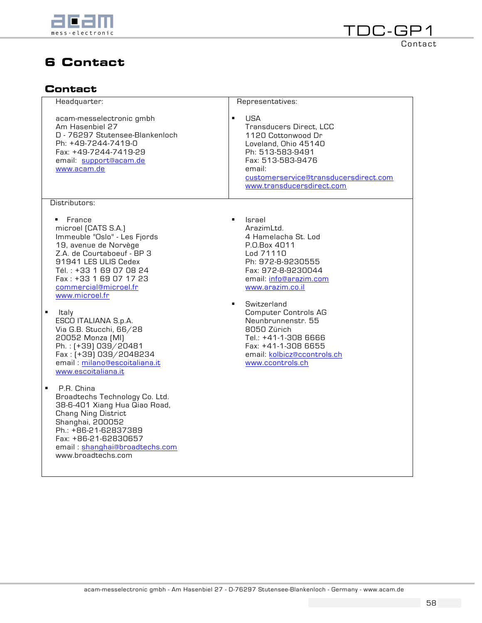

# 6 Contact

# **Contact**

| Headquarter:                                                                                                                                                                                                                                      | Representatives:                                                                                                                                                                                                               |
|---------------------------------------------------------------------------------------------------------------------------------------------------------------------------------------------------------------------------------------------------|--------------------------------------------------------------------------------------------------------------------------------------------------------------------------------------------------------------------------------|
| acam-messelectronic gmbh<br>Am Hasenbiel 27<br>D - 76297 Stutensee-Blankenloch<br>Ph: +49-7244-7419-0<br>Fax: +49-7244-7419-29<br>email: support@acam.de<br>www.acam.de                                                                           | $\blacksquare$<br><b>USA</b><br>Transducers Direct, LCC<br>1120 Cottonwood Dr<br>Loveland, Ohio 45140<br>Ph: 513-583-9491<br>Fax: 513-583-9476<br>email:<br>customerservice@transducersdirect.com<br>www.transducersdirect.com |
| Distributors:                                                                                                                                                                                                                                     |                                                                                                                                                                                                                                |
| France<br>٠<br>microel [CATS S.A.]<br>Immeuble "Oslo" - Les Fjords<br>19, avenue de Norvège<br>Z.A. de Courtaboeuf - BP 3<br>91941 LES ULIS Cedex<br>Tél.: +33 1 69 07 08 24<br>Fax: +33 1 69 07 17 23<br>commercial@microel.fr<br>www.microel.fr | Israel<br>$\blacksquare$<br>ArazimLtd.<br>4 Hamelacha St. Lod<br>P.O.Box 4011<br>Lod 71110<br>Ph: 972-8-9230555<br>Fax: 972-8-9230044<br>email: info@arazim.com<br>www.arazim.co.il<br>$\blacksquare$                          |
| ٠<br>ltaly<br>ESCO ITALIANA S.p.A.<br>Via G.B. Stucchi, 66/28<br>20052 Monza (MI)<br>Ph.: [+39] 039/20481<br>Fax: [+39] 039/2048234<br>email: milano@escoitaliana.it<br>www.escoitaliana.it                                                       | Switzerland<br><b>Computer Controls AG</b><br>Neunbrunnenstr. 55<br>8050 Zürich<br>Tel.: +41-1-308 6666<br>Fax: +41-1-308 6655<br>email: kolbicz@ccontrols.ch<br>www.ccontrols.ch                                              |
| P.R. China<br>٠<br>Broadtechs Technology Co. Ltd.<br>38-6-401 Xiang Hua Qiao Road,<br><b>Chang Ning District</b><br>Shanghai, 200052<br>Ph.: +86-21-62837389<br>Fax: +86-21-62830657<br>email: shanghai@broadtechs.com<br>www.broadtechs.com      |                                                                                                                                                                                                                                |
|                                                                                                                                                                                                                                                   |                                                                                                                                                                                                                                |

TDC-GP1

**Contact**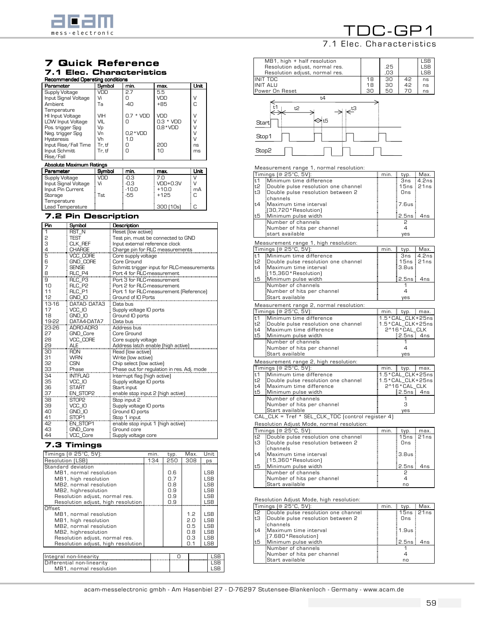

# 7 Quick Reference

# 7.1 Elec. Characteristics

| Recommended Operating conditions |        |              |             |             |  |
|----------------------------------|--------|--------------|-------------|-------------|--|
| Parameter                        | Symbol | min.         | max.        | <b>Unit</b> |  |
| Supply Voltage                   | VDD    | 2.7          | 5.5         |             |  |
| Input Signal Voltage             | Vi     | Π            | VDD         | ٧           |  |
| <b>Ambient</b>                   | Тa     | $-40$        | $+85$       | C           |  |
| Temperature                      |        |              |             |             |  |
| HI Input Voltage                 | VIH    | * VDD<br>0.7 | VDD         | ν           |  |
| LOW Input Voltage                | VIL    | Ω            | $0.3 * VDD$ |             |  |
| Pos. trigger Spg                 | Vp     |              | $0.8*VDD$   |             |  |
| Neg. trigger Spg                 | Vn     | $0.2*VDD$    |             |             |  |
| <b>Hysteresis</b>                | Vh     | 1.0          |             |             |  |
| Input Rise/Fall Time             | Tr. tf | Ω            | 200         | ns          |  |
| Input Schmitt                    | Tr. tf | Ω            | 10          | ms          |  |
| Rise/Fall                        |        |              |             |             |  |
| <b>Absolute Maximum Ratings</b>  |        |              |             |             |  |
| Parameter                        | Symbol | min.         | max.        | Unit        |  |
| _ _ _ _                          | .      |              | --          | .           |  |

| Supply Voltage       | VDD  | -0.3    | ፤ 7 N                   |               |
|----------------------|------|---------|-------------------------|---------------|
| Input Signal Voltage | Vi   | -0.3    | $: VDD+0.3V$            | $\mathcal{U}$ |
| Input Pin Current    |      | $-10.0$ | $+10.0$                 | mA            |
| Storage              | Гst. | -55     | $+125$                  | ÷С            |
| Temperature          |      |         |                         |               |
| Lead Temperature     |      |         | $\frac{1}{2}$ 300 (10s) | ÷Ω            |

## 7.2 Pin Description

| Pin   | Symbol            | Description                                |
|-------|-------------------|--------------------------------------------|
| 1     | RST <sub>N</sub>  | Reset (low active)                         |
| 2     | <b>TEST</b>       | Test pin, must be connected to GND         |
| 3     | CLK_REF           | Input external reference clock             |
| 4     | <b>CHARGE</b>     | Charge pin for RLC measurements            |
| 5     | VCC CORE          | Core supply voltage                        |
| 6     | <b>GND CORE</b>   | Core Ground                                |
| 7     | <b>SENSE</b>      | Schmitt trigger input for RLC-measurements |
| 8     | RLC P4            | Port 4 for RLC-measurement                 |
| 9     | RLC P3            | Port 3 for RLC-measurement                 |
| 10    | RLC P2            | Port 2 for RLC-measurement                 |
| 11    | RLC P1            | Port 1 for RLC-measurement [Reference]     |
| 12    | GND IO            | Ground of IO Ports                         |
| 13-16 | DATAO-DATA3       | Data bus                                   |
| 17    | VCC IO            | Supply voltage IO ports                    |
| 18    | GND IO            | Ground IO ports                            |
| 19-22 | DATA4-DATA7       | Data bus                                   |
| 23-26 | ADRO-ADR3         | Address bus                                |
| 27    | <b>GND Core</b>   | Core Ground                                |
| 28    | <b>VCC CORE</b>   | Core supply voltage                        |
| 29    | <b>ALE</b>        | Address latch enable [high active]         |
| 30    | <b>RDN</b>        | Read [low active]                          |
| 31    | <b>WRN</b>        | Write (low active)                         |
| 32    | CSN               | Chip select (low active)                   |
| 33    | Phase             | Phase out for regulation in res. Adj. mode |
| 34    | <b>INTFLAG</b>    | Interrupt flag [high active]               |
| 35    | VCC IO            | Supply voltage IO ports                    |
| 36    | <b>START</b>      | Start input                                |
| 37    | EN STOP2          | enable stop input 2 (high active)          |
| 38    | STOP <sub>2</sub> | Stop input 2                               |
| 39    | VCC IO            | Supply voltage IO ports                    |
| 40    | GND IO            | Ground IO ports                            |
| 41    | STOP <sub>1</sub> | Stop 1 input                               |
| 42    | EN_STOP1          | enable stop input 1 (high active)          |
| 43    | <b>GND Core</b>   | Ground core                                |
| 44    | <b>VCC Core</b>   | Supply voltage core                        |

## 7.3 Timings

| Timings (@ 25°C, 5V):              | min. | typ. | Max. | Unit       |
|------------------------------------|------|------|------|------------|
| Resolution (LSB)                   | 134  | 250  | 308  | ps         |
| Standard deviation                 |      |      |      |            |
| MB1, normal resolution             |      | 0.6  |      | LSB.       |
| MB1, high resolution               |      | 0.7  |      | LSB.       |
| MB2, normal resolution             |      | 0.8  |      | LSB.       |
| MB2, highresolution                |      | 0.9  |      | LSB.       |
| Resolution adjust, normal res.     |      | 0.9  |      | <b>LSB</b> |
| Resolution adjust, high resolution |      | 0.9  |      | <b>LSB</b> |
| Offset                             |      |      |      |            |
| MB1, normal resolution             |      |      | 1.2  | <b>LSB</b> |
| MB1, high resolution               |      |      | 2.0  | <b>LSB</b> |
| MB2, normal resolution             |      |      | 0.5  | <b>LSB</b> |
| MB2, highresolution                |      |      | 0.8  | LSB.       |
| Resolution adjust, normal res.     |      |      | 0.3  | LSB.       |
| Resolution adjust, high resolution |      |      | 0.1  | LSB        |
|                                    |      |      |      |            |
| Integral non-linearity             |      | Ω    |      | <b>LSB</b> |
| Differential non-linearity         |      |      |      | LSB        |
| MB1, normal resolution             |      |      |      | LSB        |

# TDC-GP1

# 7.1 Elec. Characteristics

|          | MB1, high + half resolution                                      |          |          |                                     | LSB           |
|----------|------------------------------------------------------------------|----------|----------|-------------------------------------|---------------|
|          | Resolution adjust, normal res.                                   |          | .25      |                                     | LSB           |
|          | Resolution adjust, normal res.<br><b>INIT TDC</b>                |          | ,03      | 42                                  | LSB           |
|          | <b>INIT ALU</b>                                                  | 18<br>18 | 30<br>30 | 42                                  | ns<br>ns      |
|          | Power On Reset                                                   | 30       | 50       | 70                                  | ns            |
|          | t4                                                               |          |          |                                     |               |
|          |                                                                  |          |          |                                     |               |
|          | t1<br>t2                                                         |          |          |                                     |               |
|          |                                                                  |          |          |                                     |               |
| Start    | →t5                                                              |          |          |                                     |               |
|          |                                                                  |          |          |                                     |               |
| Stop1    |                                                                  |          |          |                                     |               |
|          |                                                                  |          |          |                                     |               |
| Stop2    |                                                                  |          |          |                                     |               |
|          |                                                                  |          |          |                                     |               |
|          |                                                                  |          |          |                                     |               |
|          | Measurement range 1, normal resolution:                          |          |          |                                     |               |
|          | Timings (@ 25°C, 5V):                                            |          | min.     | typ.                                | Max.          |
| t1<br>t2 | Minimum time difference<br>Double pulse resolution one channel   |          |          | 3ns<br>15ns                         | 4.2ns<br>21ns |
| tЗ       | Double pulse resolution between 2                                |          |          | Ons                                 |               |
|          | channels                                                         |          |          |                                     |               |
| t4       | Maximum time interval                                            |          |          | 7.6us                               |               |
|          | {(30,720*Resolution)}                                            |          |          |                                     |               |
| t5       | Minimum pulse width!                                             |          |          | 2.5ns                               | 4ns           |
|          | Number of channels                                               |          |          | 2                                   |               |
|          | Number of hits per channel                                       |          |          | 4                                   |               |
|          | start available:                                                 |          |          | yes                                 |               |
|          | Measurement range 1, high resolution:                            |          |          |                                     |               |
|          | Timings [@ 25°C, 5V]:                                            |          | min.     | typ.                                | Max.          |
| t1       | Minimum time difference                                          |          |          | 3ns                                 | 4.2ns         |
| t2       | Double pulse resolution one channel                              |          |          | 15ns                                | 21ns          |
| t4       | Maximum time interval                                            |          |          | 3.8us                               |               |
|          | :(15,360*Resolution)                                             |          |          |                                     |               |
| t5       | Minimum pulse width                                              |          |          | 2.5ns :                             | 4ns           |
|          | Number of channels<br>Number of hits per channel                 |          |          | 1<br>4                              |               |
|          | Start available                                                  |          |          | yes                                 |               |
|          |                                                                  |          |          |                                     |               |
|          | Measurement range 2, normal resolution:<br>Timings (@ 25°C, 5V): |          |          |                                     |               |
| t1       | Minimum time difference                                          |          |          | $min.$ $=$ typ.<br>1.5*CAL_CLK+25ns | : max.        |
| t2       | Double pulse resolution one channel:                             |          |          | 1.5*CAL CLK+25ns                    |               |
| t4       | Maximum time difference!                                         |          |          | 2^16*CAL_CLK                        |               |
| t5       | :Minimum pulse width                                             |          |          | :2.5ns: 4ns                         |               |
|          | Number of channels!                                              |          |          | 1                                   |               |
|          | Number of hits per channel                                       |          |          | 4                                   |               |
|          | :Start available                                                 |          |          | yes                                 |               |
|          | Measurement range 2, high resolution:                            |          |          |                                     |               |
|          | Timings (@ 25°C, 5V):                                            |          |          | min. typ. max.                      |               |
| t1       | Minimum time difference                                          |          |          | 1.5*CAL_CLK+25ns                    |               |
| t2       | Double pulse resolution one channel:                             |          |          | 1.5*CAL CLK+25ns                    |               |
| t4       | Maximum time difference                                          |          |          | 2^16 * CAL_CLK                      |               |
| t5       | Minimum pulse width                                              |          |          | :2.5ns: 4ns                         |               |
|          | Number of channels<br>Number of hits per channel:                |          |          | з                                   |               |
|          | Start available:                                                 |          |          | yes                                 |               |
|          | CAL_CLK = Tref * SEL_CLK_TDC [control register 4]                |          |          |                                     |               |
|          |                                                                  |          |          |                                     |               |
|          | Resolution Adjust Mode, normal resolution:                       |          |          |                                     |               |
| t2       | Timings (@ 25°C, 5V):<br>Double pulse resolution one channel     |          | min.     | typ.<br>15ns                        | max.<br>21ns  |
| tЗ       | Double pulse resolution between 2                                |          |          | Ons                                 |               |
|          | channels                                                         |          |          |                                     |               |
| t4       | Maximum time interval!                                           |          |          | 3.8us                               |               |
|          | [15,360*Resolution]                                              |          |          |                                     |               |
| t5       | Minimum pulse width                                              |          |          | 2.5ns: 4ns                          |               |

Resolution Adjust Mode, high resolution:

|    | Timings [@ 25°C, 5V]:               | min. | typ.        | $:$ Max. |
|----|-------------------------------------|------|-------------|----------|
| t2 | Double pulse resolution one channel |      | 15ns:21ns   |          |
| t3 | :Double pulse resolution between 2  |      | Ons         |          |
|    | <b>Echannels</b>                    |      |             |          |
| t4 | Maximum time interval               |      | :1.9us:     |          |
|    | $[7.680*$ Resolution                |      |             |          |
| t5 | Minimum pulse width                 |      | :2.5ns: 4ns |          |
|    | Number of channels                  |      |             |          |
|    | Number of hits per channel          |      |             |          |
|    | :Start available                    |      | no          |          |

Number of channels 2 Number of hits per channel 4 Start available no

acam-messelectronic gmbh - Am Hasenbiel 27 - D-76297 Stutensee-Blankenloch - Germany - www.acam.de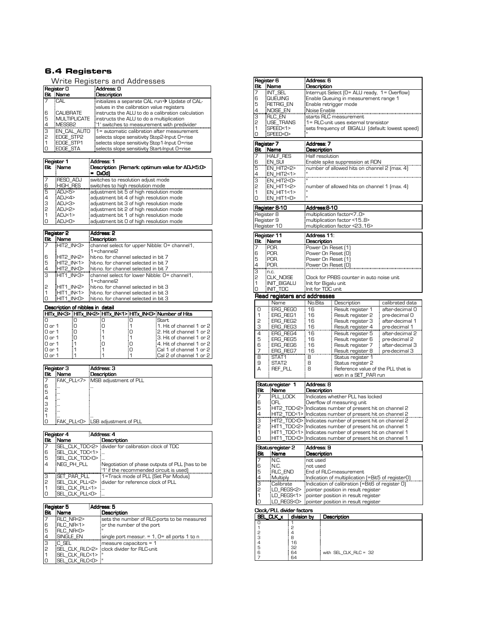## 6.4 Registers

Write Registers and Addresses

|                | Register 0          | :Address: 0                                                       |
|----------------|---------------------|-------------------------------------------------------------------|
|                | <b>Bit Name</b>     | <b>Description</b>                                                |
|                | <b>ECAL</b>         | $\pm$ initializes a separate CAL run $\rightarrow$ Update of CAL- |
|                |                     | values in the calibration value registers                         |
| 6              | <b>CALIBRATE</b>    | instructs the ALU to do a calibration calculation                 |
| 5              | <b>MULTIPLICATE</b> | instructs the ALU to do a multiplication                          |
| 4              | MESSB <sub>2</sub>  | :'1' switches to measurement with predivider                      |
| Iз             | <b>EN CAL AUTO</b>  | $\frac{1}{2}$ = automatic calibration after measurement           |
| $\overline{c}$ | <b>EDGE STP2</b>    | selects slope sensitivity Stop2-Input O=rise                      |
|                | <b>EDGE STP1</b>    | selects slope sensitivity Stop1-Input O=rise                      |
|                | <b>EDGE STA</b>     | selects slope sensitivity Start-Input O=rise                      |

|   | Register 1       | :Address: 1                                                 |
|---|------------------|-------------------------------------------------------------|
|   | <b>Bit Name</b>  | Description (Remark: optimum value for ADJ<5:0><br>$=$ OxOd |
|   | <b>FRESO ADJ</b> | switches to resolution adjust mode                          |
| 6 | <b>HIGH RES</b>  | switches to high resolution mode                            |
| 5 | :ADJ<5>          | adjustment bit 5 of high resolution mode                    |
| 4 | :ADJ<4>          | adjustment bit 4 of high resolution mode                    |
| 3 | ADI <sub>3</sub> | adjustment bit 3 of high resolution mode                    |
| 2 | :ADJ<2>          | adjustment bit 2 of high resolution mode                    |
|   | : $ADJ<1>$       | adjustment bit 1 of high resolution mode                    |
|   | :ADJ<0>          | adjustment bit 0 of high resolution mode                    |

| Register 2     |                  | : Address: 2                                                         |
|----------------|------------------|----------------------------------------------------------------------|
|                | Bit Name         | : Description                                                        |
|                | HIT2 IN<3>       | : channel select for upper Nibble: 0= channel1,<br>$1 =$ channel $2$ |
| 6              | $HIT2$ IN<2>     | hit no for channel selected in bit 7                                 |
| 5              | HIT2 IN<1>       | hit-no, for channel selected in bit 7                                |
| $\overline{a}$ | HIT2 IN<0>       | hit-no, for channel selected in bit 7                                |
| 3              | $HIT1$ IN $3$    | channel select for lower Nibble: 0= channel1.<br>$1 =$ channel $2$   |
| 2              | HIT1 IN<2>       | hit-no, for channel selected in bit 3                                |
|                | HIT1 IN<1>       | hit no, for channel selected in bit 3                                |
|                | :HIT1 IN <o></o> | hit-no, for channel selected in bit 3                                |

Description of nibbles in detail

|                   |    |  | HITx IN<3>:HITx IN<2>:HITx IN<1>:HITx IN<0>:Number of Hits |
|-------------------|----|--|------------------------------------------------------------|
|                   |    |  | <b>Start</b>                                               |
| $0$ or $1$        | Ξn |  | $:1.$ Hit of channel 1 or 2 $\mid$                         |
| $0$ or $1$        | ח  |  | :2. Hit of channel 1 or 2                                  |
| $0$ or $1$        | ÷Π |  | :3. Hit of channel 1 or 2                                  |
| $0$ or $1$        |    |  | :4. Hit of channel 1 or 2                                  |
| $0$ or $1$        |    |  | :Cal 1 of channel 1 or 2                                   |
| $0 \text{ or } 1$ |    |  | :Cal 2 of channel 1 or 2                                   |

|               | Register 3 | : Address: 3                       |
|---------------|------------|------------------------------------|
|               | Bit Name   | Description                        |
|               |            | FAK PLL<7> MSB adjustment of PLL   |
| 6             |            |                                    |
| 5             |            |                                    |
|               |            |                                    |
|               |            |                                    |
| $\frac{4}{2}$ |            |                                    |
|               |            |                                    |
|               |            | :FAK PLL<0> :LSB adjustment of PLL |
|               |            |                                    |

|                | Register 4                   | : Address: 4                                          |
|----------------|------------------------------|-------------------------------------------------------|
| <b>Bit</b>     | Name                         | Description                                           |
| 17             |                              | SEL CLK TDC<2> : divider for calibration clock of TDC |
| 6              | <b>SEL CLK TDC&lt;1&gt;</b>  |                                                       |
| 5              | SEL CLK TDC<0>               |                                                       |
| $\overline{4}$ | INEG PH PLL                  | Negotiation of phase outputs of PLL (has to be        |
|                |                              | :'1' if the recommended circuit is used)              |
| isi<br>P       | SET PAR PLL                  | :1=Track mode of PLL (Set Par Modus)                  |
|                | <b>ISEL CLK PLL&lt;2&gt;</b> | : divider for reference clock of PLL                  |
| l1             | <b>ISEL CLK PLL&lt;1&gt;</b> |                                                       |
| 10             | SEL CLK PLL <d></d>          |                                                       |

|               | Register 5                   | : Address: 5                                       |
|---------------|------------------------------|----------------------------------------------------|
|               | Bit Name                     | <b>Description</b>                                 |
|               | RLC NR<2>                    | sets the number of RLC ports to be measured        |
| 6             | :RLC NR<1>                   | or the number of the port                          |
| 5             | RLC NR<0>                    |                                                    |
| $\frac{4}{3}$ | <b>ISINGLE EN</b>            | single port measur. $= 1$ , $0 =$ all ports 1 to n |
|               | EC SEL                       | $\frac{1}{2}$ measure capacitors = 1               |
| 2             |                              | SEL CLK RLC<2> clock divider for RLC-unit          |
|               | <b>ISEL CLK RLC&lt;1&gt;</b> |                                                    |
| 10            | <b>ISEL CLK RLC<o></o></b>   |                                                    |

| Bit<br>Description<br>7<br>INT_SEL<br>Interrupt Select [O= ALU ready, 1= Overflow]<br>6<br><b>QUEUING</b><br>Enable Queuing in measurement range 1<br>5<br>RETRIG_EN<br>Enable retrigger mode<br>$\frac{4}{3}$<br>NOISE_EN<br>Noise Enable<br>starts RLC measurement<br>RLC_EN<br>2<br>USE_TRANS<br>1= RLC-unit uses external transistor<br>1<br>sets frequency of BIGALU (default: lowest speed)<br>SPFFD<1><br>0<br>SPEED<0><br>Address: 7<br>Register 7<br>Bit.<br>Description<br>:Name<br>7<br>HALF_RES <del>!</del><br>Half resolution<br>6<br>5<br>EN_SUI<br>Enable spike suppression at RDN<br>EN_HIT2<2><br>number of allowed hits on channel 2 (max. 4)<br>$\frac{4}{3}$<br>EN_HIT2<1><br>EN HIT2<0><br>5<br>EN_HIT1<2><br>number of allowed hits on channel 1 (max. 4)<br>1<br>EN_HIT1<1><br>0<br>EN_HIT1<0><br>Register 8-10<br>:Address:8-10<br>Register 8<br>multiplication factor<70><br>Register 9<br>multiplication factor <158><br>Register 10<br>multiplication factor <2316><br>Address 11:<br>Register 11<br>Bit<br>Name<br>Description<br>FPOR.<br>7<br>Power On Reset [1]<br>6<br>POR.<br>Power On Reset [O]<br>5<br>POR.<br>Power On Reset [1]<br>$\frac{4}{3}$<br>POR.<br>Power On Reset [O]<br>:n.c.<br>2<br>CLK_NOISE<br>Clock for PRBS counter in auto noise unit<br>1<br><b>INIT BIGALU</b><br>Init for Bigalu unit<br>0<br>Init for TDC unit<br>:INIT_TDC<br>Read registers and addresses<br>Name<br>No.Bits<br>calibrated data<br>Description<br>ERG_REGO<br>16<br>Result register 1<br>after-decimal O<br>0<br>1<br>16<br>Result register 2<br>ERG_REG1<br>pre-decimal O<br>2<br>16<br>Result register 3<br>ERG_REG2<br>after-decimal 1<br>$\frac{3}{4}$<br>16<br>Result register 4<br><u>ERG_REG3</u><br>pre-decimal 1<br>ERG_REG4<br>16<br>Result register 5<br>after-decimal 2<br>5<br>16<br>ERG_REG5<br>Result register 6<br>pre-decimal 2<br>6<br>ERG_REG6<br>16<br>: Result register 7<br>after-decimal 3<br>16<br>$\overline{z}$<br><u>ERG_REG7</u><br>Result register 8<br>pre-decimal 3<br>8<br>STAT1<br>8<br>Status register 1<br>9<br>STAT2<br>8<br>Status register 2<br>А<br>REF_PLL<br>8<br>Reference value of the PLL that is<br>won in a SET_PAR run<br>Statusregister 1<br>Address: B<br>Bit<br>Description<br>Name<br>7<br>PLL LOCK<br>Indicates whether PLL has locked<br>6<br>OFL<br>Overflow of measuring unit<br>5<br>HIT2_TDC<2>: Indicates number of present hit on channel 2<br>$\frac{4}{3}$<br>HIT2_TDC<1>:Indicates number of present hit on channel 2<br>TDC <o> Indicates number of present hit on channel 2<br/>HIT2<br/>2<br/>HII 1<br/>.I DC&lt;2&gt;:Indicates number of present hit on channel 1<br/>1<br/>HIT1_TDC&lt;1&gt; Indicates number of present hit on channel 1<br/>TDC<o>: Indicates number of present hit on channel 1<br/>0<br/>HIT<sub>1</sub><br/>Statusregister 2<br/>Address: 9<br/>Bit<br/>Name<br/>Description<br/>7<br/>N.C.<br/>not used<br/>6<br/>N.C.<br/>not used<br/>5<br/>RLC_END<br/>End of RLC-measurement<br/>4<br/>Indication of multiplication (=Bit5 of registerO)<br/>Multiply<br/>3<br/>Indication of calibration [=Bit6 of register 0]<br/>Calibrate<br/>2<br/>pointer position in result register<br/>LD REGS&lt;2&gt;<br/>1<br/>pointer position in result register<br/>LD_REGS&lt;1&gt;<br/>0<br/>pointer position in result register<br/>ELD_REGS&lt;0&gt;<br/>Clock/PLL divider factors<br/>SEI<br/>CLK_x<br/>division by<br/>Description<br/>1<br/>0<br/><math>\mathbf{1}</math><br/>5<br/>5<br/><math>\overline{4}</math><br/>З<br/>8<br/>4<br/>16<br/>5<br/>32</o></o> |   | Register 6 |    | Address: 6 |                       |
|------------------------------------------------------------------------------------------------------------------------------------------------------------------------------------------------------------------------------------------------------------------------------------------------------------------------------------------------------------------------------------------------------------------------------------------------------------------------------------------------------------------------------------------------------------------------------------------------------------------------------------------------------------------------------------------------------------------------------------------------------------------------------------------------------------------------------------------------------------------------------------------------------------------------------------------------------------------------------------------------------------------------------------------------------------------------------------------------------------------------------------------------------------------------------------------------------------------------------------------------------------------------------------------------------------------------------------------------------------------------------------------------------------------------------------------------------------------------------------------------------------------------------------------------------------------------------------------------------------------------------------------------------------------------------------------------------------------------------------------------------------------------------------------------------------------------------------------------------------------------------------------------------------------------------------------------------------------------------------------------------------------------------------------------------------------------------------------------------------------------------------------------------------------------------------------------------------------------------------------------------------------------------------------------------------------------------------------------------------------------------------------------------------------------------------------------------------------------------------------------------------------------------------------------------------------------------------------------------------------------------------------------------------------------------------------------------------------------------------------------------------------------------------------------------------------------------------------------------------------------------------------------------------------------------------------------------------------------------------------------------------------------------------------------------------------------------------------------------------------------------------------------------------------------------------------------------------------------------------------------------------------------------------------------------------------------------------------------------------------------------------------------------------------------------------------------------------------------------------------------------------------------------------------------------------------------------------|---|------------|----|------------|-----------------------|
|                                                                                                                                                                                                                                                                                                                                                                                                                                                                                                                                                                                                                                                                                                                                                                                                                                                                                                                                                                                                                                                                                                                                                                                                                                                                                                                                                                                                                                                                                                                                                                                                                                                                                                                                                                                                                                                                                                                                                                                                                                                                                                                                                                                                                                                                                                                                                                                                                                                                                                                                                                                                                                                                                                                                                                                                                                                                                                                                                                                                                                                                                                                                                                                                                                                                                                                                                                                                                                                                                                                                                                                    |   | :Name      |    |            |                       |
|                                                                                                                                                                                                                                                                                                                                                                                                                                                                                                                                                                                                                                                                                                                                                                                                                                                                                                                                                                                                                                                                                                                                                                                                                                                                                                                                                                                                                                                                                                                                                                                                                                                                                                                                                                                                                                                                                                                                                                                                                                                                                                                                                                                                                                                                                                                                                                                                                                                                                                                                                                                                                                                                                                                                                                                                                                                                                                                                                                                                                                                                                                                                                                                                                                                                                                                                                                                                                                                                                                                                                                                    |   |            |    |            |                       |
|                                                                                                                                                                                                                                                                                                                                                                                                                                                                                                                                                                                                                                                                                                                                                                                                                                                                                                                                                                                                                                                                                                                                                                                                                                                                                                                                                                                                                                                                                                                                                                                                                                                                                                                                                                                                                                                                                                                                                                                                                                                                                                                                                                                                                                                                                                                                                                                                                                                                                                                                                                                                                                                                                                                                                                                                                                                                                                                                                                                                                                                                                                                                                                                                                                                                                                                                                                                                                                                                                                                                                                                    |   |            |    |            |                       |
|                                                                                                                                                                                                                                                                                                                                                                                                                                                                                                                                                                                                                                                                                                                                                                                                                                                                                                                                                                                                                                                                                                                                                                                                                                                                                                                                                                                                                                                                                                                                                                                                                                                                                                                                                                                                                                                                                                                                                                                                                                                                                                                                                                                                                                                                                                                                                                                                                                                                                                                                                                                                                                                                                                                                                                                                                                                                                                                                                                                                                                                                                                                                                                                                                                                                                                                                                                                                                                                                                                                                                                                    |   |            |    |            |                       |
|                                                                                                                                                                                                                                                                                                                                                                                                                                                                                                                                                                                                                                                                                                                                                                                                                                                                                                                                                                                                                                                                                                                                                                                                                                                                                                                                                                                                                                                                                                                                                                                                                                                                                                                                                                                                                                                                                                                                                                                                                                                                                                                                                                                                                                                                                                                                                                                                                                                                                                                                                                                                                                                                                                                                                                                                                                                                                                                                                                                                                                                                                                                                                                                                                                                                                                                                                                                                                                                                                                                                                                                    |   |            |    |            |                       |
|                                                                                                                                                                                                                                                                                                                                                                                                                                                                                                                                                                                                                                                                                                                                                                                                                                                                                                                                                                                                                                                                                                                                                                                                                                                                                                                                                                                                                                                                                                                                                                                                                                                                                                                                                                                                                                                                                                                                                                                                                                                                                                                                                                                                                                                                                                                                                                                                                                                                                                                                                                                                                                                                                                                                                                                                                                                                                                                                                                                                                                                                                                                                                                                                                                                                                                                                                                                                                                                                                                                                                                                    |   |            |    |            |                       |
|                                                                                                                                                                                                                                                                                                                                                                                                                                                                                                                                                                                                                                                                                                                                                                                                                                                                                                                                                                                                                                                                                                                                                                                                                                                                                                                                                                                                                                                                                                                                                                                                                                                                                                                                                                                                                                                                                                                                                                                                                                                                                                                                                                                                                                                                                                                                                                                                                                                                                                                                                                                                                                                                                                                                                                                                                                                                                                                                                                                                                                                                                                                                                                                                                                                                                                                                                                                                                                                                                                                                                                                    |   |            |    |            |                       |
|                                                                                                                                                                                                                                                                                                                                                                                                                                                                                                                                                                                                                                                                                                                                                                                                                                                                                                                                                                                                                                                                                                                                                                                                                                                                                                                                                                                                                                                                                                                                                                                                                                                                                                                                                                                                                                                                                                                                                                                                                                                                                                                                                                                                                                                                                                                                                                                                                                                                                                                                                                                                                                                                                                                                                                                                                                                                                                                                                                                                                                                                                                                                                                                                                                                                                                                                                                                                                                                                                                                                                                                    |   |            |    |            |                       |
|                                                                                                                                                                                                                                                                                                                                                                                                                                                                                                                                                                                                                                                                                                                                                                                                                                                                                                                                                                                                                                                                                                                                                                                                                                                                                                                                                                                                                                                                                                                                                                                                                                                                                                                                                                                                                                                                                                                                                                                                                                                                                                                                                                                                                                                                                                                                                                                                                                                                                                                                                                                                                                                                                                                                                                                                                                                                                                                                                                                                                                                                                                                                                                                                                                                                                                                                                                                                                                                                                                                                                                                    |   |            |    |            |                       |
|                                                                                                                                                                                                                                                                                                                                                                                                                                                                                                                                                                                                                                                                                                                                                                                                                                                                                                                                                                                                                                                                                                                                                                                                                                                                                                                                                                                                                                                                                                                                                                                                                                                                                                                                                                                                                                                                                                                                                                                                                                                                                                                                                                                                                                                                                                                                                                                                                                                                                                                                                                                                                                                                                                                                                                                                                                                                                                                                                                                                                                                                                                                                                                                                                                                                                                                                                                                                                                                                                                                                                                                    |   |            |    |            |                       |
|                                                                                                                                                                                                                                                                                                                                                                                                                                                                                                                                                                                                                                                                                                                                                                                                                                                                                                                                                                                                                                                                                                                                                                                                                                                                                                                                                                                                                                                                                                                                                                                                                                                                                                                                                                                                                                                                                                                                                                                                                                                                                                                                                                                                                                                                                                                                                                                                                                                                                                                                                                                                                                                                                                                                                                                                                                                                                                                                                                                                                                                                                                                                                                                                                                                                                                                                                                                                                                                                                                                                                                                    |   |            |    |            |                       |
|                                                                                                                                                                                                                                                                                                                                                                                                                                                                                                                                                                                                                                                                                                                                                                                                                                                                                                                                                                                                                                                                                                                                                                                                                                                                                                                                                                                                                                                                                                                                                                                                                                                                                                                                                                                                                                                                                                                                                                                                                                                                                                                                                                                                                                                                                                                                                                                                                                                                                                                                                                                                                                                                                                                                                                                                                                                                                                                                                                                                                                                                                                                                                                                                                                                                                                                                                                                                                                                                                                                                                                                    |   |            |    |            |                       |
|                                                                                                                                                                                                                                                                                                                                                                                                                                                                                                                                                                                                                                                                                                                                                                                                                                                                                                                                                                                                                                                                                                                                                                                                                                                                                                                                                                                                                                                                                                                                                                                                                                                                                                                                                                                                                                                                                                                                                                                                                                                                                                                                                                                                                                                                                                                                                                                                                                                                                                                                                                                                                                                                                                                                                                                                                                                                                                                                                                                                                                                                                                                                                                                                                                                                                                                                                                                                                                                                                                                                                                                    |   |            |    |            |                       |
|                                                                                                                                                                                                                                                                                                                                                                                                                                                                                                                                                                                                                                                                                                                                                                                                                                                                                                                                                                                                                                                                                                                                                                                                                                                                                                                                                                                                                                                                                                                                                                                                                                                                                                                                                                                                                                                                                                                                                                                                                                                                                                                                                                                                                                                                                                                                                                                                                                                                                                                                                                                                                                                                                                                                                                                                                                                                                                                                                                                                                                                                                                                                                                                                                                                                                                                                                                                                                                                                                                                                                                                    |   |            |    |            |                       |
|                                                                                                                                                                                                                                                                                                                                                                                                                                                                                                                                                                                                                                                                                                                                                                                                                                                                                                                                                                                                                                                                                                                                                                                                                                                                                                                                                                                                                                                                                                                                                                                                                                                                                                                                                                                                                                                                                                                                                                                                                                                                                                                                                                                                                                                                                                                                                                                                                                                                                                                                                                                                                                                                                                                                                                                                                                                                                                                                                                                                                                                                                                                                                                                                                                                                                                                                                                                                                                                                                                                                                                                    |   |            |    |            |                       |
|                                                                                                                                                                                                                                                                                                                                                                                                                                                                                                                                                                                                                                                                                                                                                                                                                                                                                                                                                                                                                                                                                                                                                                                                                                                                                                                                                                                                                                                                                                                                                                                                                                                                                                                                                                                                                                                                                                                                                                                                                                                                                                                                                                                                                                                                                                                                                                                                                                                                                                                                                                                                                                                                                                                                                                                                                                                                                                                                                                                                                                                                                                                                                                                                                                                                                                                                                                                                                                                                                                                                                                                    |   |            |    |            |                       |
|                                                                                                                                                                                                                                                                                                                                                                                                                                                                                                                                                                                                                                                                                                                                                                                                                                                                                                                                                                                                                                                                                                                                                                                                                                                                                                                                                                                                                                                                                                                                                                                                                                                                                                                                                                                                                                                                                                                                                                                                                                                                                                                                                                                                                                                                                                                                                                                                                                                                                                                                                                                                                                                                                                                                                                                                                                                                                                                                                                                                                                                                                                                                                                                                                                                                                                                                                                                                                                                                                                                                                                                    |   |            |    |            |                       |
|                                                                                                                                                                                                                                                                                                                                                                                                                                                                                                                                                                                                                                                                                                                                                                                                                                                                                                                                                                                                                                                                                                                                                                                                                                                                                                                                                                                                                                                                                                                                                                                                                                                                                                                                                                                                                                                                                                                                                                                                                                                                                                                                                                                                                                                                                                                                                                                                                                                                                                                                                                                                                                                                                                                                                                                                                                                                                                                                                                                                                                                                                                                                                                                                                                                                                                                                                                                                                                                                                                                                                                                    |   |            |    |            |                       |
|                                                                                                                                                                                                                                                                                                                                                                                                                                                                                                                                                                                                                                                                                                                                                                                                                                                                                                                                                                                                                                                                                                                                                                                                                                                                                                                                                                                                                                                                                                                                                                                                                                                                                                                                                                                                                                                                                                                                                                                                                                                                                                                                                                                                                                                                                                                                                                                                                                                                                                                                                                                                                                                                                                                                                                                                                                                                                                                                                                                                                                                                                                                                                                                                                                                                                                                                                                                                                                                                                                                                                                                    |   |            |    |            |                       |
|                                                                                                                                                                                                                                                                                                                                                                                                                                                                                                                                                                                                                                                                                                                                                                                                                                                                                                                                                                                                                                                                                                                                                                                                                                                                                                                                                                                                                                                                                                                                                                                                                                                                                                                                                                                                                                                                                                                                                                                                                                                                                                                                                                                                                                                                                                                                                                                                                                                                                                                                                                                                                                                                                                                                                                                                                                                                                                                                                                                                                                                                                                                                                                                                                                                                                                                                                                                                                                                                                                                                                                                    |   |            |    |            |                       |
|                                                                                                                                                                                                                                                                                                                                                                                                                                                                                                                                                                                                                                                                                                                                                                                                                                                                                                                                                                                                                                                                                                                                                                                                                                                                                                                                                                                                                                                                                                                                                                                                                                                                                                                                                                                                                                                                                                                                                                                                                                                                                                                                                                                                                                                                                                                                                                                                                                                                                                                                                                                                                                                                                                                                                                                                                                                                                                                                                                                                                                                                                                                                                                                                                                                                                                                                                                                                                                                                                                                                                                                    |   |            |    |            |                       |
|                                                                                                                                                                                                                                                                                                                                                                                                                                                                                                                                                                                                                                                                                                                                                                                                                                                                                                                                                                                                                                                                                                                                                                                                                                                                                                                                                                                                                                                                                                                                                                                                                                                                                                                                                                                                                                                                                                                                                                                                                                                                                                                                                                                                                                                                                                                                                                                                                                                                                                                                                                                                                                                                                                                                                                                                                                                                                                                                                                                                                                                                                                                                                                                                                                                                                                                                                                                                                                                                                                                                                                                    |   |            |    |            |                       |
|                                                                                                                                                                                                                                                                                                                                                                                                                                                                                                                                                                                                                                                                                                                                                                                                                                                                                                                                                                                                                                                                                                                                                                                                                                                                                                                                                                                                                                                                                                                                                                                                                                                                                                                                                                                                                                                                                                                                                                                                                                                                                                                                                                                                                                                                                                                                                                                                                                                                                                                                                                                                                                                                                                                                                                                                                                                                                                                                                                                                                                                                                                                                                                                                                                                                                                                                                                                                                                                                                                                                                                                    |   |            |    |            |                       |
|                                                                                                                                                                                                                                                                                                                                                                                                                                                                                                                                                                                                                                                                                                                                                                                                                                                                                                                                                                                                                                                                                                                                                                                                                                                                                                                                                                                                                                                                                                                                                                                                                                                                                                                                                                                                                                                                                                                                                                                                                                                                                                                                                                                                                                                                                                                                                                                                                                                                                                                                                                                                                                                                                                                                                                                                                                                                                                                                                                                                                                                                                                                                                                                                                                                                                                                                                                                                                                                                                                                                                                                    |   |            |    |            |                       |
|                                                                                                                                                                                                                                                                                                                                                                                                                                                                                                                                                                                                                                                                                                                                                                                                                                                                                                                                                                                                                                                                                                                                                                                                                                                                                                                                                                                                                                                                                                                                                                                                                                                                                                                                                                                                                                                                                                                                                                                                                                                                                                                                                                                                                                                                                                                                                                                                                                                                                                                                                                                                                                                                                                                                                                                                                                                                                                                                                                                                                                                                                                                                                                                                                                                                                                                                                                                                                                                                                                                                                                                    |   |            |    |            |                       |
|                                                                                                                                                                                                                                                                                                                                                                                                                                                                                                                                                                                                                                                                                                                                                                                                                                                                                                                                                                                                                                                                                                                                                                                                                                                                                                                                                                                                                                                                                                                                                                                                                                                                                                                                                                                                                                                                                                                                                                                                                                                                                                                                                                                                                                                                                                                                                                                                                                                                                                                                                                                                                                                                                                                                                                                                                                                                                                                                                                                                                                                                                                                                                                                                                                                                                                                                                                                                                                                                                                                                                                                    |   |            |    |            |                       |
|                                                                                                                                                                                                                                                                                                                                                                                                                                                                                                                                                                                                                                                                                                                                                                                                                                                                                                                                                                                                                                                                                                                                                                                                                                                                                                                                                                                                                                                                                                                                                                                                                                                                                                                                                                                                                                                                                                                                                                                                                                                                                                                                                                                                                                                                                                                                                                                                                                                                                                                                                                                                                                                                                                                                                                                                                                                                                                                                                                                                                                                                                                                                                                                                                                                                                                                                                                                                                                                                                                                                                                                    |   |            |    |            |                       |
|                                                                                                                                                                                                                                                                                                                                                                                                                                                                                                                                                                                                                                                                                                                                                                                                                                                                                                                                                                                                                                                                                                                                                                                                                                                                                                                                                                                                                                                                                                                                                                                                                                                                                                                                                                                                                                                                                                                                                                                                                                                                                                                                                                                                                                                                                                                                                                                                                                                                                                                                                                                                                                                                                                                                                                                                                                                                                                                                                                                                                                                                                                                                                                                                                                                                                                                                                                                                                                                                                                                                                                                    |   |            |    |            |                       |
|                                                                                                                                                                                                                                                                                                                                                                                                                                                                                                                                                                                                                                                                                                                                                                                                                                                                                                                                                                                                                                                                                                                                                                                                                                                                                                                                                                                                                                                                                                                                                                                                                                                                                                                                                                                                                                                                                                                                                                                                                                                                                                                                                                                                                                                                                                                                                                                                                                                                                                                                                                                                                                                                                                                                                                                                                                                                                                                                                                                                                                                                                                                                                                                                                                                                                                                                                                                                                                                                                                                                                                                    |   |            |    |            |                       |
|                                                                                                                                                                                                                                                                                                                                                                                                                                                                                                                                                                                                                                                                                                                                                                                                                                                                                                                                                                                                                                                                                                                                                                                                                                                                                                                                                                                                                                                                                                                                                                                                                                                                                                                                                                                                                                                                                                                                                                                                                                                                                                                                                                                                                                                                                                                                                                                                                                                                                                                                                                                                                                                                                                                                                                                                                                                                                                                                                                                                                                                                                                                                                                                                                                                                                                                                                                                                                                                                                                                                                                                    |   |            |    |            |                       |
|                                                                                                                                                                                                                                                                                                                                                                                                                                                                                                                                                                                                                                                                                                                                                                                                                                                                                                                                                                                                                                                                                                                                                                                                                                                                                                                                                                                                                                                                                                                                                                                                                                                                                                                                                                                                                                                                                                                                                                                                                                                                                                                                                                                                                                                                                                                                                                                                                                                                                                                                                                                                                                                                                                                                                                                                                                                                                                                                                                                                                                                                                                                                                                                                                                                                                                                                                                                                                                                                                                                                                                                    |   |            |    |            |                       |
|                                                                                                                                                                                                                                                                                                                                                                                                                                                                                                                                                                                                                                                                                                                                                                                                                                                                                                                                                                                                                                                                                                                                                                                                                                                                                                                                                                                                                                                                                                                                                                                                                                                                                                                                                                                                                                                                                                                                                                                                                                                                                                                                                                                                                                                                                                                                                                                                                                                                                                                                                                                                                                                                                                                                                                                                                                                                                                                                                                                                                                                                                                                                                                                                                                                                                                                                                                                                                                                                                                                                                                                    |   |            |    |            |                       |
|                                                                                                                                                                                                                                                                                                                                                                                                                                                                                                                                                                                                                                                                                                                                                                                                                                                                                                                                                                                                                                                                                                                                                                                                                                                                                                                                                                                                                                                                                                                                                                                                                                                                                                                                                                                                                                                                                                                                                                                                                                                                                                                                                                                                                                                                                                                                                                                                                                                                                                                                                                                                                                                                                                                                                                                                                                                                                                                                                                                                                                                                                                                                                                                                                                                                                                                                                                                                                                                                                                                                                                                    |   |            |    |            |                       |
|                                                                                                                                                                                                                                                                                                                                                                                                                                                                                                                                                                                                                                                                                                                                                                                                                                                                                                                                                                                                                                                                                                                                                                                                                                                                                                                                                                                                                                                                                                                                                                                                                                                                                                                                                                                                                                                                                                                                                                                                                                                                                                                                                                                                                                                                                                                                                                                                                                                                                                                                                                                                                                                                                                                                                                                                                                                                                                                                                                                                                                                                                                                                                                                                                                                                                                                                                                                                                                                                                                                                                                                    |   |            |    |            |                       |
|                                                                                                                                                                                                                                                                                                                                                                                                                                                                                                                                                                                                                                                                                                                                                                                                                                                                                                                                                                                                                                                                                                                                                                                                                                                                                                                                                                                                                                                                                                                                                                                                                                                                                                                                                                                                                                                                                                                                                                                                                                                                                                                                                                                                                                                                                                                                                                                                                                                                                                                                                                                                                                                                                                                                                                                                                                                                                                                                                                                                                                                                                                                                                                                                                                                                                                                                                                                                                                                                                                                                                                                    |   |            |    |            |                       |
|                                                                                                                                                                                                                                                                                                                                                                                                                                                                                                                                                                                                                                                                                                                                                                                                                                                                                                                                                                                                                                                                                                                                                                                                                                                                                                                                                                                                                                                                                                                                                                                                                                                                                                                                                                                                                                                                                                                                                                                                                                                                                                                                                                                                                                                                                                                                                                                                                                                                                                                                                                                                                                                                                                                                                                                                                                                                                                                                                                                                                                                                                                                                                                                                                                                                                                                                                                                                                                                                                                                                                                                    |   |            |    |            |                       |
|                                                                                                                                                                                                                                                                                                                                                                                                                                                                                                                                                                                                                                                                                                                                                                                                                                                                                                                                                                                                                                                                                                                                                                                                                                                                                                                                                                                                                                                                                                                                                                                                                                                                                                                                                                                                                                                                                                                                                                                                                                                                                                                                                                                                                                                                                                                                                                                                                                                                                                                                                                                                                                                                                                                                                                                                                                                                                                                                                                                                                                                                                                                                                                                                                                                                                                                                                                                                                                                                                                                                                                                    |   |            |    |            |                       |
|                                                                                                                                                                                                                                                                                                                                                                                                                                                                                                                                                                                                                                                                                                                                                                                                                                                                                                                                                                                                                                                                                                                                                                                                                                                                                                                                                                                                                                                                                                                                                                                                                                                                                                                                                                                                                                                                                                                                                                                                                                                                                                                                                                                                                                                                                                                                                                                                                                                                                                                                                                                                                                                                                                                                                                                                                                                                                                                                                                                                                                                                                                                                                                                                                                                                                                                                                                                                                                                                                                                                                                                    |   |            |    |            |                       |
|                                                                                                                                                                                                                                                                                                                                                                                                                                                                                                                                                                                                                                                                                                                                                                                                                                                                                                                                                                                                                                                                                                                                                                                                                                                                                                                                                                                                                                                                                                                                                                                                                                                                                                                                                                                                                                                                                                                                                                                                                                                                                                                                                                                                                                                                                                                                                                                                                                                                                                                                                                                                                                                                                                                                                                                                                                                                                                                                                                                                                                                                                                                                                                                                                                                                                                                                                                                                                                                                                                                                                                                    |   |            |    |            |                       |
|                                                                                                                                                                                                                                                                                                                                                                                                                                                                                                                                                                                                                                                                                                                                                                                                                                                                                                                                                                                                                                                                                                                                                                                                                                                                                                                                                                                                                                                                                                                                                                                                                                                                                                                                                                                                                                                                                                                                                                                                                                                                                                                                                                                                                                                                                                                                                                                                                                                                                                                                                                                                                                                                                                                                                                                                                                                                                                                                                                                                                                                                                                                                                                                                                                                                                                                                                                                                                                                                                                                                                                                    |   |            |    |            |                       |
|                                                                                                                                                                                                                                                                                                                                                                                                                                                                                                                                                                                                                                                                                                                                                                                                                                                                                                                                                                                                                                                                                                                                                                                                                                                                                                                                                                                                                                                                                                                                                                                                                                                                                                                                                                                                                                                                                                                                                                                                                                                                                                                                                                                                                                                                                                                                                                                                                                                                                                                                                                                                                                                                                                                                                                                                                                                                                                                                                                                                                                                                                                                                                                                                                                                                                                                                                                                                                                                                                                                                                                                    |   |            |    |            |                       |
|                                                                                                                                                                                                                                                                                                                                                                                                                                                                                                                                                                                                                                                                                                                                                                                                                                                                                                                                                                                                                                                                                                                                                                                                                                                                                                                                                                                                                                                                                                                                                                                                                                                                                                                                                                                                                                                                                                                                                                                                                                                                                                                                                                                                                                                                                                                                                                                                                                                                                                                                                                                                                                                                                                                                                                                                                                                                                                                                                                                                                                                                                                                                                                                                                                                                                                                                                                                                                                                                                                                                                                                    |   |            |    |            |                       |
|                                                                                                                                                                                                                                                                                                                                                                                                                                                                                                                                                                                                                                                                                                                                                                                                                                                                                                                                                                                                                                                                                                                                                                                                                                                                                                                                                                                                                                                                                                                                                                                                                                                                                                                                                                                                                                                                                                                                                                                                                                                                                                                                                                                                                                                                                                                                                                                                                                                                                                                                                                                                                                                                                                                                                                                                                                                                                                                                                                                                                                                                                                                                                                                                                                                                                                                                                                                                                                                                                                                                                                                    |   |            |    |            |                       |
|                                                                                                                                                                                                                                                                                                                                                                                                                                                                                                                                                                                                                                                                                                                                                                                                                                                                                                                                                                                                                                                                                                                                                                                                                                                                                                                                                                                                                                                                                                                                                                                                                                                                                                                                                                                                                                                                                                                                                                                                                                                                                                                                                                                                                                                                                                                                                                                                                                                                                                                                                                                                                                                                                                                                                                                                                                                                                                                                                                                                                                                                                                                                                                                                                                                                                                                                                                                                                                                                                                                                                                                    |   |            |    |            |                       |
|                                                                                                                                                                                                                                                                                                                                                                                                                                                                                                                                                                                                                                                                                                                                                                                                                                                                                                                                                                                                                                                                                                                                                                                                                                                                                                                                                                                                                                                                                                                                                                                                                                                                                                                                                                                                                                                                                                                                                                                                                                                                                                                                                                                                                                                                                                                                                                                                                                                                                                                                                                                                                                                                                                                                                                                                                                                                                                                                                                                                                                                                                                                                                                                                                                                                                                                                                                                                                                                                                                                                                                                    |   |            |    |            |                       |
|                                                                                                                                                                                                                                                                                                                                                                                                                                                                                                                                                                                                                                                                                                                                                                                                                                                                                                                                                                                                                                                                                                                                                                                                                                                                                                                                                                                                                                                                                                                                                                                                                                                                                                                                                                                                                                                                                                                                                                                                                                                                                                                                                                                                                                                                                                                                                                                                                                                                                                                                                                                                                                                                                                                                                                                                                                                                                                                                                                                                                                                                                                                                                                                                                                                                                                                                                                                                                                                                                                                                                                                    |   |            |    |            |                       |
|                                                                                                                                                                                                                                                                                                                                                                                                                                                                                                                                                                                                                                                                                                                                                                                                                                                                                                                                                                                                                                                                                                                                                                                                                                                                                                                                                                                                                                                                                                                                                                                                                                                                                                                                                                                                                                                                                                                                                                                                                                                                                                                                                                                                                                                                                                                                                                                                                                                                                                                                                                                                                                                                                                                                                                                                                                                                                                                                                                                                                                                                                                                                                                                                                                                                                                                                                                                                                                                                                                                                                                                    |   |            |    |            |                       |
|                                                                                                                                                                                                                                                                                                                                                                                                                                                                                                                                                                                                                                                                                                                                                                                                                                                                                                                                                                                                                                                                                                                                                                                                                                                                                                                                                                                                                                                                                                                                                                                                                                                                                                                                                                                                                                                                                                                                                                                                                                                                                                                                                                                                                                                                                                                                                                                                                                                                                                                                                                                                                                                                                                                                                                                                                                                                                                                                                                                                                                                                                                                                                                                                                                                                                                                                                                                                                                                                                                                                                                                    |   |            |    |            |                       |
|                                                                                                                                                                                                                                                                                                                                                                                                                                                                                                                                                                                                                                                                                                                                                                                                                                                                                                                                                                                                                                                                                                                                                                                                                                                                                                                                                                                                                                                                                                                                                                                                                                                                                                                                                                                                                                                                                                                                                                                                                                                                                                                                                                                                                                                                                                                                                                                                                                                                                                                                                                                                                                                                                                                                                                                                                                                                                                                                                                                                                                                                                                                                                                                                                                                                                                                                                                                                                                                                                                                                                                                    |   |            |    |            |                       |
|                                                                                                                                                                                                                                                                                                                                                                                                                                                                                                                                                                                                                                                                                                                                                                                                                                                                                                                                                                                                                                                                                                                                                                                                                                                                                                                                                                                                                                                                                                                                                                                                                                                                                                                                                                                                                                                                                                                                                                                                                                                                                                                                                                                                                                                                                                                                                                                                                                                                                                                                                                                                                                                                                                                                                                                                                                                                                                                                                                                                                                                                                                                                                                                                                                                                                                                                                                                                                                                                                                                                                                                    |   |            |    |            |                       |
|                                                                                                                                                                                                                                                                                                                                                                                                                                                                                                                                                                                                                                                                                                                                                                                                                                                                                                                                                                                                                                                                                                                                                                                                                                                                                                                                                                                                                                                                                                                                                                                                                                                                                                                                                                                                                                                                                                                                                                                                                                                                                                                                                                                                                                                                                                                                                                                                                                                                                                                                                                                                                                                                                                                                                                                                                                                                                                                                                                                                                                                                                                                                                                                                                                                                                                                                                                                                                                                                                                                                                                                    |   |            |    |            |                       |
|                                                                                                                                                                                                                                                                                                                                                                                                                                                                                                                                                                                                                                                                                                                                                                                                                                                                                                                                                                                                                                                                                                                                                                                                                                                                                                                                                                                                                                                                                                                                                                                                                                                                                                                                                                                                                                                                                                                                                                                                                                                                                                                                                                                                                                                                                                                                                                                                                                                                                                                                                                                                                                                                                                                                                                                                                                                                                                                                                                                                                                                                                                                                                                                                                                                                                                                                                                                                                                                                                                                                                                                    |   |            |    |            |                       |
|                                                                                                                                                                                                                                                                                                                                                                                                                                                                                                                                                                                                                                                                                                                                                                                                                                                                                                                                                                                                                                                                                                                                                                                                                                                                                                                                                                                                                                                                                                                                                                                                                                                                                                                                                                                                                                                                                                                                                                                                                                                                                                                                                                                                                                                                                                                                                                                                                                                                                                                                                                                                                                                                                                                                                                                                                                                                                                                                                                                                                                                                                                                                                                                                                                                                                                                                                                                                                                                                                                                                                                                    |   |            |    |            |                       |
|                                                                                                                                                                                                                                                                                                                                                                                                                                                                                                                                                                                                                                                                                                                                                                                                                                                                                                                                                                                                                                                                                                                                                                                                                                                                                                                                                                                                                                                                                                                                                                                                                                                                                                                                                                                                                                                                                                                                                                                                                                                                                                                                                                                                                                                                                                                                                                                                                                                                                                                                                                                                                                                                                                                                                                                                                                                                                                                                                                                                                                                                                                                                                                                                                                                                                                                                                                                                                                                                                                                                                                                    |   |            |    |            |                       |
|                                                                                                                                                                                                                                                                                                                                                                                                                                                                                                                                                                                                                                                                                                                                                                                                                                                                                                                                                                                                                                                                                                                                                                                                                                                                                                                                                                                                                                                                                                                                                                                                                                                                                                                                                                                                                                                                                                                                                                                                                                                                                                                                                                                                                                                                                                                                                                                                                                                                                                                                                                                                                                                                                                                                                                                                                                                                                                                                                                                                                                                                                                                                                                                                                                                                                                                                                                                                                                                                                                                                                                                    |   |            |    |            |                       |
|                                                                                                                                                                                                                                                                                                                                                                                                                                                                                                                                                                                                                                                                                                                                                                                                                                                                                                                                                                                                                                                                                                                                                                                                                                                                                                                                                                                                                                                                                                                                                                                                                                                                                                                                                                                                                                                                                                                                                                                                                                                                                                                                                                                                                                                                                                                                                                                                                                                                                                                                                                                                                                                                                                                                                                                                                                                                                                                                                                                                                                                                                                                                                                                                                                                                                                                                                                                                                                                                                                                                                                                    |   |            |    |            |                       |
|                                                                                                                                                                                                                                                                                                                                                                                                                                                                                                                                                                                                                                                                                                                                                                                                                                                                                                                                                                                                                                                                                                                                                                                                                                                                                                                                                                                                                                                                                                                                                                                                                                                                                                                                                                                                                                                                                                                                                                                                                                                                                                                                                                                                                                                                                                                                                                                                                                                                                                                                                                                                                                                                                                                                                                                                                                                                                                                                                                                                                                                                                                                                                                                                                                                                                                                                                                                                                                                                                                                                                                                    |   |            |    |            |                       |
|                                                                                                                                                                                                                                                                                                                                                                                                                                                                                                                                                                                                                                                                                                                                                                                                                                                                                                                                                                                                                                                                                                                                                                                                                                                                                                                                                                                                                                                                                                                                                                                                                                                                                                                                                                                                                                                                                                                                                                                                                                                                                                                                                                                                                                                                                                                                                                                                                                                                                                                                                                                                                                                                                                                                                                                                                                                                                                                                                                                                                                                                                                                                                                                                                                                                                                                                                                                                                                                                                                                                                                                    |   |            |    |            |                       |
|                                                                                                                                                                                                                                                                                                                                                                                                                                                                                                                                                                                                                                                                                                                                                                                                                                                                                                                                                                                                                                                                                                                                                                                                                                                                                                                                                                                                                                                                                                                                                                                                                                                                                                                                                                                                                                                                                                                                                                                                                                                                                                                                                                                                                                                                                                                                                                                                                                                                                                                                                                                                                                                                                                                                                                                                                                                                                                                                                                                                                                                                                                                                                                                                                                                                                                                                                                                                                                                                                                                                                                                    |   |            |    |            |                       |
|                                                                                                                                                                                                                                                                                                                                                                                                                                                                                                                                                                                                                                                                                                                                                                                                                                                                                                                                                                                                                                                                                                                                                                                                                                                                                                                                                                                                                                                                                                                                                                                                                                                                                                                                                                                                                                                                                                                                                                                                                                                                                                                                                                                                                                                                                                                                                                                                                                                                                                                                                                                                                                                                                                                                                                                                                                                                                                                                                                                                                                                                                                                                                                                                                                                                                                                                                                                                                                                                                                                                                                                    |   |            |    |            |                       |
|                                                                                                                                                                                                                                                                                                                                                                                                                                                                                                                                                                                                                                                                                                                                                                                                                                                                                                                                                                                                                                                                                                                                                                                                                                                                                                                                                                                                                                                                                                                                                                                                                                                                                                                                                                                                                                                                                                                                                                                                                                                                                                                                                                                                                                                                                                                                                                                                                                                                                                                                                                                                                                                                                                                                                                                                                                                                                                                                                                                                                                                                                                                                                                                                                                                                                                                                                                                                                                                                                                                                                                                    |   |            |    |            |                       |
|                                                                                                                                                                                                                                                                                                                                                                                                                                                                                                                                                                                                                                                                                                                                                                                                                                                                                                                                                                                                                                                                                                                                                                                                                                                                                                                                                                                                                                                                                                                                                                                                                                                                                                                                                                                                                                                                                                                                                                                                                                                                                                                                                                                                                                                                                                                                                                                                                                                                                                                                                                                                                                                                                                                                                                                                                                                                                                                                                                                                                                                                                                                                                                                                                                                                                                                                                                                                                                                                                                                                                                                    |   |            |    |            |                       |
| 7<br>64                                                                                                                                                                                                                                                                                                                                                                                                                                                                                                                                                                                                                                                                                                                                                                                                                                                                                                                                                                                                                                                                                                                                                                                                                                                                                                                                                                                                                                                                                                                                                                                                                                                                                                                                                                                                                                                                                                                                                                                                                                                                                                                                                                                                                                                                                                                                                                                                                                                                                                                                                                                                                                                                                                                                                                                                                                                                                                                                                                                                                                                                                                                                                                                                                                                                                                                                                                                                                                                                                                                                                                            | 6 |            | 64 |            | with SEL_CLK_RLC = 32 |